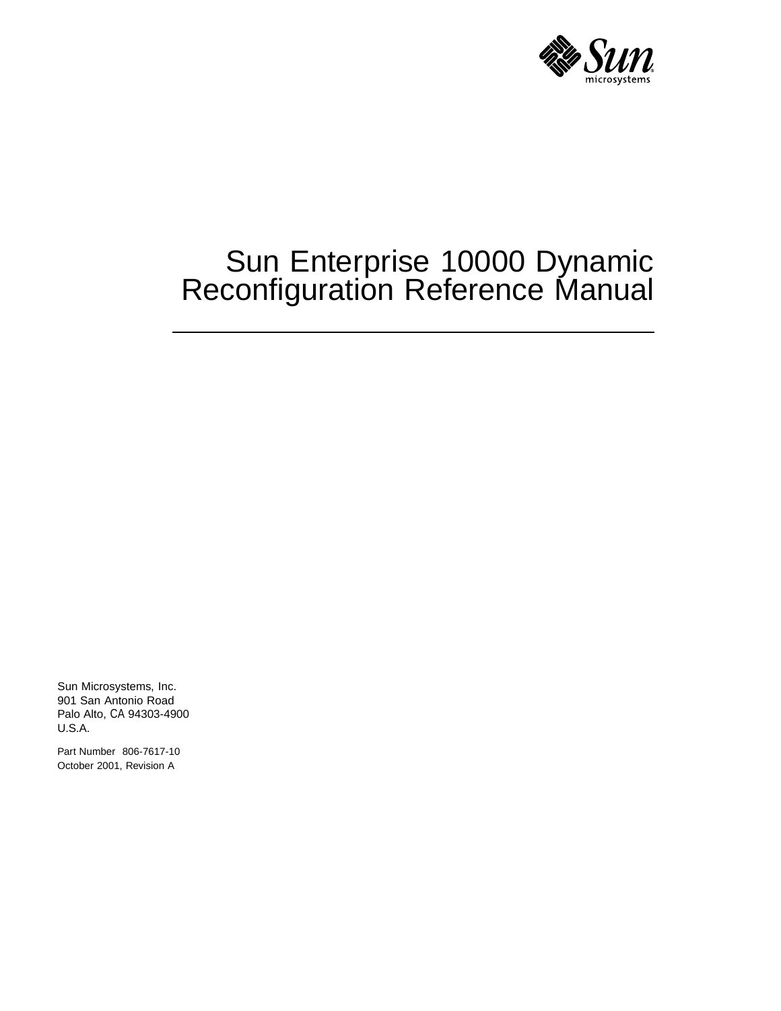

# Sun Enterprise 10000 Dynamic Reconfiguration Reference Manual

Sun Microsystems, Inc. 901 San Antonio Road Palo Alto, CA 94303-4900 U.S.A.

Part Number 806-7617-10 October 2001, Revision A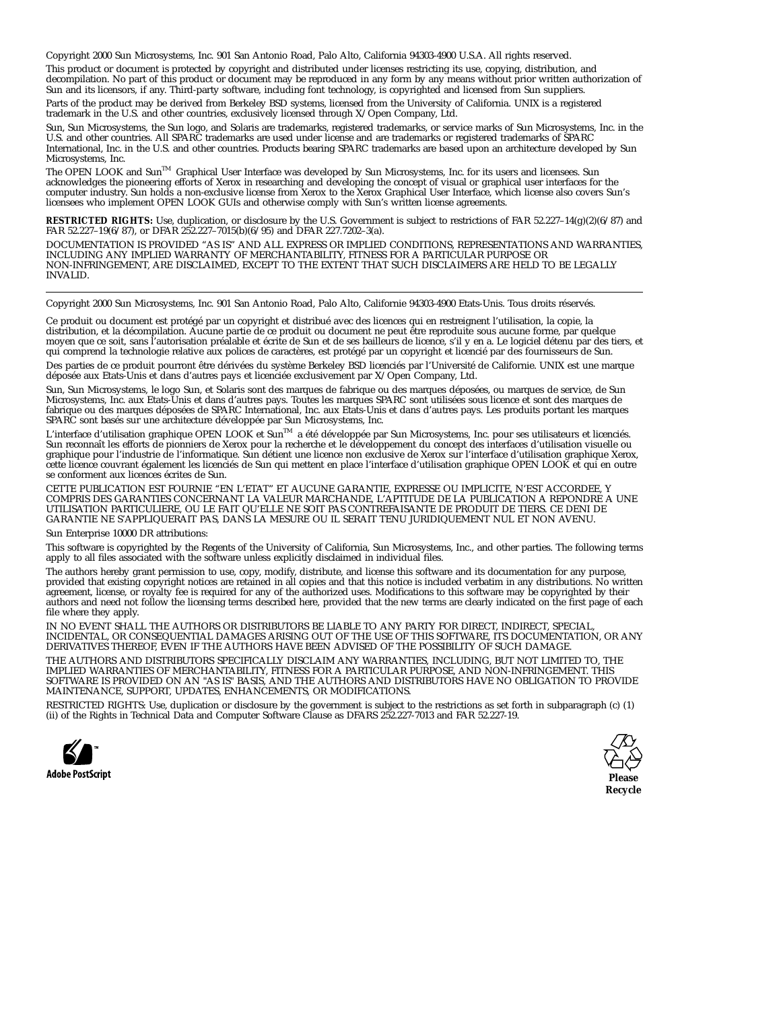Copyright 2000 Sun Microsystems, Inc. 901 San Antonio Road, Palo Alto, California 94303-4900 U.S.A. All rights reserved.

This product or document is protected by copyright and distributed under licenses restricting its use, copying, distribution, and decompilation. No part of this product or document may be reproduced in any form by any means without prior written authorization of Sun and its licensors, if any. Third-party software, including font technology, is copyrighted and licensed from Sun suppliers.

Parts of the product may be derived from Berkeley BSD systems, licensed from the University of California. UNIX is a registered trademark in the U.S. and other countries, exclusively licensed through X/Open Company, Ltd.

Sun, Sun Microsystems, the Sun logo, and Solaris are trademarks, registered trademarks, or service marks of Sun Microsystems, Inc. in the U.S. and other countries. All SPARC trademarks are used under license and are trademarks or registered trademarks of SPARC International, Inc. in the U.S. and other countries. Products bearing SPARC trademarks are based upon an architecture developed by Sun Microsystems, Inc.

The OPEN LOOK and Sun<sup>TM</sup> Graphical User Interface was developed by Sun Microsystems, Inc. for its users and licensees. Sun acknowledges the pioneering efforts of Xerox in researching and developing the concept of visual or graphical user interfaces for the<br>computer industry. Sun holds a non-exclusive license from Xerox to the Xerox Graphical U licensees who implement OPEN LOOK GUIs and otherwise comply with Sun's written license agreements.

**RESTRICTED RIGHTS:** Use, duplication, or disclosure by the U.S. Government is subject to restrictions of FAR 52.227–14(g)(2)(6/87) and<br>FAR 52.227–19(6/87), or DFAR 252.227–7015(b)(6/95) and DFAR 227.7202–3(a).

DOCUMENTATION IS PROVIDED "AS IS" AND ALL EXPRESS OR IMPLIED CONDITIONS, REPRESENTATIONS AND WARRANTIES,<br>INCLUDING ANY IMPLIED WARRANTY OF MERCHANTABILITY, FITNESS FOR A PARTICULAR PURPOSE OR<br>NON-INFRINGEMENT, ARE DISCLAIM INVALID.

### Copyright 2000 Sun Microsystems, Inc. 901 San Antonio Road, Palo Alto, Californie 94303-4900 Etats-Unis. Tous droits réservés.

Ce produit ou document est protégé par un copyright et distribué avec des licences qui en restreignent l'utilisation, la copie, la<br>distribution, et la décompilation. Aucune partie de ce produit ou document ne peut être rep moyen que ce soit, sans l'autorisation préalable et écrite de Sun et de ses bailleurs de licence, s'il y en a. Le logiciel détenu par des tiers, et qui comprend la technologie relative aux polices de caractères, est protégé par un copyright et licencié par des fournisseurs de Sun.

Des parties de ce produit pourront être dérivées du système Berkeley BSD licenciés par l'Université de Californie. UNIX est une marque déposée aux Etats-Unis et dans d'autres pays et licenciée exclusivement par X/Open Company, Ltd.

Sun, Sun Microsystems, le logo Sun, et Solaris sont des marques de fabrique ou des marques déposées, ou marques de service, de Sun Microsystems, Inc. aux Etats-Unis et dans d'autres pays. Toutes les marques SPARC sont utilisées sous licence et sont des marques de fabrique ou des marques déposées de SPARC International, Inc. aux Etats-Unis et dans d'autres pays. Les produits portant les marques SPARC sont basés sur une architecture développée par Sun Microsystems, Inc.

L'interface d'utilisation graphique OPEN LOOK et Sun<sup>TM</sup> a été développée par Sun Microsystems, Inc. pour ses utilisateurs et licenciés. Sun reconnaît les efforts de pionniers de Xerox pour la recherche et le développement du concept des interfaces d'utilisation visuelle ou graphique pour l'industrie de l'informatique. Sun détient une licence non exclusive de Xerox sur l'interface d'utilisation graphique Xerox, cette licence couvrant également les licenciés de Sun qui mettent en place l'interface d'utilisation graphique OPEN LOOK et qui en outre se conforment aux licences écrites de Sun.

CETTE PUBLICATION EST FOURNIE "EN L'ETAT" ET AUCUNE GARANTIE, EXPRESSE OU IMPLICITE, N'EST ACCORDEE, Y COMPRIS DES GARANTIES CONCERNANT LA VALEUR MARCHANDE, L'APTITUDE DE LA PUBLICATION A REPONDRE A UNE UTILISATION PARTICULIERE, OU LE FAIT QU'ELLE NE SOIT PAS CONTREFAISANTE DE PRODUIT DE TIERS. CE DENI DE GARANTIE NE S'APPLIQUERAIT PAS, DANS LA MESURE OU IL SERAIT TENU JURIDIQUEMENT NUL ET NON AVENU.

#### Sun Enterprise 10000 DR attributions:

This software is copyrighted by the Regents of the University of California, Sun Microsystems, Inc., and other parties. The following terms apply to all files associated with the software unless explicitly disclaimed in individual files.

The authors hereby grant permission to use, copy, modify, distribute, and license this software and its documentation for any purpose, provided that existing copyright notices are retained in all copies and that this notice is included verbatim in any distributions. No written agreement, license, or royalty fee is required for any of the authorized uses. Modifications to this software may be copyrighted by their authors and need not follow the licensing terms described here, provided that the new terms are clearly indicated on the first page of each file where they apply.

IN NO EVENT SHALL THE AUTHORS OR DISTRIBUTORS BE LIABLE TO ANY PARTY FOR DIRECT, INDIRECT, SPECIAL, INCIDENTAL, OR CONSEQUENTIAL DAMAGES ARISING OUT OF THE USE OF THIS SOFTWARE, ITS DOCUMENTATION, OR ANY<br>DERIVATIVES THEREOF, EVEN IF THE AUTHORS HAVE BEEN ADVISED OF THE POSSIBILITY OF SUCH DAMAGE.

THE AUTHORS AND DISTRIBUTORS SPECIFICALLY DISCLAIM ANY WARRANTIES, INCLUDING, BUT NOT LIMITED TO, THE IMPLIED WARRANTIES OF MERCHANTABILITY, FITNESS FOR A PARTICULAR PURPOSE, AND NON-INFRINGEMENT. THIS SOFTWARE IS PROVIDED ON AN "AS IS" BASIS, AND THE AUTHORS AND DISTRIBUTORS HAVE NO OBLIGATION TO PROVIDE MAINTENANCE, SUPPORT, UPDATES, ENHANCEMENTS, OR MODIFICATIONS.

RESTRICTED RIGHTS: Use, duplication or disclosure by the government is subject to the restrictions as set forth in subparagraph (c) (1) (ii) of the Rights in Technical Data and Computer Software Clause as DFARS 252.227-7013 and FAR 52.227-19.



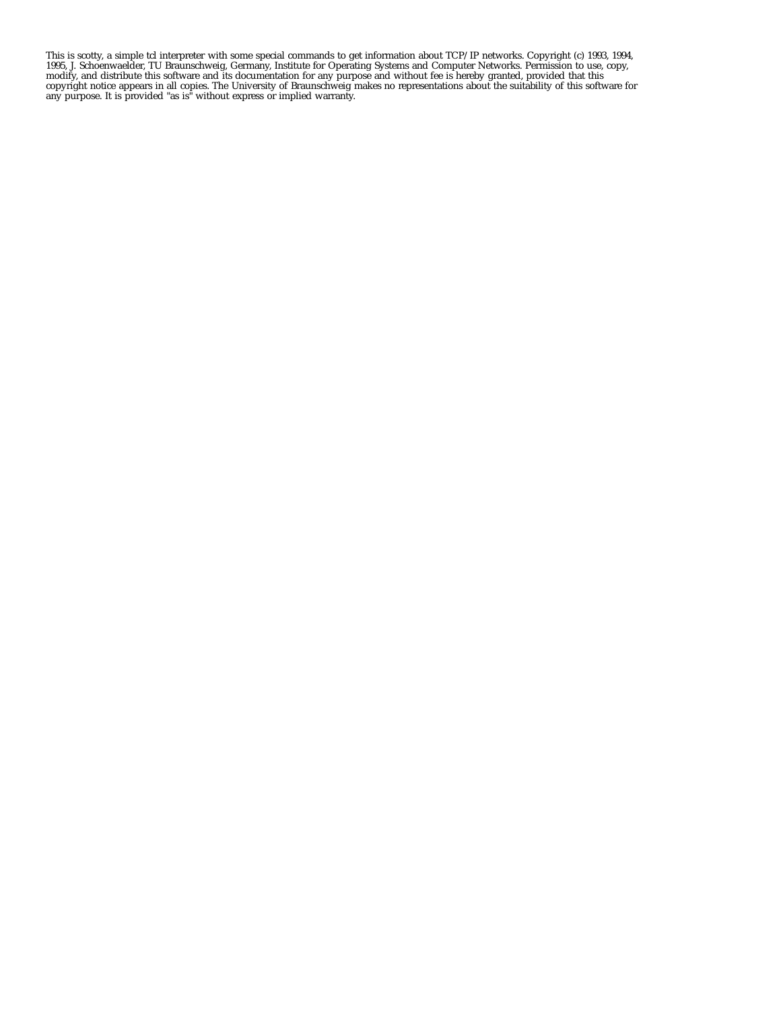This is scotty, a simple tcl interpreter with some special commands to get information about TCP/IP networks. Copyright (c) 1993, 1994,<br>1995, J. Schoenwaelder, TU Braunschweig, Germany, Institute for Operating Systems and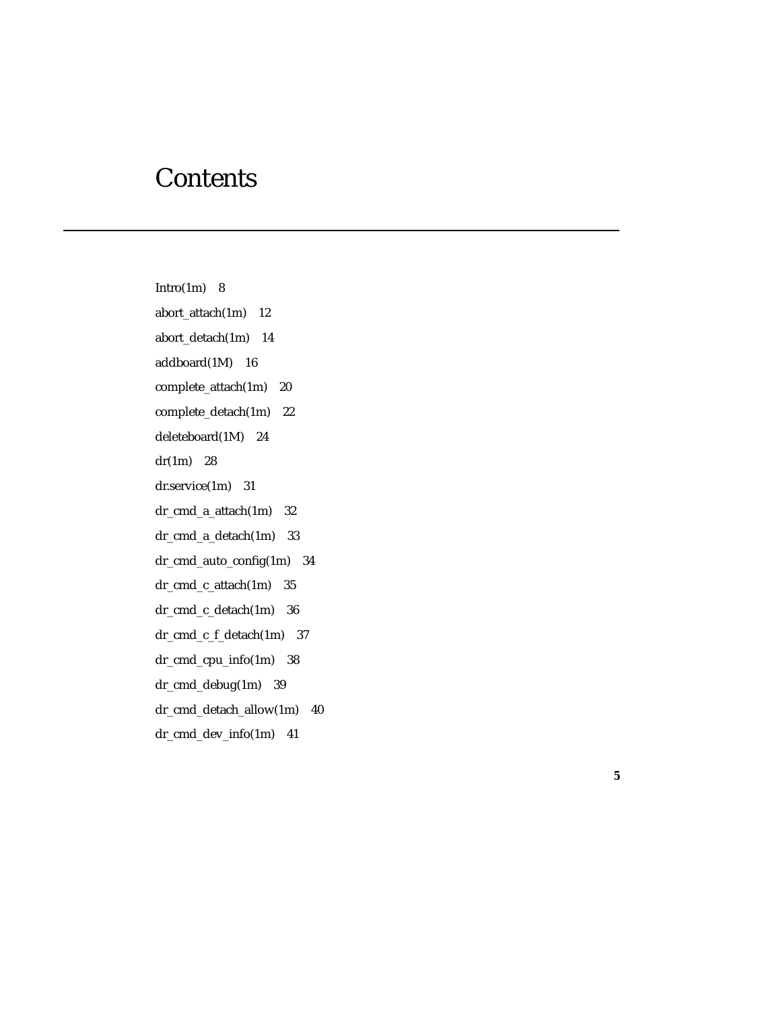## **Contents**

Intro(1m)  $8$ 

abort\_attach(1m) 12

abort\_detach(1m) 14

addboard(1M) 16

complete\_attach(1m) 20

complete\_detach(1m) 22

deleteboard(1M) 24

dr(1m) 28

dr.service(1m) 31

dr\_cmd\_a\_attach(1m) 32

dr\_cmd\_a\_detach(1m) 33

dr\_cmd\_auto\_config(1m) 34

dr\_cmd\_c\_attach(1m) 35

dr\_cmd\_c\_detach(1m) 36

dr\_cmd\_c\_f\_detach(1m) 37

dr\_cmd\_cpu\_info(1m) 38

dr\_cmd\_debug(1m) 39

dr\_cmd\_detach\_allow(1m) 40

dr\_cmd\_dev\_info(1m) 41

**5**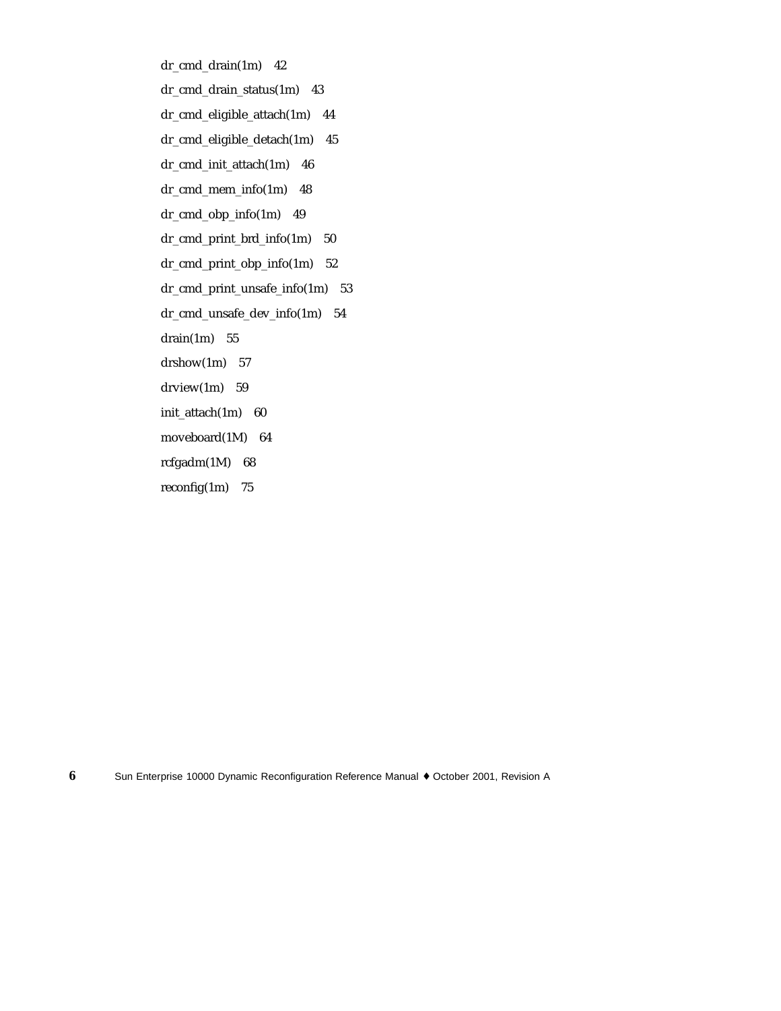dr\_cmd\_drain(1m) 42 dr\_cmd\_drain\_status(1m) 43 dr\_cmd\_eligible\_attach(1m) 44 dr\_cmd\_eligible\_detach(1m) 45 dr\_cmd\_init\_attach(1m) 46 dr\_cmd\_mem\_info(1m) 48 dr\_cmd\_obp\_info(1m) 49 dr\_cmd\_print\_brd\_info(1m) 50 dr\_cmd\_print\_obp\_info(1m) 52 dr\_cmd\_print\_unsafe\_info(1m) 53 dr\_cmd\_unsafe\_dev\_info(1m) 54 drain(1m) 55 drshow(1m) 57 drview(1m) 59 init\_attach(1m) 60 moveboard(1M) 64 rcfgadm(1M) 68 reconfig $(1m)$  75

**6** Sun Enterprise 10000 Dynamic Reconfiguration Reference Manual ♦ October 2001, Revision A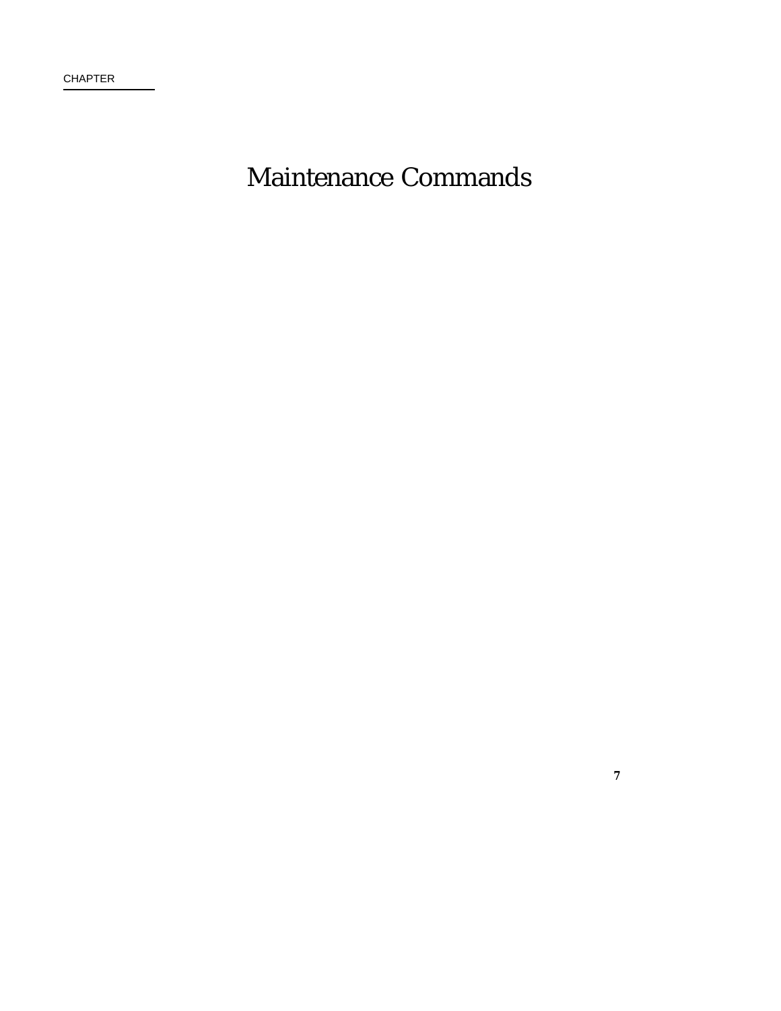## Maintenance Commands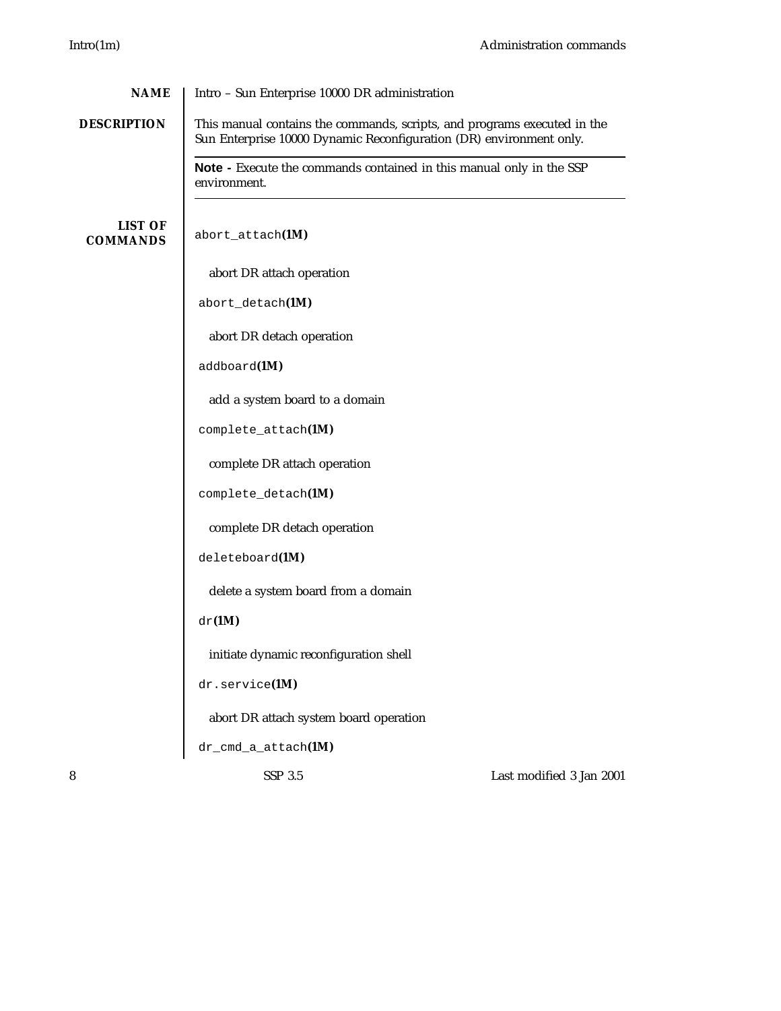| <b>NAME</b>                       | Intro - Sun Enterprise 10000 DR administration                                                                                                  |                          |
|-----------------------------------|-------------------------------------------------------------------------------------------------------------------------------------------------|--------------------------|
| <b>DESCRIPTION</b>                | This manual contains the commands, scripts, and programs executed in the<br>Sun Enterprise 10000 Dynamic Reconfiguration (DR) environment only. |                          |
|                                   | Note - Execute the commands contained in this manual only in the SSP<br>environment.                                                            |                          |
| <b>LIST OF</b><br><b>COMMANDS</b> | abort_attach(1M)                                                                                                                                |                          |
|                                   | abort DR attach operation                                                                                                                       |                          |
|                                   | abort_detach(1M)                                                                                                                                |                          |
|                                   | abort DR detach operation                                                                                                                       |                          |
|                                   | addboard(1M)                                                                                                                                    |                          |
|                                   | add a system board to a domain                                                                                                                  |                          |
|                                   | complete_attach(1M)                                                                                                                             |                          |
|                                   | complete DR attach operation                                                                                                                    |                          |
|                                   | complete_detach(1M)                                                                                                                             |                          |
|                                   | complete DR detach operation                                                                                                                    |                          |
|                                   | deleteboard(1M)                                                                                                                                 |                          |
|                                   | delete a system board from a domain                                                                                                             |                          |
|                                   | dr(1M)                                                                                                                                          |                          |
|                                   | initiate dynamic reconfiguration shell                                                                                                          |                          |
|                                   | dr.service(1M)                                                                                                                                  |                          |
|                                   | abort DR attach system board operation                                                                                                          |                          |
|                                   | $\texttt{dr\_cmd\_a\_attach(1M)}$                                                                                                               |                          |
| 8                                 | SSP 3.5                                                                                                                                         | Last modified 3 Jan 2001 |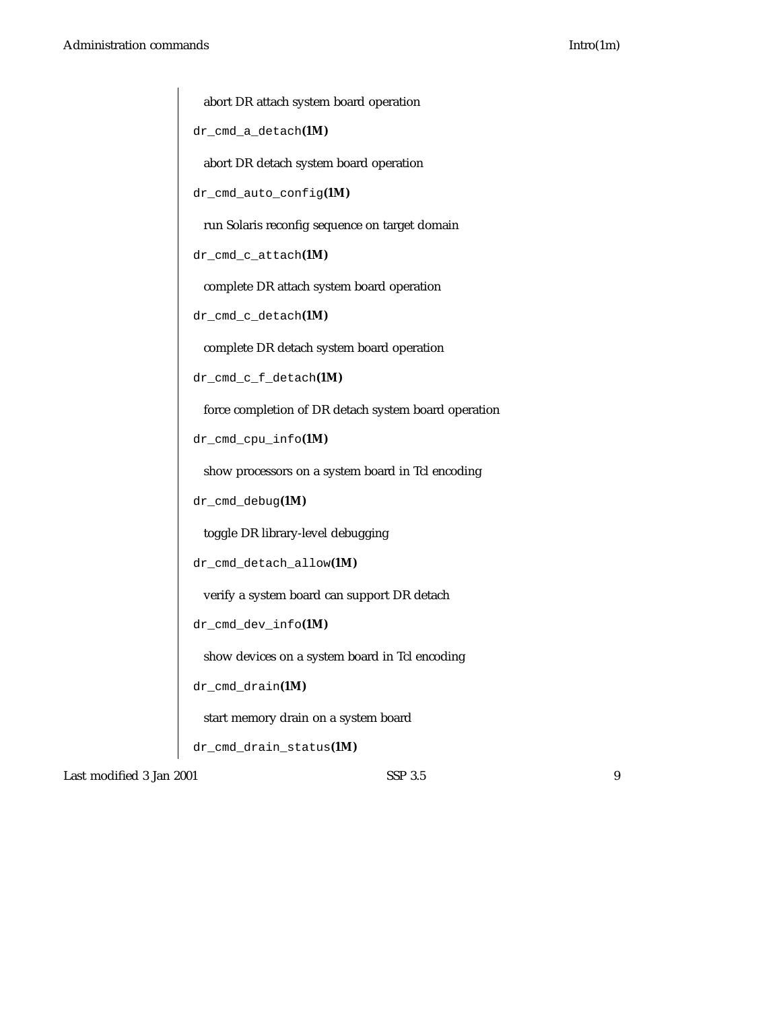abort DR attach system board operation dr\_cmd\_a\_detach**(1M)** abort DR detach system board operation dr\_cmd\_auto\_config**(1M)** run Solaris reconfig sequence on target domain dr\_cmd\_c\_attach**(1M)** complete DR attach system board operation dr\_cmd\_c\_detach**(1M)** complete DR detach system board operation dr\_cmd\_c\_f\_detach**(1M)** force completion of DR detach system board operation dr\_cmd\_cpu\_info**(1M)** show processors on a system board in Tcl encoding dr\_cmd\_debug**(1M)** toggle DR library-level debugging dr\_cmd\_detach\_allow**(1M)** verify a system board can support DR detach dr\_cmd\_dev\_info**(1M)** show devices on a system board in Tcl encoding dr\_cmd\_drain**(1M)** start memory drain on a system board dr\_cmd\_drain\_status**(1M)**

Last modified 3 Jan 2001 SSP 3.5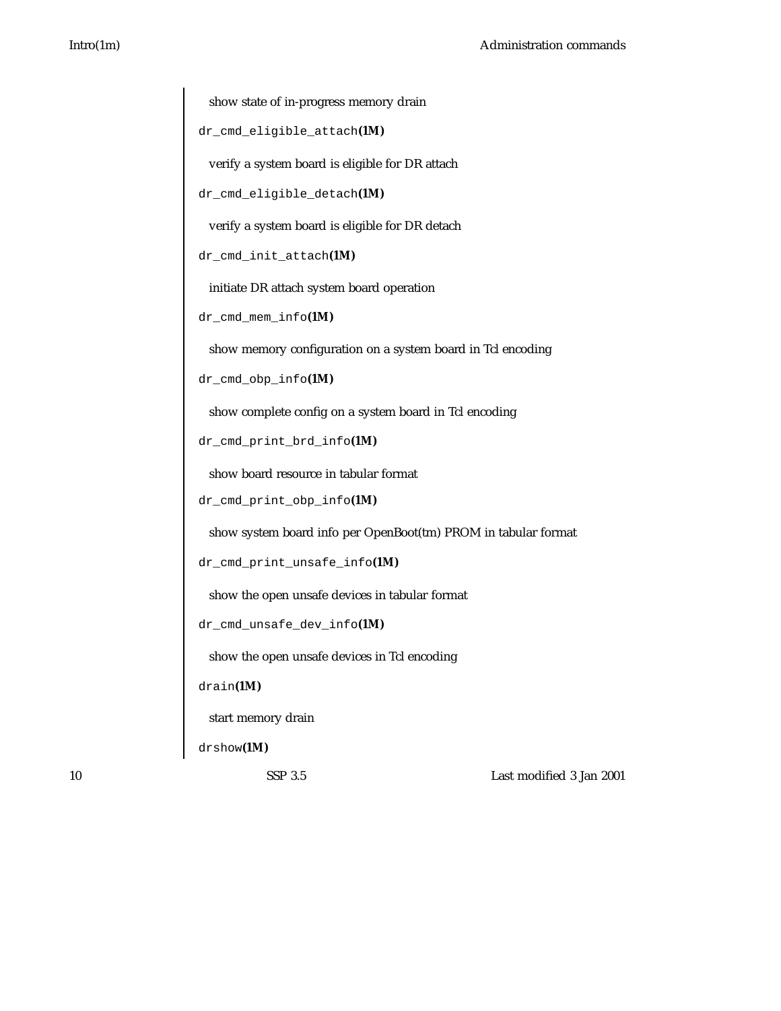```
show state of in-progress memory drain
dr_cmd_eligible_attach(1M)
 verify a system board is eligible for DR attach
dr_cmd_eligible_detach(1M)
 verify a system board is eligible for DR detach
dr_cmd_init_attach(1M)
 initiate DR attach system board operation
dr_cmd_mem_info(1M)
 show memory configuration on a system board in Tcl encoding
dr_cmd_obp_info(1M)
 show complete config on a system board in Tcl encoding
dr_cmd_print_brd_info(1M)
 show board resource in tabular format
dr_cmd_print_obp_info(1M)
 show system board info per OpenBoot(tm) PROM in tabular format
dr_cmd_print_unsafe_info(1M)
 show the open unsafe devices in tabular format
dr_cmd_unsafe_dev_info(1M)
 show the open unsafe devices in Tcl encoding
drain(1M)
 start memory drain
drshow(1M)
```
10 SSP 3.5 Last modified 3 Jan 2001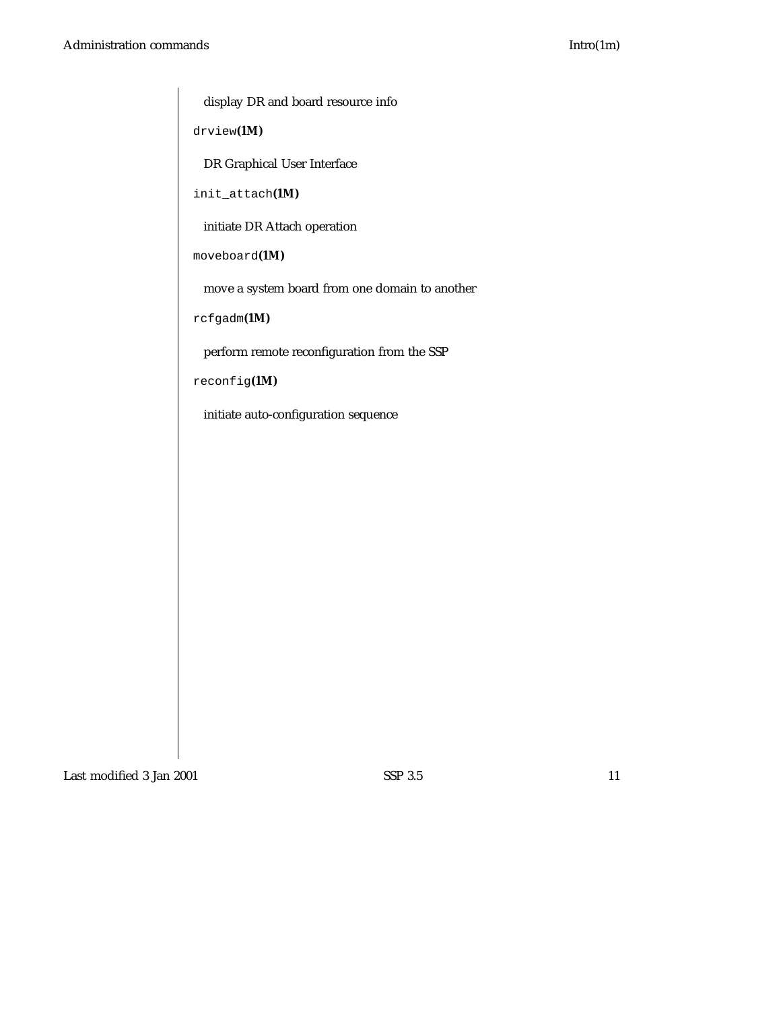display DR and board resource info

drview**(1M)**

DR Graphical User Interface

init\_attach**(1M)**

initiate DR Attach operation

moveboard**(1M)**

move a system board from one domain to another

rcfgadm**(1M)**

perform remote reconfiguration from the SSP

reconfig**(1M)**

initiate auto-configuration sequence

Last modified 3 Jan 2001 SSP 3.5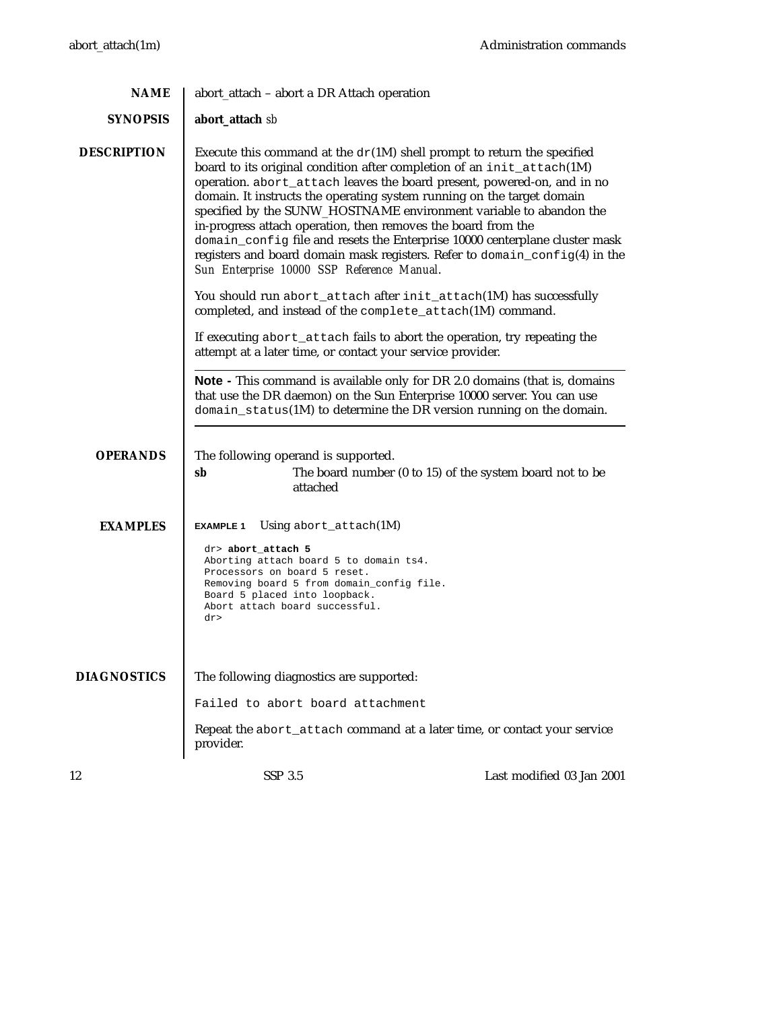| <b>NAME</b>        | abort_attach - abort a DR Attach operation                                                                                                                                                                                                                                                                                                                                                                                                                                                                                                                                                                                                                |                                                          |
|--------------------|-----------------------------------------------------------------------------------------------------------------------------------------------------------------------------------------------------------------------------------------------------------------------------------------------------------------------------------------------------------------------------------------------------------------------------------------------------------------------------------------------------------------------------------------------------------------------------------------------------------------------------------------------------------|----------------------------------------------------------|
| <b>SYNOPSIS</b>    | abort_attach sb                                                                                                                                                                                                                                                                                                                                                                                                                                                                                                                                                                                                                                           |                                                          |
| <b>DESCRIPTION</b> | Execute this command at the $d(x)$ shell prompt to return the specified<br>board to its original condition after completion of an init_attach(1M)<br>operation. abort_attach leaves the board present, powered-on, and in no<br>domain. It instructs the operating system running on the target domain<br>specified by the SUNW_HOSTNAME environment variable to abandon the<br>in-progress attach operation, then removes the board from the<br>domain_config file and resets the Enterprise 10000 centerplane cluster mask<br>registers and board domain mask registers. Refer to domain_config(4) in the<br>Sun Enterprise 10000 SSP Reference Manual. |                                                          |
|                    | You should run abort_attach after init_attach(1M) has successfully<br>completed, and instead of the complete_attach(1M) command.                                                                                                                                                                                                                                                                                                                                                                                                                                                                                                                          |                                                          |
|                    | If executing abort_attach fails to abort the operation, try repeating the<br>attempt at a later time, or contact your service provider.                                                                                                                                                                                                                                                                                                                                                                                                                                                                                                                   |                                                          |
|                    | Note - This command is available only for DR 2.0 domains (that is, domains<br>that use the DR daemon) on the Sun Enterprise 10000 server. You can use<br>domain_status(1M) to determine the DR version running on the domain.                                                                                                                                                                                                                                                                                                                                                                                                                             |                                                          |
| <b>OPERANDS</b>    | The following operand is supported.<br>sb<br>attached                                                                                                                                                                                                                                                                                                                                                                                                                                                                                                                                                                                                     | The board number (0 to 15) of the system board not to be |
| <b>EXAMPLES</b>    | Using abort_attach(1M)<br><b>EXAMPLE 1</b><br>dr> abort_attach 5<br>Aborting attach board 5 to domain ts4.<br>Processors on board 5 reset.<br>Removing board 5 from domain_config file.<br>Board 5 placed into loopback.<br>Abort attach board successful.<br>dr>                                                                                                                                                                                                                                                                                                                                                                                         |                                                          |
| <b>DIAGNOSTICS</b> | The following diagnostics are supported:<br>Failed to abort board attachment<br>Repeat the abort_attach command at a later time, or contact your service<br>provider.                                                                                                                                                                                                                                                                                                                                                                                                                                                                                     |                                                          |
| 12                 | SSP 3.5                                                                                                                                                                                                                                                                                                                                                                                                                                                                                                                                                                                                                                                   | Last modified 03 Jan 2001                                |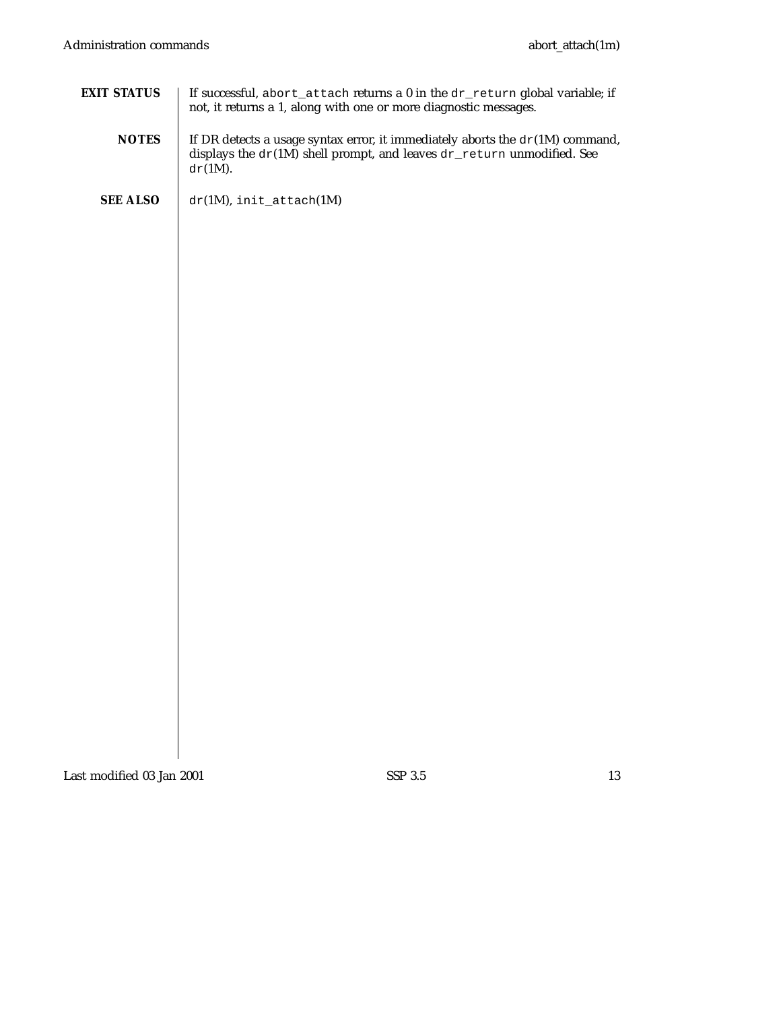| <b>EXIT STATUS</b> | If successful, abort_attach returns a 0 in the dr_return global variable; if<br>not, it returns a 1, along with one or more diagnostic messages.                            |
|--------------------|-----------------------------------------------------------------------------------------------------------------------------------------------------------------------------|
| <b>NOTES</b>       | If DR detects a usage syntax error, it immediately aborts the $d(x)$ command,<br>displays the $dr(1M)$ shell prompt, and leaves $dr_r$ return unmodified. See<br>$dr(1M)$ . |
| <b>SEE ALSO</b>    | $dr(1M)$ , init attach $(1M)$                                                                                                                                               |

Last modified 03 Jan 2001 SSP 3.5 13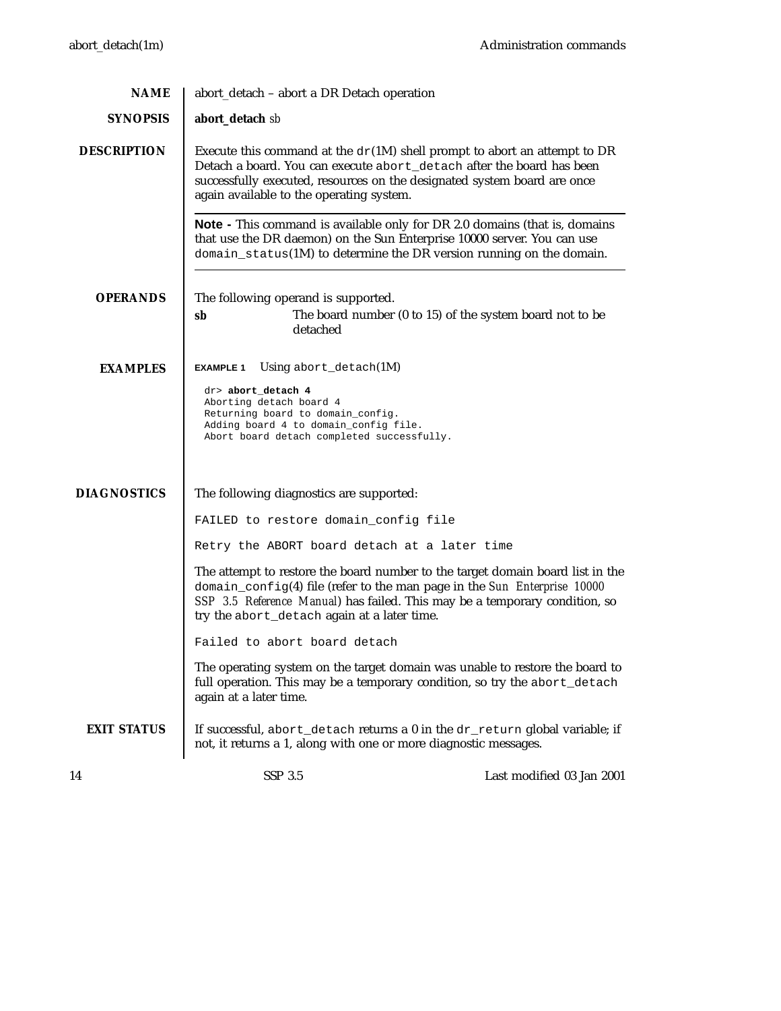| <b>NAME</b>        | abort_detach - abort a DR Detach operation                                                                                                                                                                                                                                   |                                                                                                                                                                                                                                           |
|--------------------|------------------------------------------------------------------------------------------------------------------------------------------------------------------------------------------------------------------------------------------------------------------------------|-------------------------------------------------------------------------------------------------------------------------------------------------------------------------------------------------------------------------------------------|
| <b>SYNOPSIS</b>    | abort_detach sb                                                                                                                                                                                                                                                              |                                                                                                                                                                                                                                           |
| <b>DESCRIPTION</b> | Execute this command at the $dr(1M)$ shell prompt to abort an attempt to DR<br>Detach a board. You can execute abort_detach after the board has been<br>successfully executed, resources on the designated system board are once<br>again available to the operating system. |                                                                                                                                                                                                                                           |
|                    |                                                                                                                                                                                                                                                                              | <b>Note -</b> This command is available only for DR 2.0 domains (that is, domains<br>that use the DR daemon) on the Sun Enterprise 10000 server. You can use<br>domain_status(1M) to determine the DR version running on the domain.      |
| <b>OPERANDS</b>    | The following operand is supported.<br>sb<br>detached                                                                                                                                                                                                                        | The board number (0 to 15) of the system board not to be                                                                                                                                                                                  |
| <b>EXAMPLES</b>    | Using abort_detach(1M)<br><b>EXAMPLE 1</b><br>dr> abort detach 4<br>Aborting detach board 4<br>Returning board to domain_config.<br>Adding board 4 to domain_config file.<br>Abort board detach completed successfully.                                                      |                                                                                                                                                                                                                                           |
| <b>DIAGNOSTICS</b> | The following diagnostics are supported:<br>FAILED to restore domain_config file                                                                                                                                                                                             |                                                                                                                                                                                                                                           |
|                    | Retry the ABORT board detach at a later time                                                                                                                                                                                                                                 |                                                                                                                                                                                                                                           |
|                    | try the abort_detach again at a later time.                                                                                                                                                                                                                                  | The attempt to restore the board number to the target domain board list in the<br>domain_config(4) file (refer to the man page in the Sun Enterprise 10000<br>SSP 3.5 Reference Manual) has failed. This may be a temporary condition, so |
|                    | Failed to abort board detach                                                                                                                                                                                                                                                 |                                                                                                                                                                                                                                           |
|                    | again at a later time.                                                                                                                                                                                                                                                       | The operating system on the target domain was unable to restore the board to<br>full operation. This may be a temporary condition, so try the abort_detach                                                                                |
| <b>EXIT STATUS</b> | not, it returns a 1, along with one or more diagnostic messages.                                                                                                                                                                                                             | If successful, abort_detach returns a 0 in the dr_return global variable; if                                                                                                                                                              |
| 14                 | <b>SSP 3.5</b>                                                                                                                                                                                                                                                               | Last modified 03 Jan 2001                                                                                                                                                                                                                 |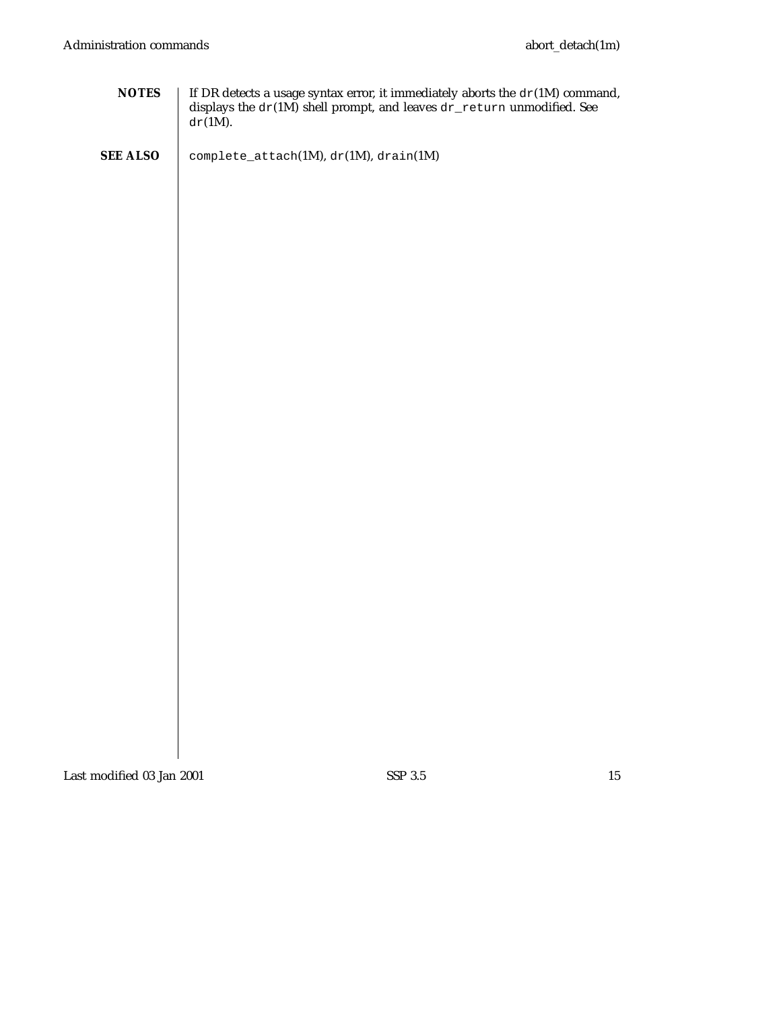**NOTES** If DR detects a usage syntax error, it immediately aborts the  $dr(1M)$  command, displays the  $\text{dr}(\text{1M})$  shell prompt, and leaves  $\text{dr\_return unmodified.}$  See  $\text{dr}(\overline{1M}).$ 

**SEE ALSO** complete\_attach(1M),  $dr(1M)$ , drain(1M)

Last modified 03 Jan 2001 SSP 3.5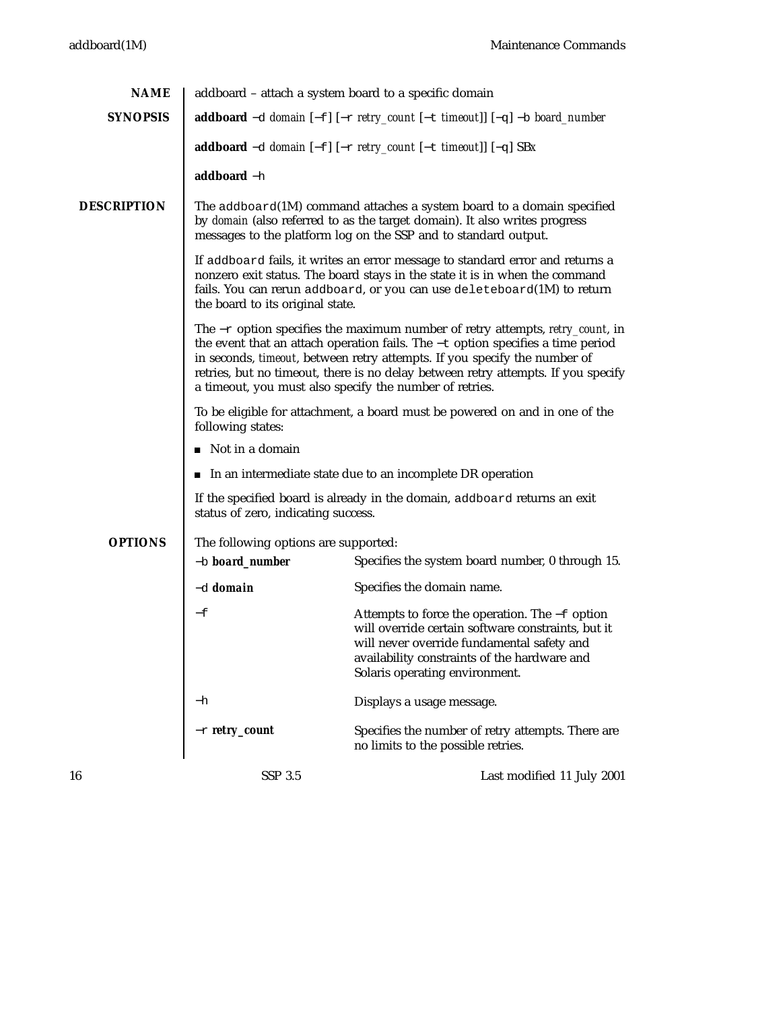| <b>NAME</b>        | addboard - attach a system board to a specific domain   |                                                                                                                                                                                                                                                                                                                                        |
|--------------------|---------------------------------------------------------|----------------------------------------------------------------------------------------------------------------------------------------------------------------------------------------------------------------------------------------------------------------------------------------------------------------------------------------|
| <b>SYNOPSIS</b>    |                                                         | addboard -d domain [-f] [-r retry_count [-t timeout]] [-q] -b board_number                                                                                                                                                                                                                                                             |
|                    |                                                         | <b>addboard</b> $-d$ domain $[-f]$ $[-r$ retry_count $[-t]$ timeout]] $[-q]$ SBx                                                                                                                                                                                                                                                       |
|                    | addboard -h                                             |                                                                                                                                                                                                                                                                                                                                        |
| <b>DESCRIPTION</b> |                                                         | The addboard(1M) command attaches a system board to a domain specified<br>by domain (also referred to as the target domain). It also writes progress<br>messages to the platform log on the SSP and to standard output.                                                                                                                |
|                    | the board to its original state.                        | If addboard fails, it writes an error message to standard error and returns a<br>nonzero exit status. The board stays in the state it is in when the command<br>fails. You can rerun addboard, or you can use deleteboard(1M) to return                                                                                                |
|                    | a timeout, you must also specify the number of retries. | The $-r$ option specifies the maximum number of retry attempts, retry_count, in<br>the event that an attach operation fails. The $-t$ option specifies a time period<br>in seconds, timeout, between retry attempts. If you specify the number of<br>retries, but no timeout, there is no delay between retry attempts. If you specify |
|                    | following states:                                       | To be eligible for attachment, a board must be powered on and in one of the                                                                                                                                                                                                                                                            |
|                    | $\blacksquare$ Not in a domain                          |                                                                                                                                                                                                                                                                                                                                        |
|                    |                                                         | In an intermediate state due to an incomplete DR operation                                                                                                                                                                                                                                                                             |
|                    | status of zero, indicating success.                     | If the specified board is already in the domain, addboard returns an exit                                                                                                                                                                                                                                                              |
| <b>OPTIONS</b>     | The following options are supported:                    |                                                                                                                                                                                                                                                                                                                                        |
|                    | -b board_number                                         | Specifies the system board number, 0 through 15.                                                                                                                                                                                                                                                                                       |
|                    | -d domain                                               | Specifies the domain name.                                                                                                                                                                                                                                                                                                             |
|                    | -f                                                      | Attempts to force the operation. The $-f$ option<br>will override certain software constraints, but it<br>will never override fundamental safety and<br>availability constraints of the hardware and<br>Solaris operating environment.                                                                                                 |
|                    | -h                                                      | Displays a usage message.                                                                                                                                                                                                                                                                                                              |
|                    | -r retry_count                                          | Specifies the number of retry attempts. There are<br>no limits to the possible retries.                                                                                                                                                                                                                                                |
| 16                 | SSP 3.5                                                 | Last modified 11 July 2001                                                                                                                                                                                                                                                                                                             |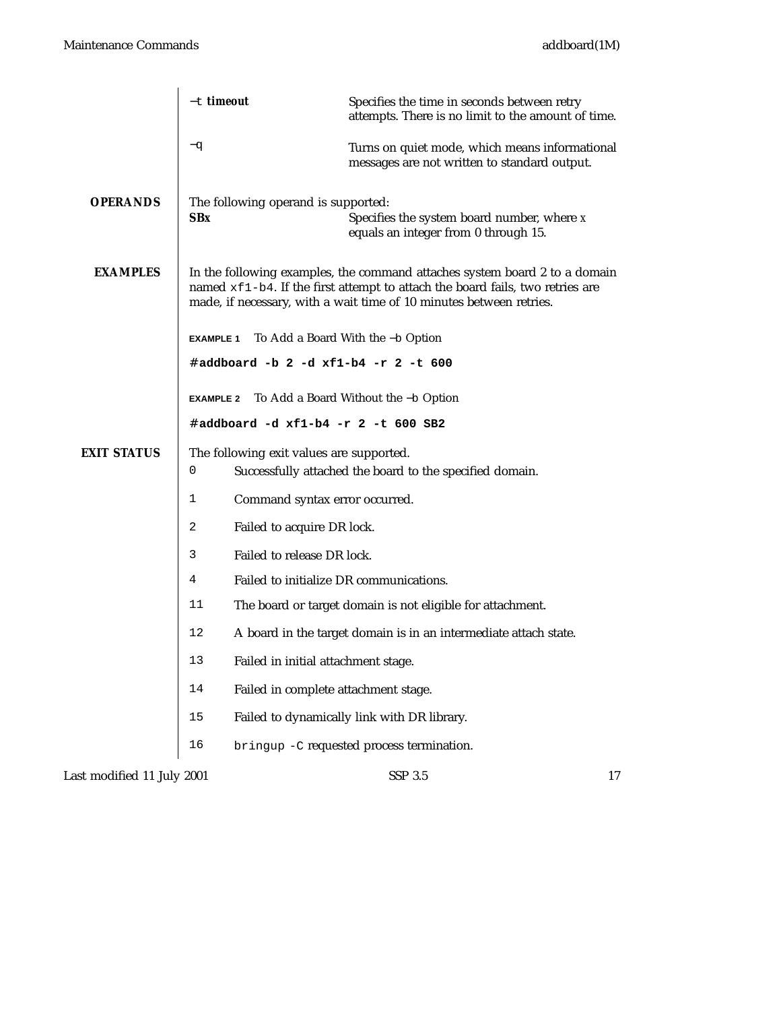|                 | -t timeout                                              | Specifies the time in seconds between retry<br>attempts. There is no limit to the amount of time.                                                                                                                                  |
|-----------------|---------------------------------------------------------|------------------------------------------------------------------------------------------------------------------------------------------------------------------------------------------------------------------------------------|
|                 | -q                                                      | Turns on quiet mode, which means informational<br>messages are not written to standard output.                                                                                                                                     |
| <b>OPERANDS</b> | The following operand is supported:<br>SBX              | Specifies the system board number, where x<br>equals an integer from 0 through 15.                                                                                                                                                 |
| <b>EXAMPLES</b> |                                                         | In the following examples, the command attaches system board 2 to a domain<br>named xf1-b4. If the first attempt to attach the board fails, two retries are<br>made, if necessary, with a wait time of 10 minutes between retries. |
|                 | <b>EXAMPLE 1</b>                                        | To Add a Board With the -b Option                                                                                                                                                                                                  |
|                 | # addboard -b 2 -d xf1-b4 -r 2 -t 600                   |                                                                                                                                                                                                                                    |
|                 | <b>EXAMPLE 2</b> To Add a Board Without the $-b$ Option |                                                                                                                                                                                                                                    |
|                 | # addboard -d xf1-b4 -r 2 -t 600 SB2                    |                                                                                                                                                                                                                                    |
| EXIT STATUS     | The following exit values are supported.<br>0           | Successfully attached the board to the specified domain.                                                                                                                                                                           |
|                 | 1<br>Command syntax error occurred.                     |                                                                                                                                                                                                                                    |
|                 | 2<br>Failed to acquire DR lock.                         |                                                                                                                                                                                                                                    |
|                 | Failed to release DR lock.<br>3                         |                                                                                                                                                                                                                                    |
|                 | 4                                                       | Failed to initialize DR communications.                                                                                                                                                                                            |
|                 | 11                                                      | The board or target domain is not eligible for attachment.                                                                                                                                                                         |
|                 | 12                                                      | A board in the target domain is in an intermediate attach state.                                                                                                                                                                   |
|                 | 13<br>Failed in initial attachment stage.               |                                                                                                                                                                                                                                    |
|                 | Failed in complete attachment stage.<br>14              |                                                                                                                                                                                                                                    |
|                 | 15                                                      | Failed to dynamically link with DR library.                                                                                                                                                                                        |
|                 | 16                                                      | bringup -C requested process termination.                                                                                                                                                                                          |
|                 |                                                         |                                                                                                                                                                                                                                    |

Last modified 11 July 2001 SSP 3.5 17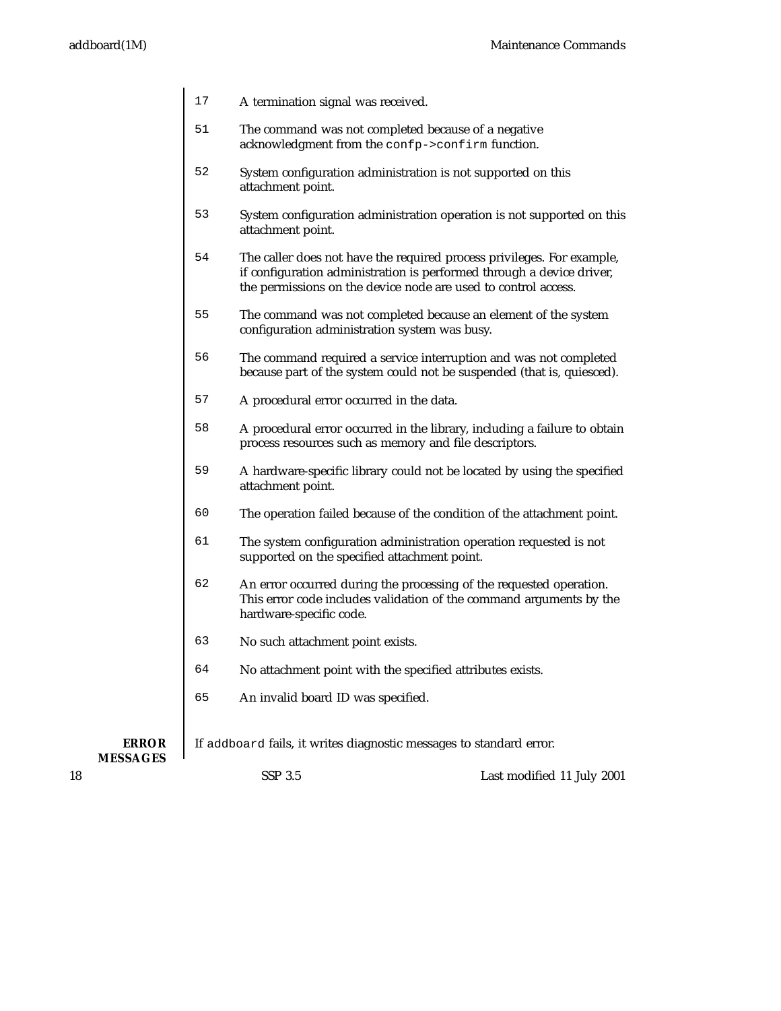- 17 A termination signal was received.
- 51 The command was not completed because of a negative acknowledgment from the confp->confirm function.
- 52 System configuration administration is not supported on this attachment point.
- 53 System configuration administration operation is not supported on this attachment point.
- 54 The caller does not have the required process privileges. For example, if configuration administration is performed through a device driver, the permissions on the device node are used to control access.
- 55 The command was not completed because an element of the system configuration administration system was busy.
- 56 The command required a service interruption and was not completed because part of the system could not be suspended (that is, quiesced).
- 57 A procedural error occurred in the data.
- 58 A procedural error occurred in the library, including a failure to obtain process resources such as memory and file descriptors.
- 59 A hardware-specific library could not be located by using the specified attachment point.
- 60 The operation failed because of the condition of the attachment point.
- 61 The system configuration administration operation requested is not supported on the specified attachment point.
- 62 An error occurred during the processing of the requested operation. This error code includes validation of the command arguments by the hardware-specific code.
- 63 No such attachment point exists.
- 64 No attachment point with the specified attributes exists.
- 65 An invalid board ID was specified.

**ERROR** If addboard fails, it writes diagnostic messages to standard error.

- **MESSAGES**
- 

18 SSP 3.5 Last modified 11 July 2001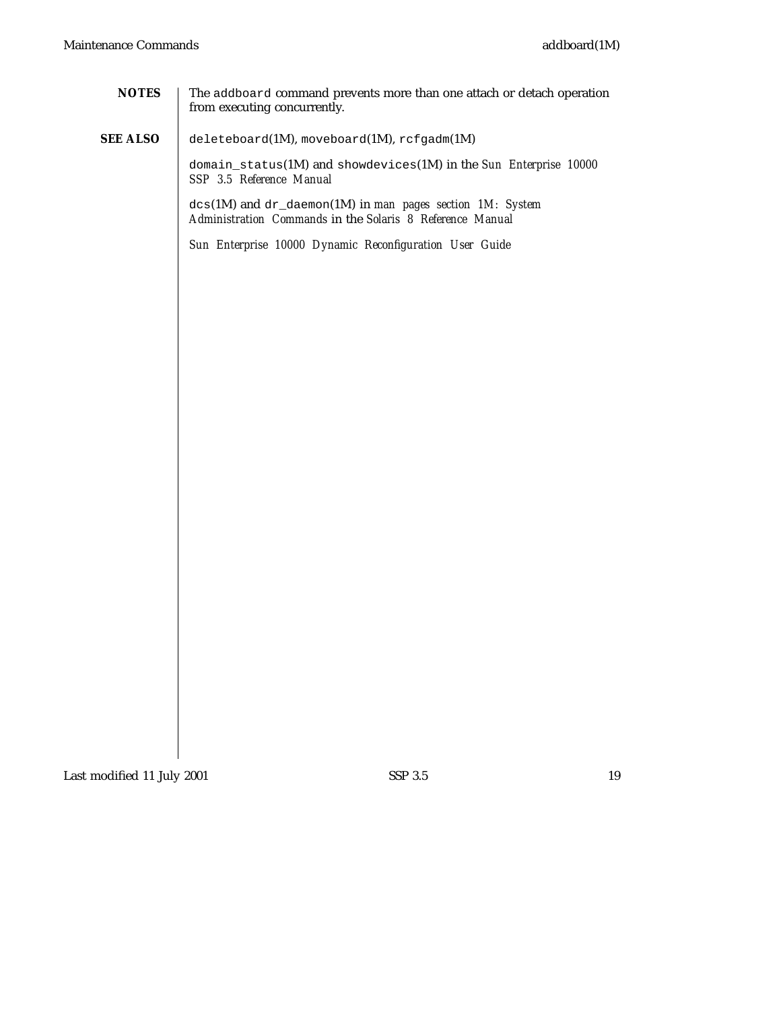- **NOTES** The addboard command prevents more than one attach or detach operation from executing concurrently.
- SEE ALSO <br>deleteboard(1M), moveboard(1M), rcfgadm(1M)

domain\_status(1M) and showdevices(1M) in the *Sun Enterprise 10000 SSP 3.5 Reference Manual*

dcs(1M) and dr\_daemon(1M) in *man pages section 1M: System Administration Commands* in the *Solaris 8 Reference Manual*

*Sun Enterprise 10000 Dynamic Reconfiguration User Guide*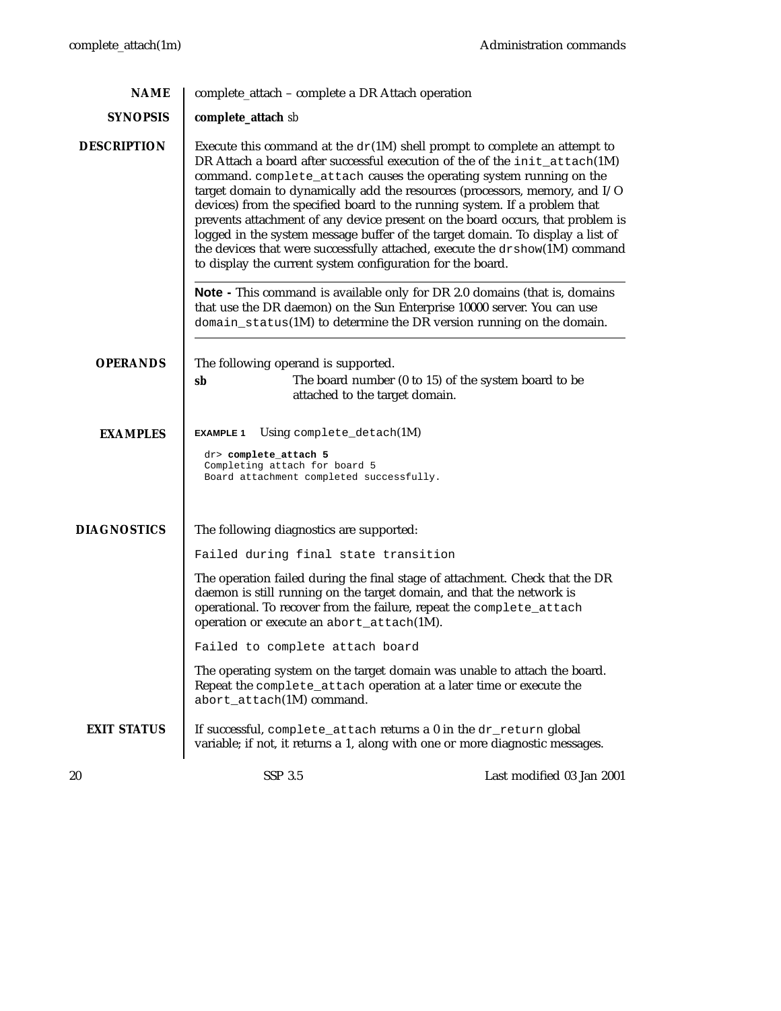| <b>NAME</b>        | complete_attach - complete a DR Attach operation                                                                                                                                                                                                                                                                                                                                                                                                                                                                                                                                                                                                                                                              |                                                                                                                                                                                                                                      |
|--------------------|---------------------------------------------------------------------------------------------------------------------------------------------------------------------------------------------------------------------------------------------------------------------------------------------------------------------------------------------------------------------------------------------------------------------------------------------------------------------------------------------------------------------------------------------------------------------------------------------------------------------------------------------------------------------------------------------------------------|--------------------------------------------------------------------------------------------------------------------------------------------------------------------------------------------------------------------------------------|
| <b>SYNOPSIS</b>    | complete_attach sb                                                                                                                                                                                                                                                                                                                                                                                                                                                                                                                                                                                                                                                                                            |                                                                                                                                                                                                                                      |
| <b>DESCRIPTION</b> | Execute this command at the $dr(M)$ shell prompt to complete an attempt to<br>DR Attach a board after successful execution of the of the init_attach(1M)<br>command. complete_attach causes the operating system running on the<br>target domain to dynamically add the resources (processors, memory, and I/O<br>devices) from the specified board to the running system. If a problem that<br>prevents attachment of any device present on the board occurs, that problem is<br>logged in the system message buffer of the target domain. To display a list of<br>the devices that were successfully attached, execute the drshow(1M) command<br>to display the current system configuration for the board. |                                                                                                                                                                                                                                      |
|                    |                                                                                                                                                                                                                                                                                                                                                                                                                                                                                                                                                                                                                                                                                                               | <b>Note -</b> This command is available only for DR 2.0 domains (that is, domains<br>that use the DR daemon) on the Sun Enterprise 10000 server. You can use<br>domain_status(1M) to determine the DR version running on the domain. |
| <b>OPERANDS</b>    | The following operand is supported.<br>sb<br>attached to the target domain.                                                                                                                                                                                                                                                                                                                                                                                                                                                                                                                                                                                                                                   | The board number (0 to 15) of the system board to be                                                                                                                                                                                 |
| <b>EXAMPLES</b>    | Using complete_detach(1M)<br><b>EXAMPLE 1</b>                                                                                                                                                                                                                                                                                                                                                                                                                                                                                                                                                                                                                                                                 |                                                                                                                                                                                                                                      |
|                    | dr> complete_attach 5<br>Completing attach for board 5<br>Board attachment completed successfully.                                                                                                                                                                                                                                                                                                                                                                                                                                                                                                                                                                                                            |                                                                                                                                                                                                                                      |
| <b>DIAGNOSTICS</b> | The following diagnostics are supported:                                                                                                                                                                                                                                                                                                                                                                                                                                                                                                                                                                                                                                                                      |                                                                                                                                                                                                                                      |
|                    | Failed during final state transition                                                                                                                                                                                                                                                                                                                                                                                                                                                                                                                                                                                                                                                                          |                                                                                                                                                                                                                                      |
|                    | daemon is still running on the target domain, and that the network is<br>operational. To recover from the failure, repeat the complete_attach<br>operation or execute an abort_attach(1M).                                                                                                                                                                                                                                                                                                                                                                                                                                                                                                                    | The operation failed during the final stage of attachment. Check that the DR                                                                                                                                                         |
|                    | Failed to complete attach board                                                                                                                                                                                                                                                                                                                                                                                                                                                                                                                                                                                                                                                                               |                                                                                                                                                                                                                                      |
|                    | Repeat the complete_attach operation at a later time or execute the<br>abort_attach(1M) command.                                                                                                                                                                                                                                                                                                                                                                                                                                                                                                                                                                                                              | The operating system on the target domain was unable to attach the board.                                                                                                                                                            |
| <b>EXIT STATUS</b> | If successful, complete_attach returns a 0 in the dr_return global                                                                                                                                                                                                                                                                                                                                                                                                                                                                                                                                                                                                                                            | variable; if not, it returns a 1, along with one or more diagnostic messages.                                                                                                                                                        |
| 20                 | SSP 3.5                                                                                                                                                                                                                                                                                                                                                                                                                                                                                                                                                                                                                                                                                                       | Last modified 03 Jan 2001                                                                                                                                                                                                            |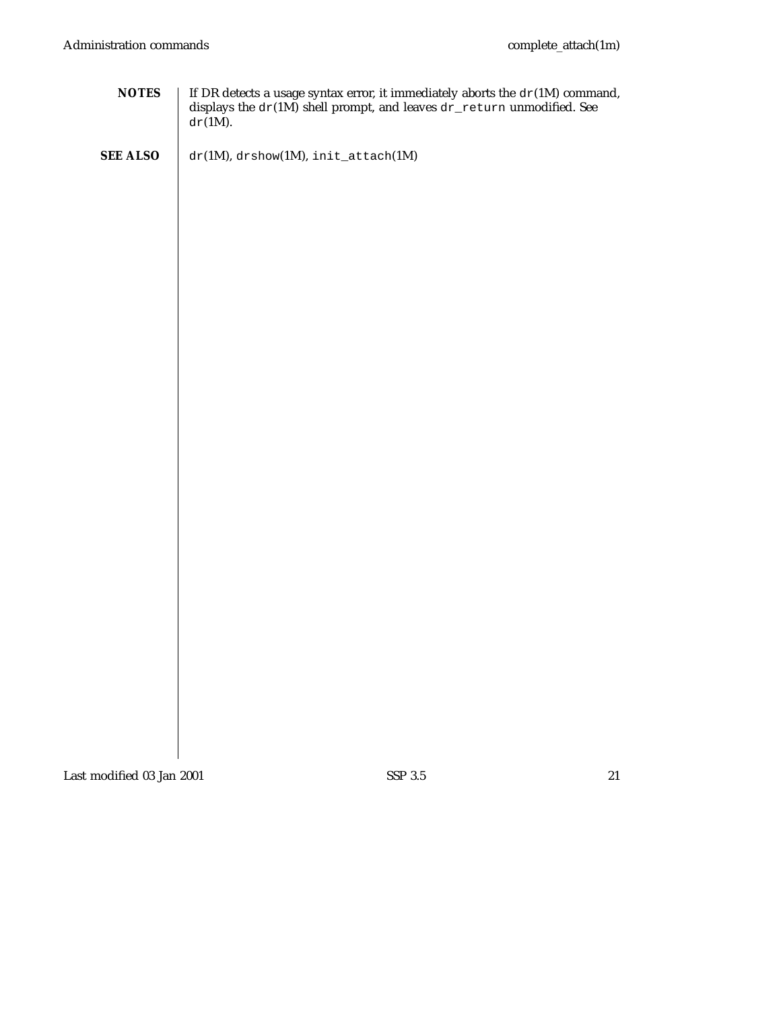**NOTES** If DR detects a usage syntax error, it immediately aborts the  $dr(1M)$  command, displays the  $\text{dr}(\text{1M})$  shell prompt, and leaves  $\text{dr\_return unmodified.}$  See  $\text{dr}(\overline{1M}).$ 

**SEE ALSO** dr(1M), drshow(1M), init\_attach(1M)

Last modified 03 Jan 2001 SSP 3.5 21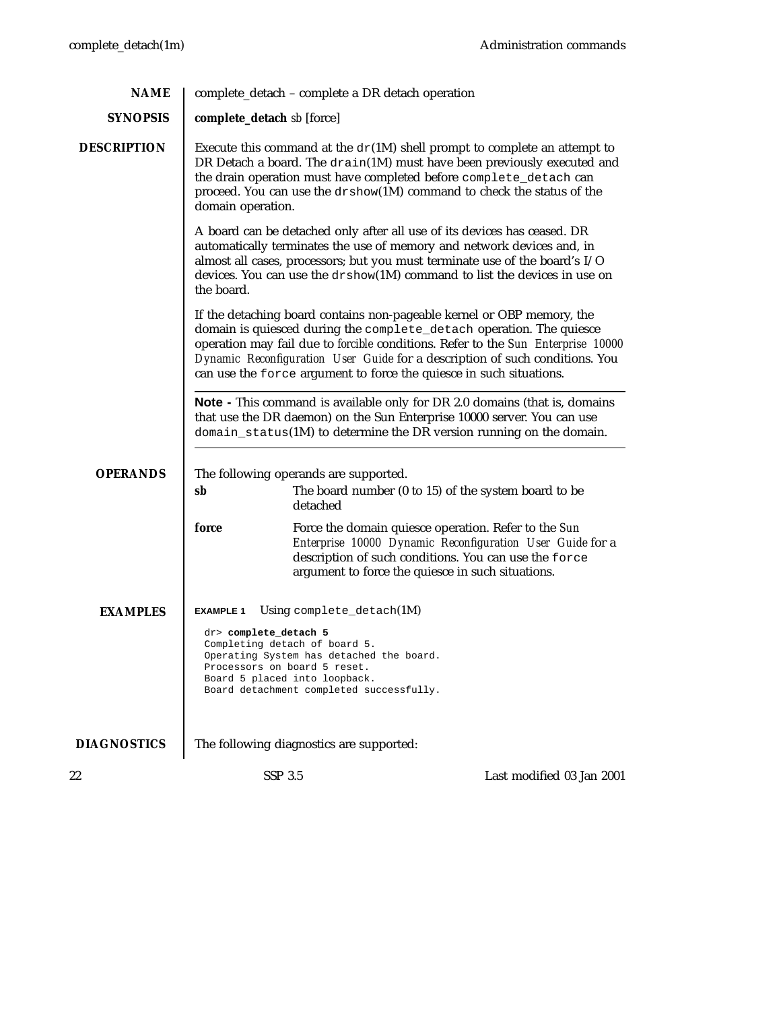| <b>NAME</b>        | complete_detach - complete a DR detach operation                                                                                                                                                                                                                                                                           |                                                                                                                                                                                                                                   |                                                                                                                                                                  |
|--------------------|----------------------------------------------------------------------------------------------------------------------------------------------------------------------------------------------------------------------------------------------------------------------------------------------------------------------------|-----------------------------------------------------------------------------------------------------------------------------------------------------------------------------------------------------------------------------------|------------------------------------------------------------------------------------------------------------------------------------------------------------------|
| <b>SYNOPSIS</b>    | complete_detach sb [force]                                                                                                                                                                                                                                                                                                 |                                                                                                                                                                                                                                   |                                                                                                                                                                  |
| <b>DESCRIPTION</b> | Execute this command at the $dr(M)$ shell prompt to complete an attempt to<br>DR Detach a board. The drain(1M) must have been previously executed and<br>the drain operation must have completed before complete_detach can<br>proceed. You can use the drshow(1M) command to check the status of the<br>domain operation. |                                                                                                                                                                                                                                   |                                                                                                                                                                  |
|                    | the board.                                                                                                                                                                                                                                                                                                                 | A board can be detached only after all use of its devices has ceased. DR<br>automatically terminates the use of memory and network devices and, in<br>almost all cases, processors; but you must terminate use of the board's I/O | devices. You can use the drshow(1M) command to list the devices in use on                                                                                        |
|                    |                                                                                                                                                                                                                                                                                                                            | If the detaching board contains non-pageable kernel or OBP memory, the<br>domain is quiesced during the complete_detach operation. The quiesce<br>can use the force argument to force the quiesce in such situations.             | operation may fail due to forcible conditions. Refer to the Sun Enterprise 10000<br>Dynamic Reconfiguration User Guide for a description of such conditions. You |
|                    |                                                                                                                                                                                                                                                                                                                            | that use the DR daemon) on the Sun Enterprise 10000 server. You can use<br>domain_status(1M) to determine the DR version running on the domain.                                                                                   | <b>Note -</b> This command is available only for DR 2.0 domains (that is, domains                                                                                |
| <b>OPERANDS</b>    |                                                                                                                                                                                                                                                                                                                            |                                                                                                                                                                                                                                   |                                                                                                                                                                  |
|                    | sb                                                                                                                                                                                                                                                                                                                         | The following operands are supported.<br>The board number (0 to 15) of the system board to be<br>detached                                                                                                                         |                                                                                                                                                                  |
|                    | force                                                                                                                                                                                                                                                                                                                      | Force the domain quiesce operation. Refer to the Sun<br>description of such conditions. You can use the force<br>argument to force the quiesce in such situations.                                                                | Enterprise 10000 Dynamic Reconfiguration User Guide for a                                                                                                        |
| <b>EXAMPLES</b>    | <b>EXAMPLE 1</b>                                                                                                                                                                                                                                                                                                           | Using complete_detach(1M)                                                                                                                                                                                                         |                                                                                                                                                                  |
|                    | dr> complete_detach 5                                                                                                                                                                                                                                                                                                      | Completing detach of board 5.<br>Operating System has detached the board.<br>Processors on board 5 reset.<br>Board 5 placed into loopback.<br>Board detachment completed successfully.                                            |                                                                                                                                                                  |
| <b>DIAGNOSTICS</b> |                                                                                                                                                                                                                                                                                                                            | The following diagnostics are supported:                                                                                                                                                                                          |                                                                                                                                                                  |
| 22                 |                                                                                                                                                                                                                                                                                                                            | SSP 3.5                                                                                                                                                                                                                           | Last modified 03 Jan 2001                                                                                                                                        |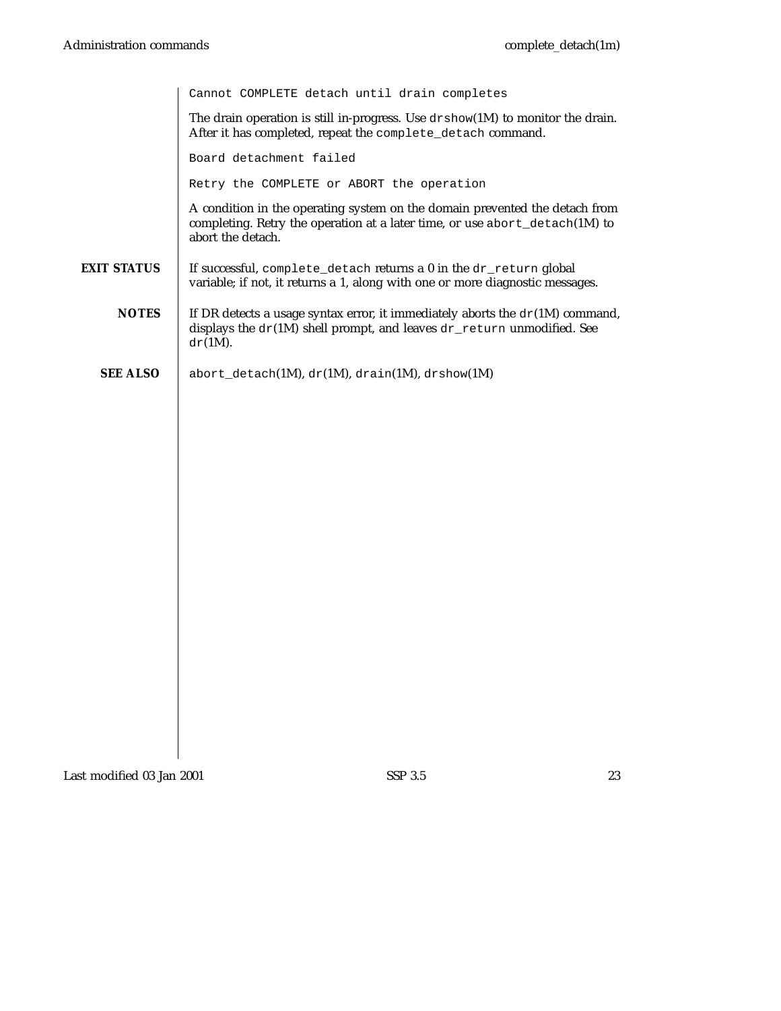|                    | Cannot COMPLETE detach until drain completes                                                                                                                                    |
|--------------------|---------------------------------------------------------------------------------------------------------------------------------------------------------------------------------|
|                    | The drain operation is still in-progress. Use drshow(1M) to monitor the drain.<br>After it has completed, repeat the complete_detach command.                                   |
|                    | Board detachment failed                                                                                                                                                         |
|                    | Retry the COMPLETE or ABORT the operation                                                                                                                                       |
|                    | A condition in the operating system on the domain prevented the detach from<br>completing. Retry the operation at a later time, or use abort_detach(1M) to<br>abort the detach. |
| <b>EXIT STATUS</b> | If successful, complete_detach returns a 0 in the dr_return global<br>variable; if not, it returns a 1, along with one or more diagnostic messages.                             |
| <b>NOTES</b>       | If DR detects a usage syntax error, it immediately aborts the $d(x)$ command,<br>displays the dr(1M) shell prompt, and leaves dr_return unmodified. See<br>$dr(1M)$ .           |
| <b>SEE ALSO</b>    | $abort\_detach(1M), dr(1M), drain(1M), drshow(1M)$                                                                                                                              |
|                    |                                                                                                                                                                                 |
|                    |                                                                                                                                                                                 |
|                    |                                                                                                                                                                                 |
|                    |                                                                                                                                                                                 |
|                    |                                                                                                                                                                                 |

Last modified 03 Jan 2001 SSP 3.5 23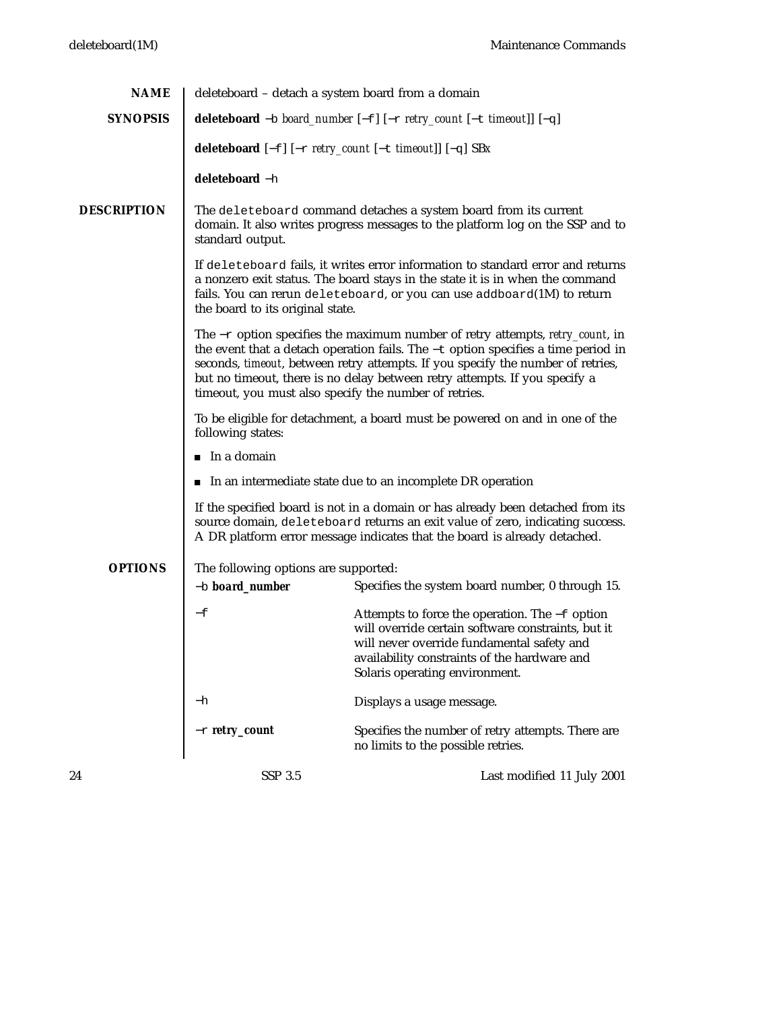| <b>NAME</b>        | deleteboard - detach a system board from a domain                                   |                                                                                                                                                                                                                                                                                                                                         |
|--------------------|-------------------------------------------------------------------------------------|-----------------------------------------------------------------------------------------------------------------------------------------------------------------------------------------------------------------------------------------------------------------------------------------------------------------------------------------|
| <b>SYNOPSIS</b>    | <b>deleteboard</b> -b board_number $[-f]$ $[-r$ retry_count $[-t]$ timeout]] $[-q]$ |                                                                                                                                                                                                                                                                                                                                         |
|                    | deleteboard $[-f]$ $[-r$ retry_count $[-t]$ timeout]] $[-q]$ SBx                    |                                                                                                                                                                                                                                                                                                                                         |
|                    | deleteboard-h                                                                       |                                                                                                                                                                                                                                                                                                                                         |
| <b>DESCRIPTION</b> | standard output.                                                                    | The deleteboard command detaches a system board from its current<br>domain. It also writes progress messages to the platform log on the SSP and to                                                                                                                                                                                      |
|                    | the board to its original state.                                                    | If deleteboard fails, it writes error information to standard error and returns<br>a nonzero exit status. The board stays in the state it is in when the command<br>fails. You can rerun deleteboard, or you can use addboard(1M) to return                                                                                             |
|                    | timeout, you must also specify the number of retries.                               | The $-r$ option specifies the maximum number of retry attempts, retry_count, in<br>the event that a detach operation fails. The $-t$ option specifies a time period in<br>seconds, timeout, between retry attempts. If you specify the number of retries,<br>but no timeout, there is no delay between retry attempts. If you specify a |
|                    | following states:                                                                   | To be eligible for detachment, a board must be powered on and in one of the                                                                                                                                                                                                                                                             |
|                    | $\blacksquare$ In a domain                                                          |                                                                                                                                                                                                                                                                                                                                         |
|                    |                                                                                     | In an intermediate state due to an incomplete DR operation                                                                                                                                                                                                                                                                              |
|                    |                                                                                     | If the specified board is not in a domain or has already been detached from its<br>source domain, deleteboard returns an exit value of zero, indicating success.<br>A DR platform error message indicates that the board is already detached.                                                                                           |
| <b>OPTIONS</b>     | The following options are supported:                                                |                                                                                                                                                                                                                                                                                                                                         |
|                    | -b board_number                                                                     | Specifies the system board number, 0 through 15.                                                                                                                                                                                                                                                                                        |
|                    | -f                                                                                  | Attempts to force the operation. The $-f$ option<br>will override certain software constraints, but it<br>will never override fundamental safety and<br>availability constraints of the hardware and<br>Solaris operating environment.                                                                                                  |
|                    | $-h$                                                                                | Displays a usage message.                                                                                                                                                                                                                                                                                                               |
|                    | -r retry_count                                                                      | Specifies the number of retry attempts. There are<br>no limits to the possible retries.                                                                                                                                                                                                                                                 |
| 24                 | SSP 3.5                                                                             | Last modified 11 July 2001                                                                                                                                                                                                                                                                                                              |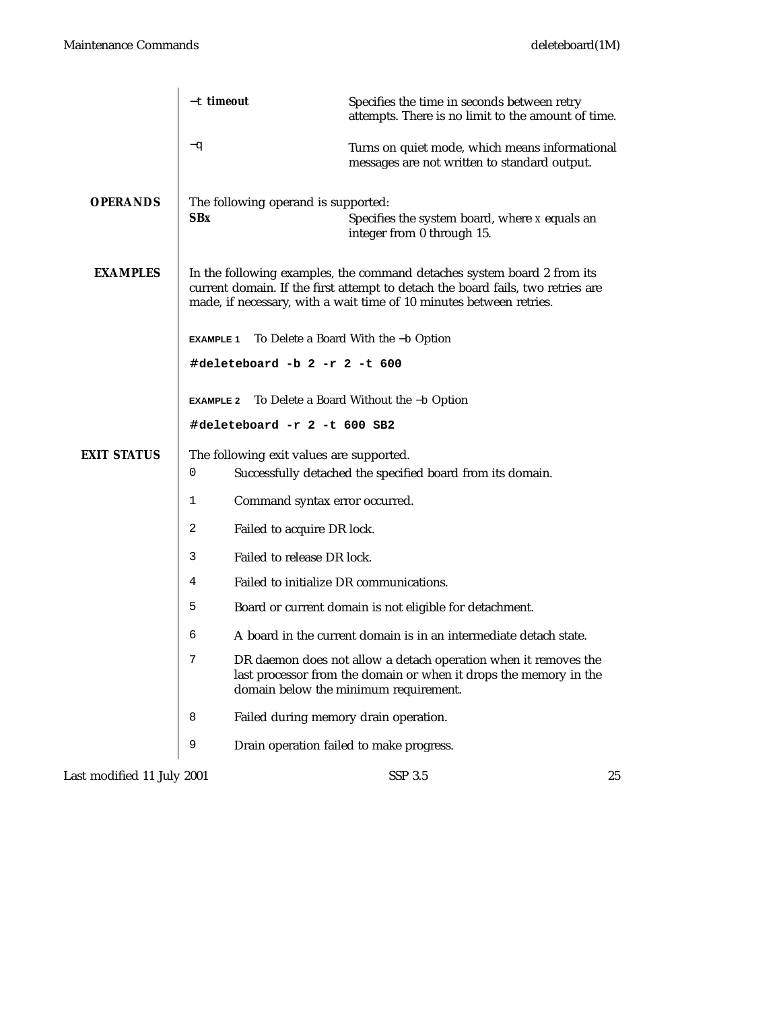|                 | -t timeout                                    | Specifies the time in seconds between retry<br>attempts. There is no limit to the amount of time.                                                                                                                                 |
|-----------------|-----------------------------------------------|-----------------------------------------------------------------------------------------------------------------------------------------------------------------------------------------------------------------------------------|
|                 | -d                                            | Turns on quiet mode, which means informational<br>messages are not written to standard output.                                                                                                                                    |
| <b>OPERANDS</b> | The following operand is supported:<br>SBX    | Specifies the system board, where x equals an<br>integer from 0 through 15.                                                                                                                                                       |
| <b>EXAMPLES</b> |                                               | In the following examples, the command detaches system board 2 from its<br>current domain. If the first attempt to detach the board fails, two retries are<br>made, if necessary, with a wait time of 10 minutes between retries. |
|                 | <b>EXAMPLE 1</b>                              | To Delete a Board With the -b Option                                                                                                                                                                                              |
|                 | # deleteboard -b 2 -r 2 -t 600                |                                                                                                                                                                                                                                   |
|                 | <b>EXAMPLE 2</b>                              | To Delete a Board Without the -b Option                                                                                                                                                                                           |
|                 | # deleteboard -r 2 -t 600 SB2                 |                                                                                                                                                                                                                                   |
| EXIT STATUS     | The following exit values are supported.<br>0 | Successfully detached the specified board from its domain.                                                                                                                                                                        |
|                 | 1<br>Command syntax error occurred.           |                                                                                                                                                                                                                                   |
|                 | 2<br>Failed to acquire DR lock.               |                                                                                                                                                                                                                                   |
|                 | Failed to release DR lock.<br>3               |                                                                                                                                                                                                                                   |
|                 | 4                                             | Failed to initialize DR communications.                                                                                                                                                                                           |
|                 | 5                                             | Board or current domain is not eligible for detachment.                                                                                                                                                                           |
|                 | 6                                             | A board in the current domain is in an intermediate detach state.                                                                                                                                                                 |
|                 | 7                                             | DR daemon does not allow a detach operation when it removes the<br>last processor from the domain or when it drops the memory in the<br>domain below the minimum requirement.                                                     |
|                 | 8                                             | Failed during memory drain operation.                                                                                                                                                                                             |
|                 | 9                                             | Drain operation failed to make progress.                                                                                                                                                                                          |
|                 |                                               |                                                                                                                                                                                                                                   |

Last modified 11 July 2001 SSP 3.5 25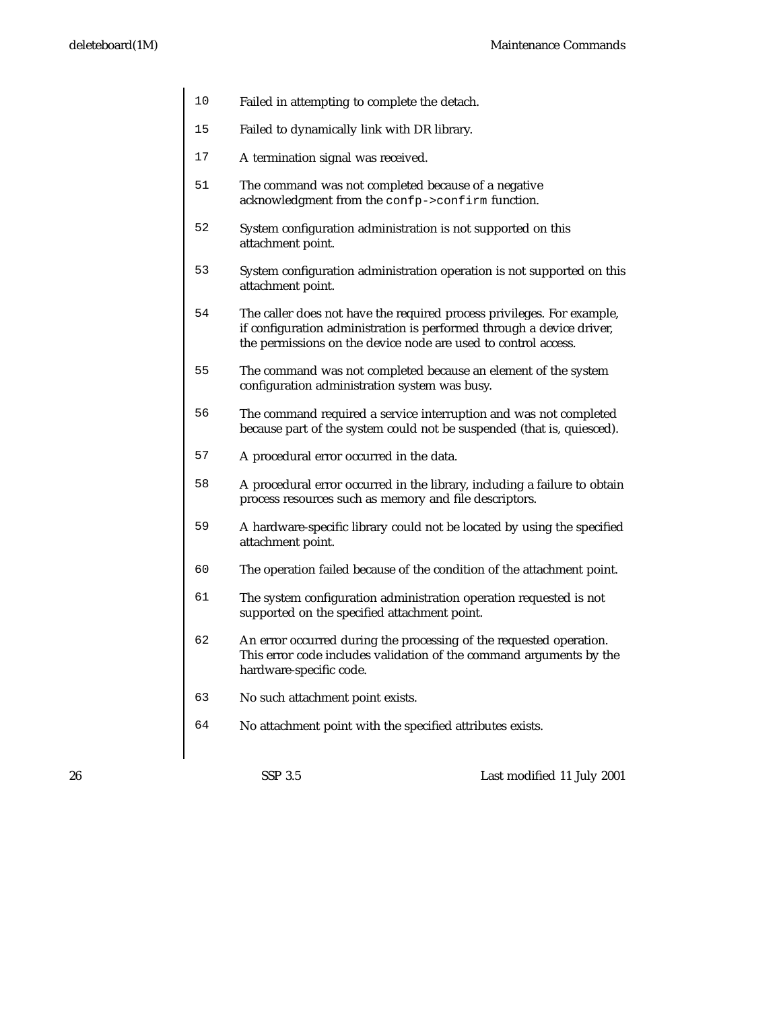- 10 Failed in attempting to complete the detach.
- 15 Failed to dynamically link with DR library.
- 17 A termination signal was received.
- 51 The command was not completed because of a negative acknowledgment from the confp->confirm function.
- 52 System configuration administration is not supported on this attachment point.
- 53 System configuration administration operation is not supported on this attachment point.
- 54 The caller does not have the required process privileges. For example, if configuration administration is performed through a device driver, the permissions on the device node are used to control access.
- 55 The command was not completed because an element of the system configuration administration system was busy.
- 56 The command required a service interruption and was not completed because part of the system could not be suspended (that is, quiesced).
- 57 A procedural error occurred in the data.
- 58 A procedural error occurred in the library, including a failure to obtain process resources such as memory and file descriptors.
- 59 A hardware-specific library could not be located by using the specified attachment point.
- 60 The operation failed because of the condition of the attachment point.
- 61 The system configuration administration operation requested is not supported on the specified attachment point.
- 62 An error occurred during the processing of the requested operation. This error code includes validation of the command arguments by the hardware-specific code.
- 63 No such attachment point exists.
- 64 No attachment point with the specified attributes exists.

26 SSP 3.5 Last modified 11 July 2001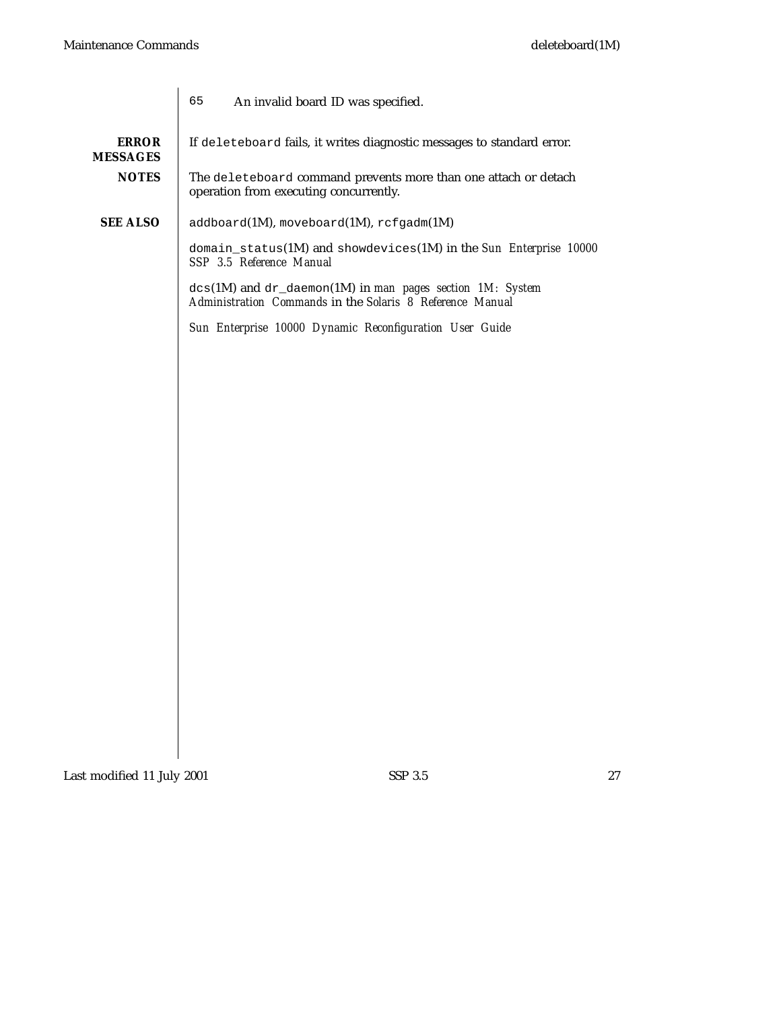|                                 | 65<br>An invalid board ID was specified.                                                                               |
|---------------------------------|------------------------------------------------------------------------------------------------------------------------|
| <b>ERROR</b><br><b>MESSAGES</b> | If deleteboard fails, it writes diagnostic messages to standard error.                                                 |
| <b>NOTES</b>                    | The deleteboard command prevents more than one attach or detach<br>operation from executing concurrently.              |
| <b>SEE ALSO</b>                 | addboard(1M), moveboard(1M), rcfgadm(1M)                                                                               |
|                                 | domain_status(1M) and showdevices(1M) in the Sun Enterprise 10000<br>SSP 3.5 Reference Manual                          |
|                                 | dcs(1M) and dr_daemon(1M) in man pages section 1M: System<br>Administration Commands in the Solaris 8 Reference Manual |
|                                 | Sun Enterprise 10000 Dynamic Reconfiguration User Guide                                                                |
|                                 |                                                                                                                        |
|                                 |                                                                                                                        |
|                                 |                                                                                                                        |
|                                 |                                                                                                                        |
|                                 |                                                                                                                        |
|                                 |                                                                                                                        |
|                                 |                                                                                                                        |
|                                 |                                                                                                                        |
|                                 |                                                                                                                        |
|                                 |                                                                                                                        |
|                                 |                                                                                                                        |

Last modified 11 July 2001 SSP 3.5 27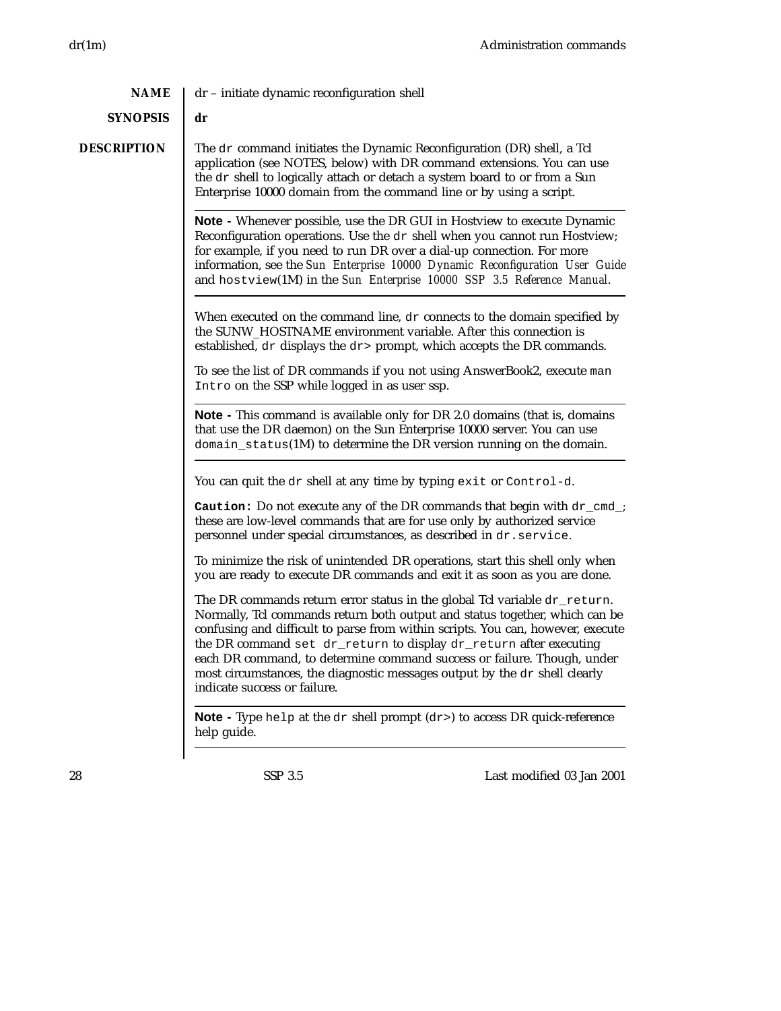| <b>NAME</b>        | dr - initiate dynamic reconfiguration shell                                                                                                                                                                                                                                                                                                                                                                                                                                                                  |
|--------------------|--------------------------------------------------------------------------------------------------------------------------------------------------------------------------------------------------------------------------------------------------------------------------------------------------------------------------------------------------------------------------------------------------------------------------------------------------------------------------------------------------------------|
| <b>SYNOPSIS</b>    | dr                                                                                                                                                                                                                                                                                                                                                                                                                                                                                                           |
| <b>DESCRIPTION</b> | The dr command initiates the Dynamic Reconfiguration (DR) shell, a Tcl<br>application (see NOTES, below) with DR command extensions. You can use<br>the dr shell to logically attach or detach a system board to or from a Sun<br>Enterprise 10000 domain from the command line or by using a script.                                                                                                                                                                                                        |
|                    | <b>Note -</b> Whenever possible, use the DR GUI in Hostview to execute Dynamic<br>Reconfiguration operations. Use the dr shell when you cannot run Hostview;<br>for example, if you need to run DR over a dial-up connection. For more<br>information, see the Sun Enterprise 10000 Dynamic Reconfiguration User Guide<br>and hostview(1M) in the Sun Enterprise 10000 SSP 3.5 Reference Manual.                                                                                                             |
|                    | When executed on the command line, dr connects to the domain specified by<br>the SUNW_HOSTNAME environment variable. After this connection is<br>established, dr displays the dr> prompt, which accepts the DR commands.                                                                                                                                                                                                                                                                                     |
|                    | To see the list of DR commands if you not using AnswerBook2, execute man<br>Intro on the SSP while logged in as user ssp.                                                                                                                                                                                                                                                                                                                                                                                    |
|                    | <b>Note -</b> This command is available only for DR 2.0 domains (that is, domains<br>that use the DR daemon) on the Sun Enterprise 10000 server. You can use<br>domain_status(1M) to determine the DR version running on the domain.                                                                                                                                                                                                                                                                         |
|                    | You can quit the dr shell at any time by typing exit or Control-d.                                                                                                                                                                                                                                                                                                                                                                                                                                           |
|                    | <b>Caution:</b> Do not execute any of the DR commands that begin with $dr\_cmd$ ;<br>these are low-level commands that are for use only by authorized service<br>personnel under special circumstances, as described in dr. service.                                                                                                                                                                                                                                                                         |
|                    | To minimize the risk of unintended DR operations, start this shell only when<br>you are ready to execute DR commands and exit it as soon as you are done.                                                                                                                                                                                                                                                                                                                                                    |
|                    | The DR commands return error status in the global Tcl variable $dr$ _return.<br>Normally, Tcl commands return both output and status together, which can be<br>confusing and difficult to parse from within scripts. You can, however, execute<br>the DR command set dr_return to display dr_return after executing<br>each DR command, to determine command success or failure. Though, under<br>most circumstances, the diagnostic messages output by the dr shell clearly<br>indicate success or failure. |
|                    | <b>Note -</b> Type help at the dr shell prompt $(dx)$ to access DR quick-reference<br>help guide.                                                                                                                                                                                                                                                                                                                                                                                                            |
|                    |                                                                                                                                                                                                                                                                                                                                                                                                                                                                                                              |

28 SSP 3.5 Last modified 03 Jan 2001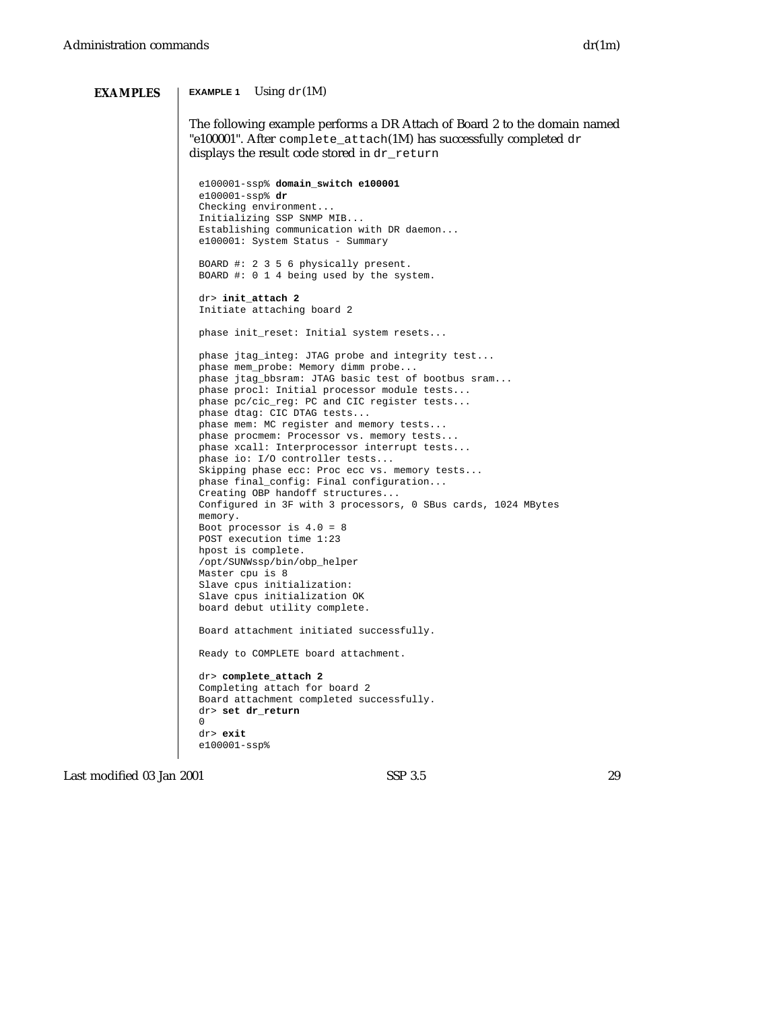## **EXAMPLES** | EXAMPLE 1 Using dr(1M)

The following example performs a DR Attach of Board 2 to the domain named "e100001". After complete\_attach(1M) has successfully completed dr displays the result code stored in dr\_return

e100001-ssp% **domain\_switch e100001** e100001-ssp% **dr** Checking environment... Initializing SSP SNMP MIB... Establishing communication with DR daemon... e100001: System Status - Summary BOARD #: 2 3 5 6 physically present. BOARD #: 0 1 4 being used by the system. dr> **init\_attach 2** Initiate attaching board 2 phase init\_reset: Initial system resets... phase jtag\_integ: JTAG probe and integrity test... phase mem\_probe: Memory dimm probe... phase jtag\_bbsram: JTAG basic test of bootbus sram... phase procl: Initial processor module tests... phase pc/cic\_reg: PC and CIC register tests... phase dtag: CIC DTAG tests... phase mem: MC register and memory tests... phase procmem: Processor vs. memory tests... phase xcall: Interprocessor interrupt tests... phase io: I/O controller tests... Skipping phase ecc: Proc ecc vs. memory tests... phase final\_config: Final configuration... Creating OBP handoff structures... Configured in 3F with 3 processors, 0 SBus cards, 1024 MBytes memory. Boot processor is 4.0 = 8 POST execution time 1:23 hpost is complete. /opt/SUNWssp/bin/obp\_helper Master cpu is 8 Slave cpus initialization: Slave cpus initialization OK board debut utility complete. Board attachment initiated successfully. Ready to COMPLETE board attachment. dr> **complete\_attach 2** Completing attach for board 2 Board attachment completed successfully. dr> **set dr\_return**  $\Omega$ dr> **exit** e100001-ssp%

Last modified 03 Jan 2001 29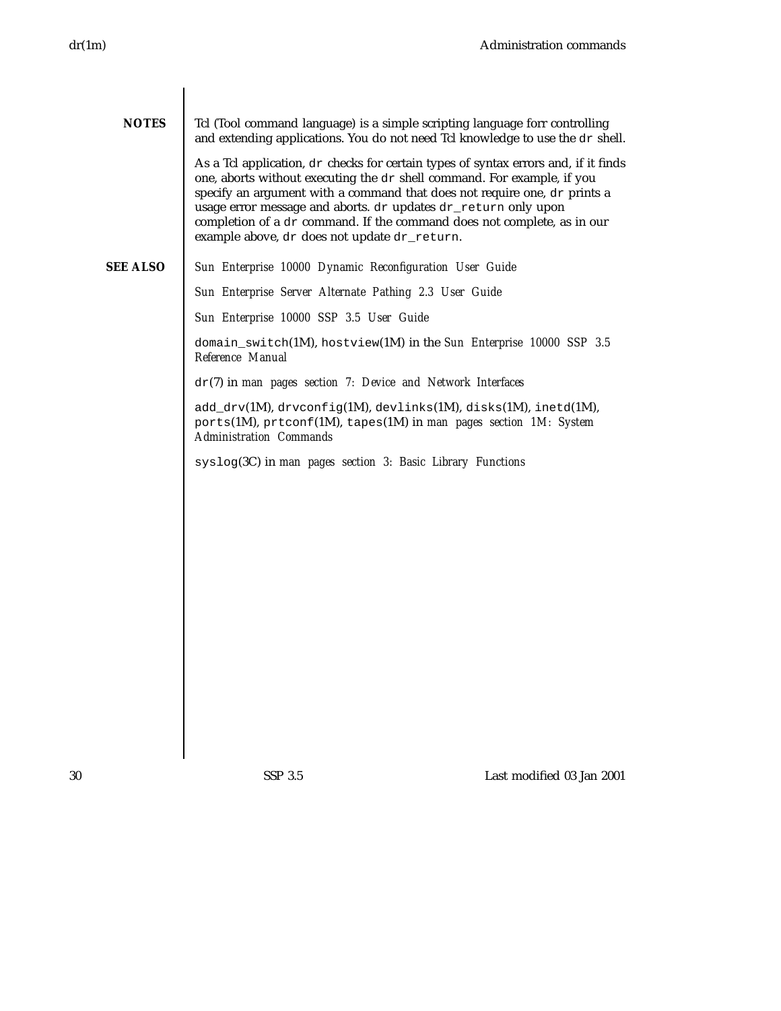| <b>NOTES</b>    | Tcl (Tool command language) is a simple scripting language forr controlling<br>and extending applications. You do not need Tcl knowledge to use the dr shell.                                                                                                                                                                                                                                                                            |
|-----------------|------------------------------------------------------------------------------------------------------------------------------------------------------------------------------------------------------------------------------------------------------------------------------------------------------------------------------------------------------------------------------------------------------------------------------------------|
|                 | As a Tcl application, dr checks for certain types of syntax errors and, if it finds<br>one, aborts without executing the dr shell command. For example, if you<br>specify an argument with a command that does not require one, dr prints a<br>usage error message and aborts. dr updates dr_return only upon<br>completion of a dr command. If the command does not complete, as in our<br>example above, dr does not update dr_return. |
| <b>SEE ALSO</b> | Sun Enterprise 10000 Dynamic Reconfiguration User Guide                                                                                                                                                                                                                                                                                                                                                                                  |
|                 | Sun Enterprise Server Alternate Pathing 2.3 User Guide                                                                                                                                                                                                                                                                                                                                                                                   |
|                 | Sun Enterprise 10000 SSP 3.5 User Guide                                                                                                                                                                                                                                                                                                                                                                                                  |
|                 | domain_switch(1M), hostview(1M) in the Sun Enterprise 10000 SSP 3.5<br>Reference Manual                                                                                                                                                                                                                                                                                                                                                  |
|                 | $dr(7)$ in man pages section 7: Device and Network Interfaces                                                                                                                                                                                                                                                                                                                                                                            |
|                 | add_drv(1M), drvconfig(1M), devlinks(1M), disks(1M), inetd(1M),<br>ports(1M), prtconf(1M), tapes(1M) in man pages section 1M: System<br>Administration Commands                                                                                                                                                                                                                                                                          |
|                 | syslog(3C) in man pages section 3: Basic Library Functions                                                                                                                                                                                                                                                                                                                                                                               |
|                 |                                                                                                                                                                                                                                                                                                                                                                                                                                          |
|                 |                                                                                                                                                                                                                                                                                                                                                                                                                                          |
|                 |                                                                                                                                                                                                                                                                                                                                                                                                                                          |
|                 |                                                                                                                                                                                                                                                                                                                                                                                                                                          |
|                 |                                                                                                                                                                                                                                                                                                                                                                                                                                          |
|                 |                                                                                                                                                                                                                                                                                                                                                                                                                                          |
|                 |                                                                                                                                                                                                                                                                                                                                                                                                                                          |
|                 |                                                                                                                                                                                                                                                                                                                                                                                                                                          |
|                 |                                                                                                                                                                                                                                                                                                                                                                                                                                          |

30 SSP 3.5 Last modified 03 Jan 2001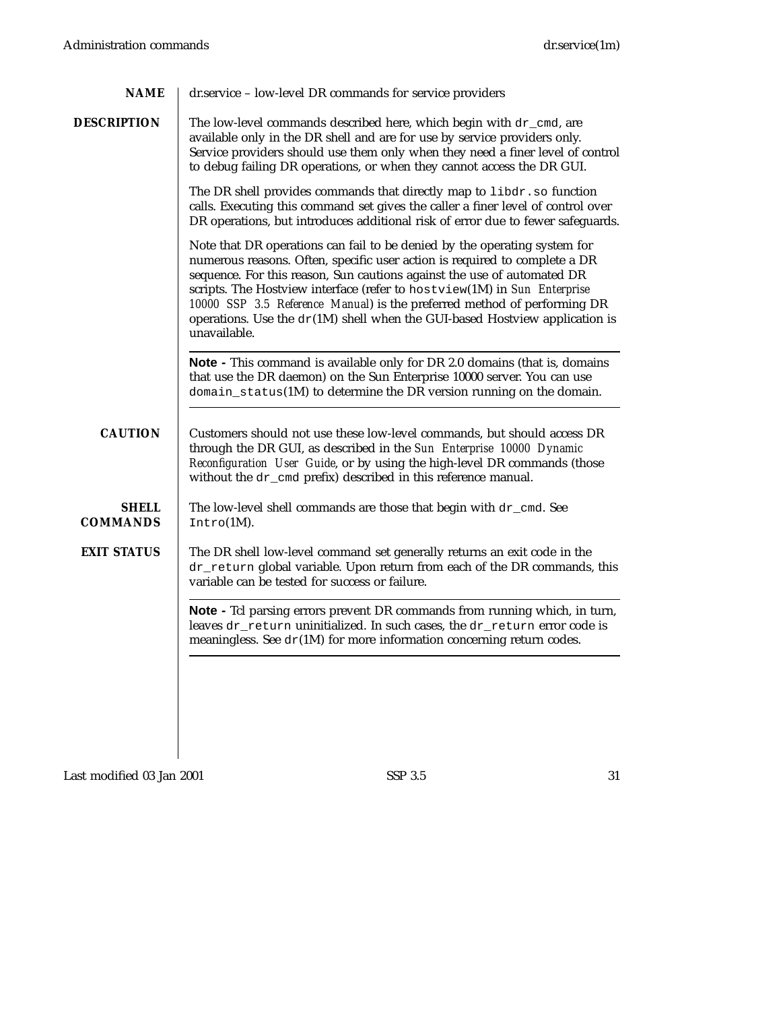| <b>NAME</b>                     | dr.service - low-level DR commands for service providers                                                                                                                                                                                                                                                                                                                                                                                                                                    |
|---------------------------------|---------------------------------------------------------------------------------------------------------------------------------------------------------------------------------------------------------------------------------------------------------------------------------------------------------------------------------------------------------------------------------------------------------------------------------------------------------------------------------------------|
| <b>DESCRIPTION</b>              | The low-level commands described here, which begin with dr_cmd, are<br>available only in the DR shell and are for use by service providers only.<br>Service providers should use them only when they need a finer level of control<br>to debug failing DR operations, or when they cannot access the DR GUI.                                                                                                                                                                                |
|                                 | The DR shell provides commands that directly map to libdr. so function<br>calls. Executing this command set gives the caller a finer level of control over<br>DR operations, but introduces additional risk of error due to fewer safeguards.                                                                                                                                                                                                                                               |
|                                 | Note that DR operations can fail to be denied by the operating system for<br>numerous reasons. Often, specific user action is required to complete a DR<br>sequence. For this reason, Sun cautions against the use of automated DR<br>scripts. The Hostview interface (refer to hostview(1M) in Sun Enterprise<br>10000 SSP 3.5 Reference Manual) is the preferred method of performing DR<br>operations. Use the $dr(1M)$ shell when the GUI-based Hostview application is<br>unavailable. |
|                                 | Note - This command is available only for DR 2.0 domains (that is, domains<br>that use the DR daemon) on the Sun Enterprise 10000 server. You can use<br>domain_status(1M) to determine the DR version running on the domain.                                                                                                                                                                                                                                                               |
| <b>CAUTION</b>                  | Customers should not use these low-level commands, but should access DR<br>through the DR GUI, as described in the Sun Enterprise 10000 Dynamic<br>Reconfiguration User Guide, or by using the high-level DR commands (those<br>without the dr_cmd prefix) described in this reference manual.                                                                                                                                                                                              |
| <b>SHELL</b><br><b>COMMANDS</b> | The low-level shell commands are those that begin with dr_cmd. See<br>Intro(1M).                                                                                                                                                                                                                                                                                                                                                                                                            |
| <b>EXIT STATUS</b>              | The DR shell low-level command set generally returns an exit code in the<br>dr_return global variable. Upon return from each of the DR commands, this<br>variable can be tested for success or failure.                                                                                                                                                                                                                                                                                     |
|                                 | Note - Tcl parsing errors prevent DR commands from running which, in turn,<br>leaves dr_return uninitialized. In such cases, the dr_return error code is<br>meaningless. See $dr(1M)$ for more information concerning return codes.                                                                                                                                                                                                                                                         |
|                                 |                                                                                                                                                                                                                                                                                                                                                                                                                                                                                             |

 $\text{Last modified 03 Jan 2001} \qquad \qquad \text{SSP 3.5} \qquad \qquad \text{31}$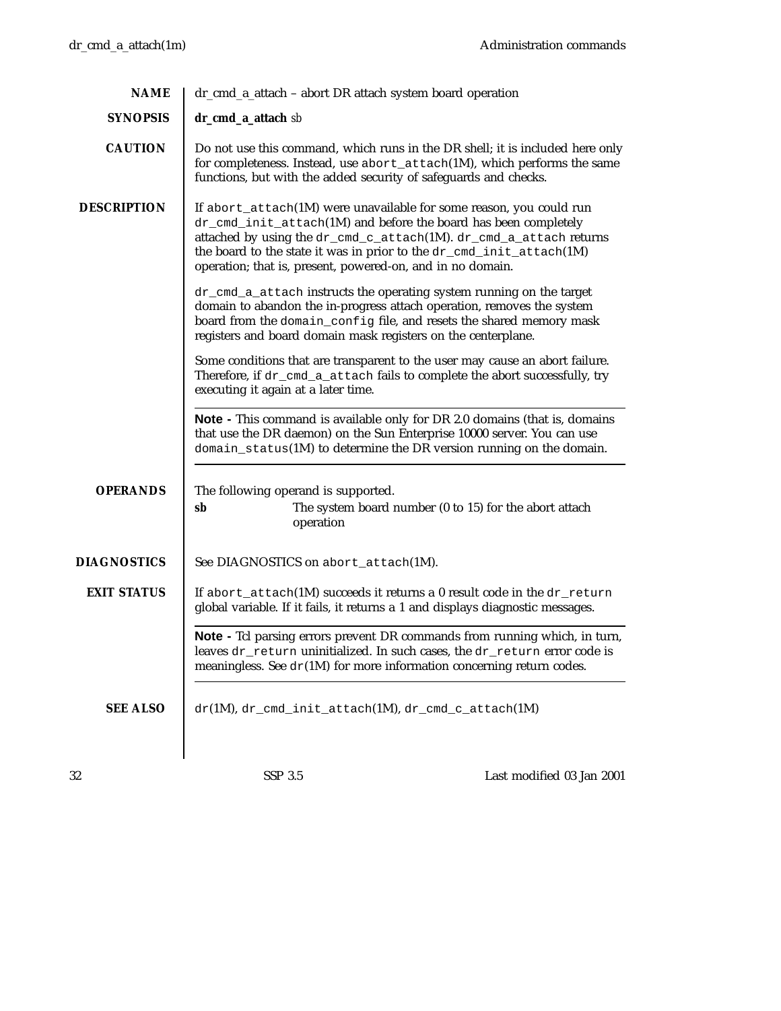| <b>NAME</b>        | dr_cmd_a_attach - abort DR attach system board operation                                                                                                                                                                                                                                                                                           |
|--------------------|----------------------------------------------------------------------------------------------------------------------------------------------------------------------------------------------------------------------------------------------------------------------------------------------------------------------------------------------------|
| <b>SYNOPSIS</b>    | dr_cmd_a_attach sb                                                                                                                                                                                                                                                                                                                                 |
| <b>CAUTION</b>     | Do not use this command, which runs in the DR shell; it is included here only<br>for completeness. Instead, use abort_attach(1M), which performs the same<br>functions, but with the added security of safeguards and checks.                                                                                                                      |
| <b>DESCRIPTION</b> | If abort_attach(1M) were unavailable for some reason, you could run<br>dr_cmd_init_attach(1M) and before the board has been completely<br>attached by using the dr_cmd_c_attach(1M). dr_cmd_a_attach returns<br>the board to the state it was in prior to the dr_cmd_init_attach(1M)<br>operation; that is, present, powered-on, and in no domain. |
|                    | dr_cmd_a_attach instructs the operating system running on the target<br>domain to abandon the in-progress attach operation, removes the system<br>board from the domain_config file, and resets the shared memory mask<br>registers and board domain mask registers on the centerplane.                                                            |
|                    | Some conditions that are transparent to the user may cause an abort failure.<br>Therefore, if dr_cmd_a_attach fails to complete the abort successfully, try<br>executing it again at a later time.                                                                                                                                                 |
|                    | Note - This command is available only for DR 2.0 domains (that is, domains<br>that use the DR daemon) on the Sun Enterprise 10000 server. You can use<br>domain_status(1M) to determine the DR version running on the domain.                                                                                                                      |
| <b>OPERANDS</b>    | The following operand is supported.<br>The system board number (0 to 15) for the abort attach<br>sb<br>operation                                                                                                                                                                                                                                   |
| <b>DIAGNOSTICS</b> | See DIAGNOSTICS on abort_attach(1M).                                                                                                                                                                                                                                                                                                               |
| <b>EXIT STATUS</b> | If abort_attach(1M) succeeds it returns a 0 result code in the $dr$ _return<br>global variable. If it fails, it returns a 1 and displays diagnostic messages.                                                                                                                                                                                      |
|                    | Note - Tcl parsing errors prevent DR commands from running which, in turn,<br>leaves dr_return uninitialized. In such cases, the dr_return error code is<br>meaningless. See $dr(1M)$ for more information concerning return codes.                                                                                                                |
| <b>SEE ALSO</b>    | $dr(1M)$ , $dr_{end\_init\_attach(1M)$ , $dr_{end\_c\_attach(1M)}$                                                                                                                                                                                                                                                                                 |
|                    |                                                                                                                                                                                                                                                                                                                                                    |

32 SSP 3.5 Last modified 03 Jan 2001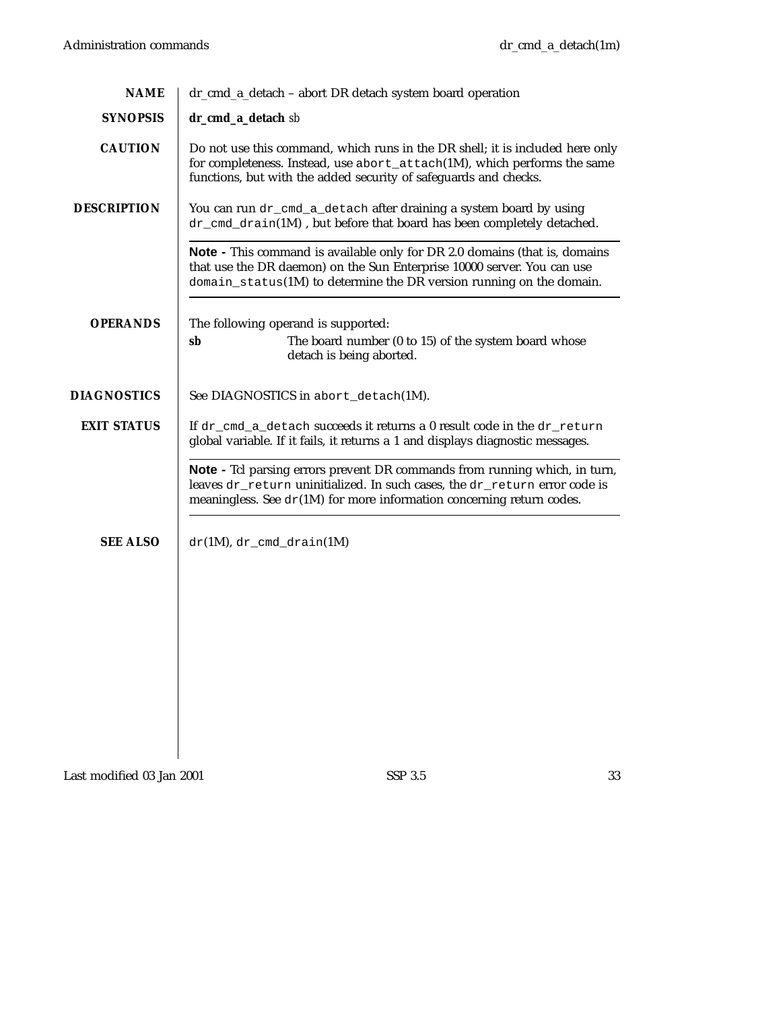| <b>NAME</b>        | dr_cmd_a_detach - abort DR detach system board operation                                                                                                                                                                            |
|--------------------|-------------------------------------------------------------------------------------------------------------------------------------------------------------------------------------------------------------------------------------|
| <b>SYNOPSIS</b>    | dr_cmd_a_detach sb                                                                                                                                                                                                                  |
| <b>CAUTION</b>     | Do not use this command, which runs in the DR shell; it is included here only<br>for completeness. Instead, use abort_attach(1M), which performs the same<br>functions, but with the added security of safeguards and checks.       |
| <b>DESCRIPTION</b> | You can run dr_cmd_a_detach after draining a system board by using<br>dr_cmd_drain(1M), but before that board has been completely detached.                                                                                         |
|                    | Note - This command is available only for DR 2.0 domains (that is, domains<br>that use the DR daemon) on the Sun Enterprise 10000 server. You can use<br>domain_status(1M) to determine the DR version running on the domain.       |
| <b>OPERANDS</b>    | The following operand is supported:<br>sb<br>The board number (0 to 15) of the system board whose<br>detach is being aborted.                                                                                                       |
| <b>DIAGNOSTICS</b> | See DIAGNOSTICS in abort_detach(1M).                                                                                                                                                                                                |
| <b>EXIT STATUS</b> | If $dr\_cmd\_a\_detach$ succeeds it returns a 0 result code in the $dr\_return$<br>global variable. If it fails, it returns a 1 and displays diagnostic messages.                                                                   |
|                    | Note - Tcl parsing errors prevent DR commands from running which, in turn,<br>leaves dr_return uninitialized. In such cases, the dr_return error code is<br>meaningless. See $dr(1M)$ for more information concerning return codes. |
| <b>SEE ALSO</b>    | $dr(1M)$ , $dr\_cmd\_drain(1M)$                                                                                                                                                                                                     |
|                    |                                                                                                                                                                                                                                     |
|                    |                                                                                                                                                                                                                                     |
|                    |                                                                                                                                                                                                                                     |

Last modified 03 Jan 2001 SSP 3.5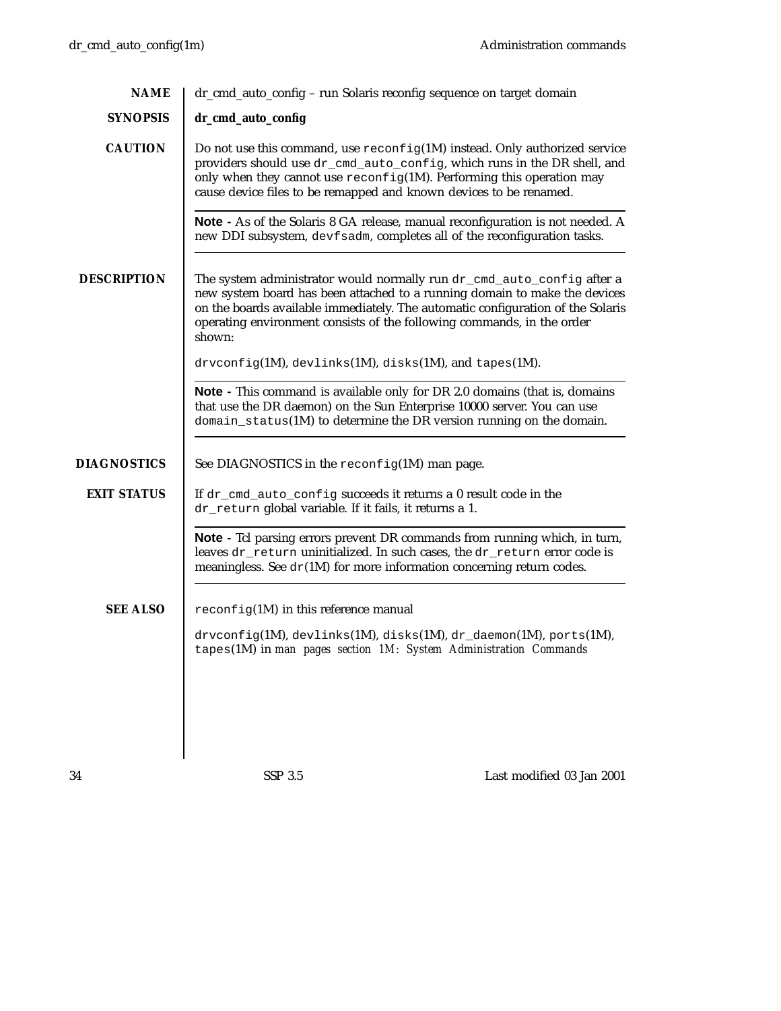| <b>NAME</b>        | dr_cmd_auto_config - run Solaris reconfig sequence on target domain                                                                                                                                                                                                                                                              |
|--------------------|----------------------------------------------------------------------------------------------------------------------------------------------------------------------------------------------------------------------------------------------------------------------------------------------------------------------------------|
| <b>SYNOPSIS</b>    | dr_cmd_auto_config                                                                                                                                                                                                                                                                                                               |
| <b>CAUTION</b>     | Do not use this command, use $reconfig(1M)$ instead. Only authorized service<br>providers should use dr_cmd_auto_config, which runs in the DR shell, and<br>only when they cannot use $\text{reconfig}(1M)$ . Performing this operation may<br>cause device files to be remapped and known devices to be renamed.                |
|                    | Note - As of the Solaris 8 GA release, manual reconfiguration is not needed. A<br>new DDI subsystem, devf sadm, completes all of the reconfiguration tasks.                                                                                                                                                                      |
| <b>DESCRIPTION</b> | The system administrator would normally run $dr\_cmd\_auto\_config$ after a<br>new system board has been attached to a running domain to make the devices<br>on the boards available immediately. The automatic configuration of the Solaris<br>operating environment consists of the following commands, in the order<br>shown: |
|                    | $\alpha$ drvconfig(1M), devlinks(1M), disks(1M), and tapes(1M).                                                                                                                                                                                                                                                                  |
|                    | Note - This command is available only for DR 2.0 domains (that is, domains<br>that use the DR daemon) on the Sun Enterprise 10000 server. You can use<br>domain_status(1M) to determine the DR version running on the domain.                                                                                                    |
| <b>DIAGNOSTICS</b> | See DIAGNOSTICS in the reconfig(1M) man page.                                                                                                                                                                                                                                                                                    |
| <b>EXIT STATUS</b> | If dr_cmd_auto_config succeeds it returns a 0 result code in the<br>dr_return global variable. If it fails, it returns a 1.                                                                                                                                                                                                      |
|                    | <b>Note -</b> Tcl parsing errors prevent DR commands from running which, in turn,<br>leaves dr_return uninitialized. In such cases, the dr_return error code is<br>meaningless. See $dr(1M)$ for more information concerning return codes.                                                                                       |
| <b>SEE ALSO</b>    | $reconfig(1M)$ in this reference manual                                                                                                                                                                                                                                                                                          |
|                    | $drvconfig(1M)$ , devlinks $(1M)$ , disks $(1M)$ , dr_daemon $(1M)$ , ports $(1M)$ ,<br>tapes(1M) in man pages section 1M: System Administration Commands                                                                                                                                                                        |
|                    |                                                                                                                                                                                                                                                                                                                                  |
|                    |                                                                                                                                                                                                                                                                                                                                  |
|                    |                                                                                                                                                                                                                                                                                                                                  |

34 SSP 3.5 Last modified 03 Jan 2001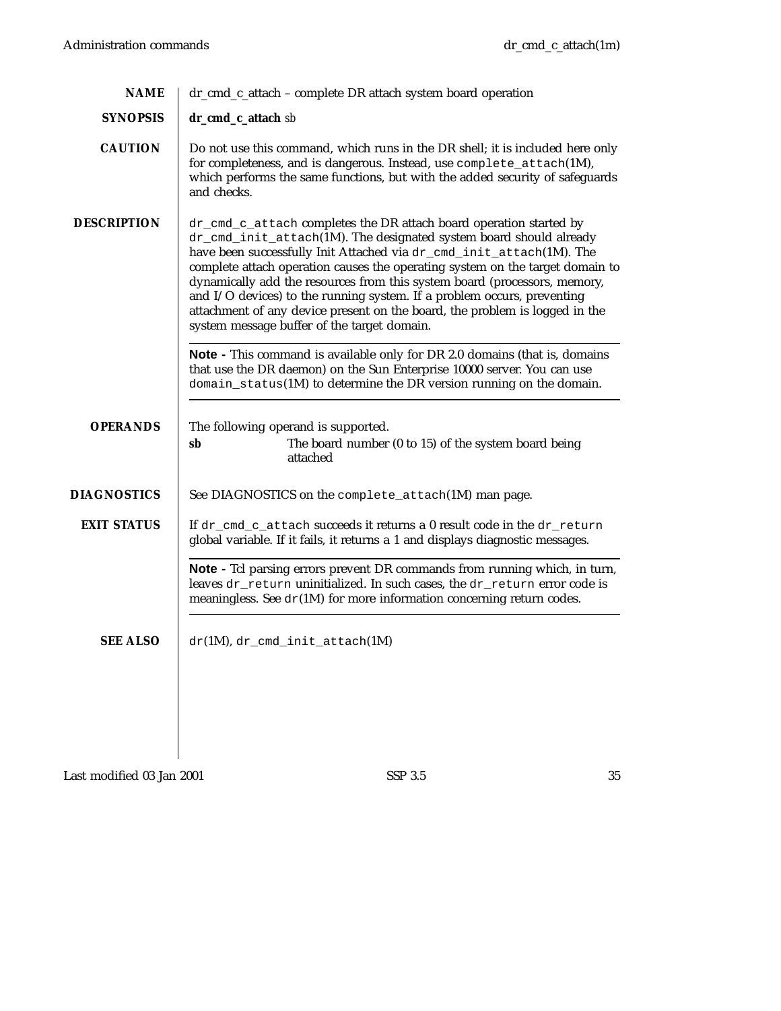| <b>NAME</b>        | dr_cmd_c_attach - complete DR attach system board operation                                                                                                                                                                                                                                                                                                                                                                                                                                                                                                                             |
|--------------------|-----------------------------------------------------------------------------------------------------------------------------------------------------------------------------------------------------------------------------------------------------------------------------------------------------------------------------------------------------------------------------------------------------------------------------------------------------------------------------------------------------------------------------------------------------------------------------------------|
| <b>SYNOPSIS</b>    | dr_cmd_c_attach sb                                                                                                                                                                                                                                                                                                                                                                                                                                                                                                                                                                      |
| <b>CAUTION</b>     | Do not use this command, which runs in the DR shell; it is included here only<br>for completeness, and is dangerous. Instead, use complete_attach(1M),<br>which performs the same functions, but with the added security of safeguards<br>and checks.                                                                                                                                                                                                                                                                                                                                   |
| <b>DESCRIPTION</b> | dr_cmd_c_attach completes the DR attach board operation started by<br>dr_cmd_init_attach(1M). The designated system board should already<br>have been successfully Init Attached via dr_cmd_init_attach(1M). The<br>complete attach operation causes the operating system on the target domain to<br>dynamically add the resources from this system board (processors, memory,<br>and I/O devices) to the running system. If a problem occurs, preventing<br>attachment of any device present on the board, the problem is logged in the<br>system message buffer of the target domain. |
|                    | Note - This command is available only for DR 2.0 domains (that is, domains<br>that use the DR daemon) on the Sun Enterprise 10000 server. You can use<br>domain_status(1M) to determine the DR version running on the domain.                                                                                                                                                                                                                                                                                                                                                           |
| <b>OPERANDS</b>    | The following operand is supported.<br>The board number (0 to 15) of the system board being<br>sb<br>attached                                                                                                                                                                                                                                                                                                                                                                                                                                                                           |
| <b>DIAGNOSTICS</b> | See DIAGNOSTICS on the complete_attach(1M) man page.                                                                                                                                                                                                                                                                                                                                                                                                                                                                                                                                    |
| <b>EXIT STATUS</b> | If dr_cmd_c_attach succeeds it returns a 0 result code in the dr_return<br>global variable. If it fails, it returns a 1 and displays diagnostic messages.                                                                                                                                                                                                                                                                                                                                                                                                                               |
|                    | Note - Tcl parsing errors prevent DR commands from running which, in turn,<br>leaves dr_return uninitialized. In such cases, the dr_return error code is<br>meaningless. See $dr(1M)$ for more information concerning return codes.                                                                                                                                                                                                                                                                                                                                                     |
| <b>SEE ALSO</b>    | $dr(1M)$ , $dr\_cmd\_init\_attack(1M)$                                                                                                                                                                                                                                                                                                                                                                                                                                                                                                                                                  |
|                    |                                                                                                                                                                                                                                                                                                                                                                                                                                                                                                                                                                                         |

 $\text{Last modified 03 Jan 2001} \qquad \qquad \text{SSP 3.5} \qquad \qquad \text{35}$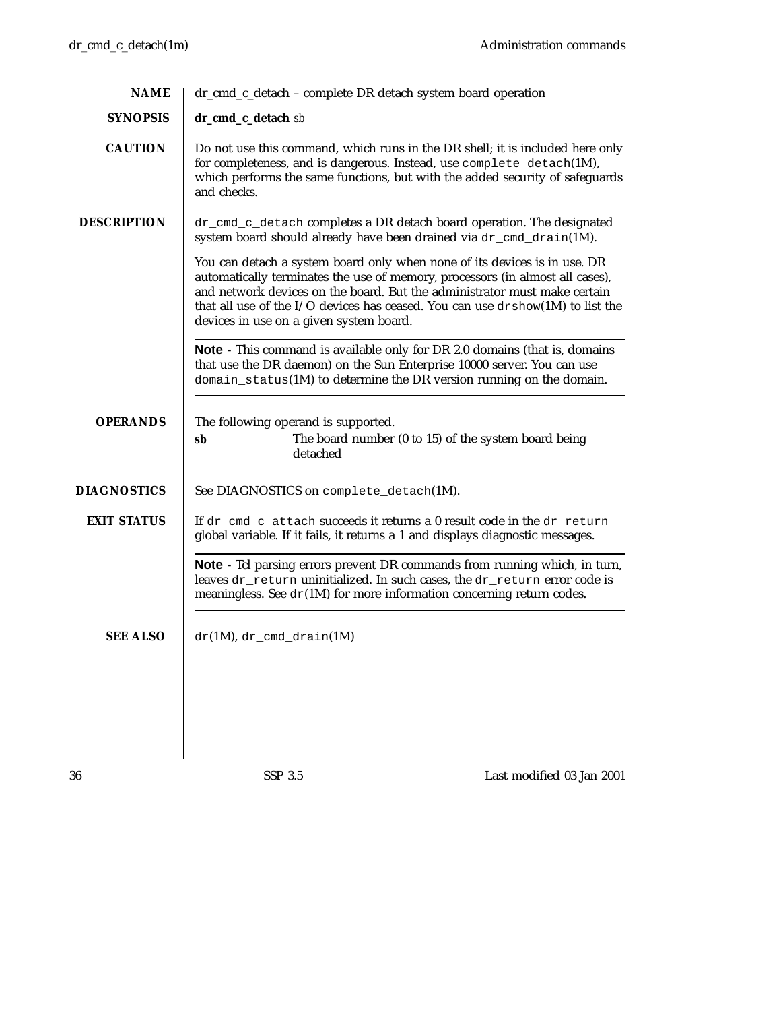| <b>NAME</b>        | dr_cmd_c_detach - complete DR detach system board operation                                                                                                                                                                                                                                                                                                          |
|--------------------|----------------------------------------------------------------------------------------------------------------------------------------------------------------------------------------------------------------------------------------------------------------------------------------------------------------------------------------------------------------------|
| <b>SYNOPSIS</b>    | dr_cmd_c_detach sb                                                                                                                                                                                                                                                                                                                                                   |
| <b>CAUTION</b>     | Do not use this command, which runs in the DR shell; it is included here only<br>for completeness, and is dangerous. Instead, use complete_detach(1M),<br>which performs the same functions, but with the added security of safeguards<br>and checks.                                                                                                                |
| <b>DESCRIPTION</b> | dr_cmd_c_detach completes a DR detach board operation. The designated<br>system board should already have been drained via dr_cmd_drain(1M).                                                                                                                                                                                                                         |
|                    | You can detach a system board only when none of its devices is in use. DR<br>automatically terminates the use of memory, processors (in almost all cases),<br>and network devices on the board. But the administrator must make certain<br>that all use of the I/O devices has ceased. You can use drshow(1M) to list the<br>devices in use on a given system board. |
|                    | <b>Note -</b> This command is available only for DR 2.0 domains (that is, domains<br>that use the DR daemon) on the Sun Enterprise 10000 server. You can use<br>domain_status(1M) to determine the DR version running on the domain.                                                                                                                                 |
| <b>OPERANDS</b>    | The following operand is supported.<br>The board number (0 to 15) of the system board being<br>sb<br>detached                                                                                                                                                                                                                                                        |
| <b>DIAGNOSTICS</b> | See DIAGNOSTICS on complete_detach(1M).                                                                                                                                                                                                                                                                                                                              |
| <b>EXIT STATUS</b> | If dr_cmd_c_attach succeeds it returns a 0 result code in the dr_return<br>global variable. If it fails, it returns a 1 and displays diagnostic messages.                                                                                                                                                                                                            |
|                    | Note - Tcl parsing errors prevent DR commands from running which, in turn,<br>leaves dr_return uninitialized. In such cases, the dr_return error code is<br>meaningless. See $dr(1M)$ for more information concerning return codes.                                                                                                                                  |
| <b>SEE ALSO</b>    | $dr(1M)$ , $dr_{cmd}drain(1M)$                                                                                                                                                                                                                                                                                                                                       |
|                    |                                                                                                                                                                                                                                                                                                                                                                      |
|                    |                                                                                                                                                                                                                                                                                                                                                                      |
|                    |                                                                                                                                                                                                                                                                                                                                                                      |

36 SSP 3.5 Last modified 03 Jan 2001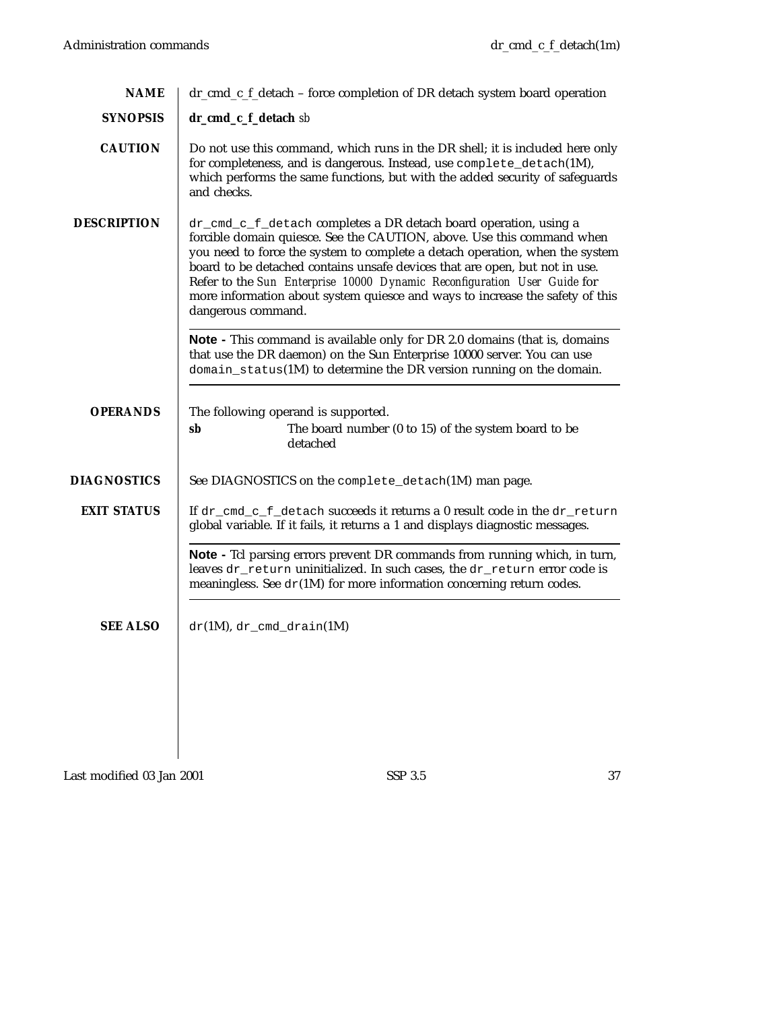| <b>NAME</b>        | dr_cmd_c_f_detach - force completion of DR detach system board operation                                                                                                                                                                                                                                                                                                                                                                                                                     |
|--------------------|----------------------------------------------------------------------------------------------------------------------------------------------------------------------------------------------------------------------------------------------------------------------------------------------------------------------------------------------------------------------------------------------------------------------------------------------------------------------------------------------|
| <b>SYNOPSIS</b>    | dr_cmd_c_f_detach sb                                                                                                                                                                                                                                                                                                                                                                                                                                                                         |
| <b>CAUTION</b>     | Do not use this command, which runs in the DR shell; it is included here only<br>for completeness, and is dangerous. Instead, use complete_detach(1M),<br>which performs the same functions, but with the added security of safeguards<br>and checks.                                                                                                                                                                                                                                        |
| <b>DESCRIPTION</b> | dr_cmd_c_f_detach completes a DR detach board operation, using a<br>forcible domain quiesce. See the CAUTION, above. Use this command when<br>you need to force the system to complete a detach operation, when the system<br>board to be detached contains unsafe devices that are open, but not in use.<br>Refer to the Sun Enterprise 10000 Dynamic Reconfiguration User Guide for<br>more information about system quiesce and ways to increase the safety of this<br>dangerous command. |
|                    | <b>Note -</b> This command is available only for DR 2.0 domains (that is, domains<br>that use the DR daemon) on the Sun Enterprise 10000 server. You can use<br>domain_status(1M) to determine the DR version running on the domain.                                                                                                                                                                                                                                                         |
| <b>OPERANDS</b>    | The following operand is supported.<br>sb<br>The board number (0 to 15) of the system board to be<br>detached                                                                                                                                                                                                                                                                                                                                                                                |
| <b>DIAGNOSTICS</b> | See DIAGNOSTICS on the complete_detach(1M) man page.                                                                                                                                                                                                                                                                                                                                                                                                                                         |
| <b>EXIT STATUS</b> | If dr_cmd_c_f_detach succeeds it returns a 0 result code in the dr_return<br>global variable. If it fails, it returns a 1 and displays diagnostic messages.                                                                                                                                                                                                                                                                                                                                  |
|                    | Note - Tcl parsing errors prevent DR commands from running which, in turn,<br>leaves dr_return uninitialized. In such cases, the dr_return error code is<br>meaningless. See $dr(1M)$ for more information concerning return codes.                                                                                                                                                                                                                                                          |
| <b>SEE ALSO</b>    | $dr(1M)$ , $dr\_cmd\_drain(1M)$                                                                                                                                                                                                                                                                                                                                                                                                                                                              |
|                    |                                                                                                                                                                                                                                                                                                                                                                                                                                                                                              |
|                    |                                                                                                                                                                                                                                                                                                                                                                                                                                                                                              |
|                    |                                                                                                                                                                                                                                                                                                                                                                                                                                                                                              |

 $\begin{tabular}{c} Last modified 03 Jan 2001 \end{tabular} \begin{tabular}{c} \hspace{1.2cm} SSP 3.5 \end{tabular} \end{tabular} \begin{tabular}{c} \hspace{1.2cm} $37$ \end{tabular}$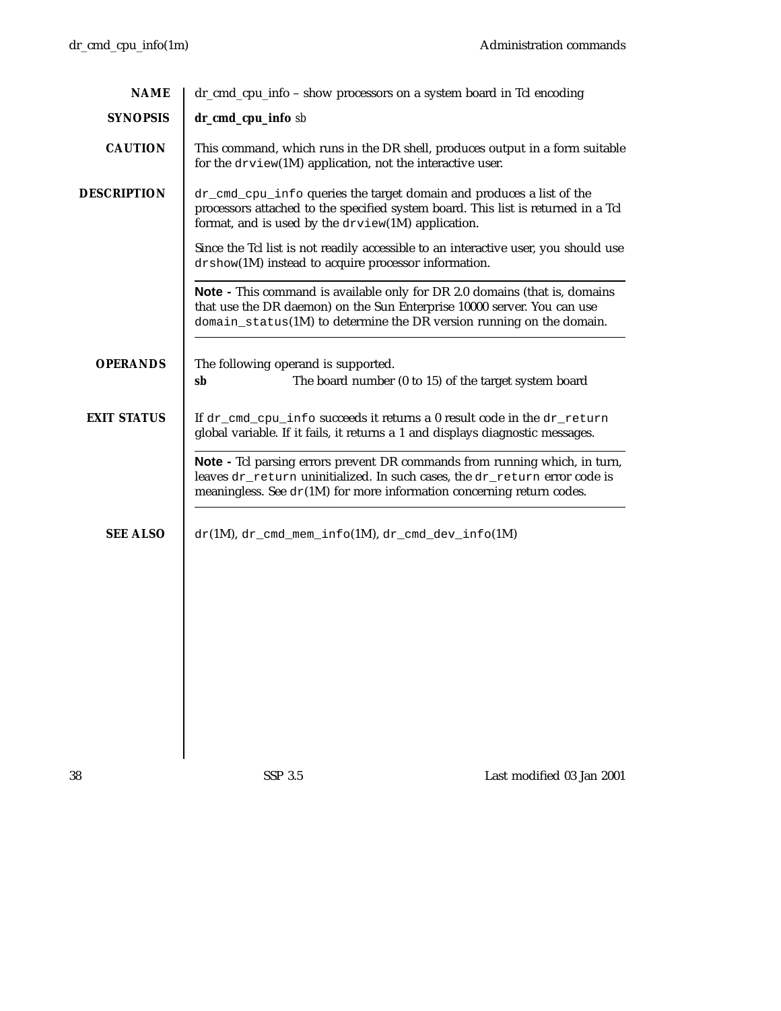| <b>NAME</b>        | dr_cmd_cpu_info - show processors on a system board in Tcl encoding                                                                                                                                                                  |
|--------------------|--------------------------------------------------------------------------------------------------------------------------------------------------------------------------------------------------------------------------------------|
| <b>SYNOPSIS</b>    | dr_cmd_cpu_info sb                                                                                                                                                                                                                   |
| <b>CAUTION</b>     | This command, which runs in the DR shell, produces output in a form suitable<br>for the drview(1M) application, not the interactive user.                                                                                            |
| <b>DESCRIPTION</b> | dr_cmd_cpu_info queries the target domain and produces a list of the<br>processors attached to the specified system board. This list is returned in a Tcl<br>format, and is used by the drview(1M) application.                      |
|                    | Since the Tcl list is not readily accessible to an interactive user, you should use<br>drshow(1M) instead to acquire processor information.                                                                                          |
|                    | <b>Note -</b> This command is available only for DR 2.0 domains (that is, domains<br>that use the DR daemon) on the Sun Enterprise 10000 server. You can use<br>domain_status(1M) to determine the DR version running on the domain. |
| <b>OPERANDS</b>    | The following operand is supported.<br>The board number (0 to 15) of the target system board<br>sb                                                                                                                                   |
| <b>EXIT STATUS</b> | If dr_cmd_cpu_info succeeds it returns a 0 result code in the dr_return<br>global variable. If it fails, it returns a 1 and displays diagnostic messages.                                                                            |
|                    | Note - Tcl parsing errors prevent DR commands from running which, in turn,<br>leaves dr_return uninitialized. In such cases, the dr_return error code is<br>meaningless. See $dr(1M)$ for more information concerning return codes.  |
| <b>SEE ALSO</b>    | $dr(1M)$ , $dr\_cmd\_mem\_info(1M)$ , $dr\_cmd\_dev\_info(1M)$                                                                                                                                                                       |
|                    |                                                                                                                                                                                                                                      |
|                    |                                                                                                                                                                                                                                      |
|                    |                                                                                                                                                                                                                                      |
|                    |                                                                                                                                                                                                                                      |
|                    |                                                                                                                                                                                                                                      |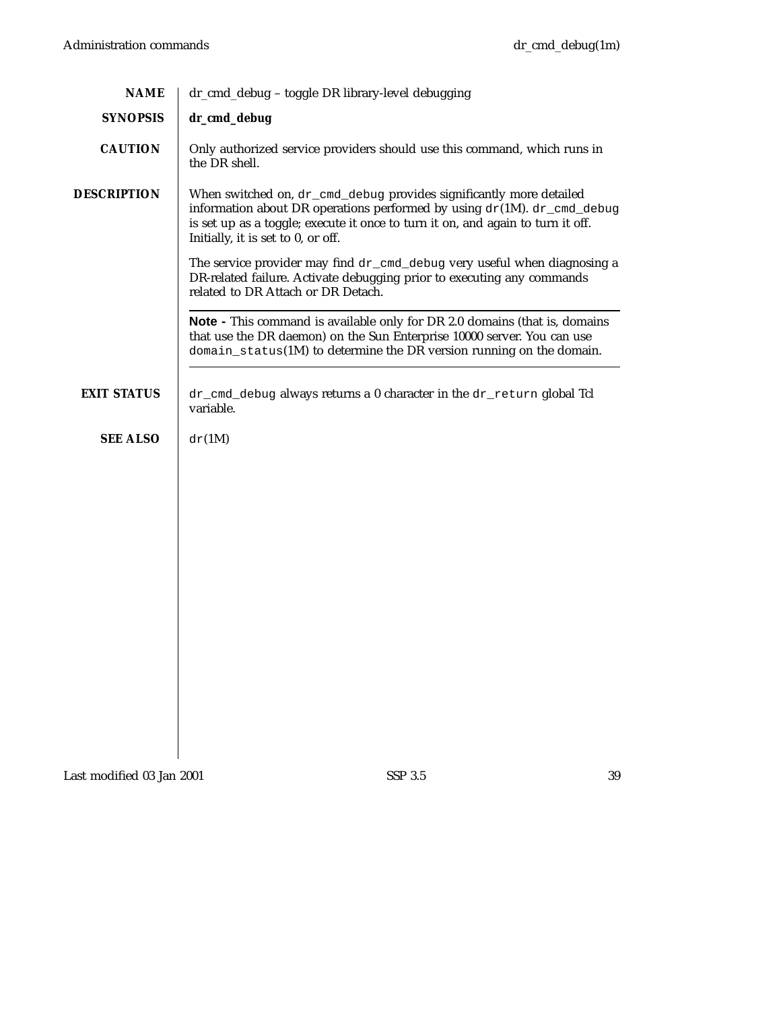| <b>NAME</b>        | dr_cmd_debug - toggle DR library-level debugging                                                                                                                                                                                                                               |  |
|--------------------|--------------------------------------------------------------------------------------------------------------------------------------------------------------------------------------------------------------------------------------------------------------------------------|--|
| <b>SYNOPSIS</b>    | dr_cmd_debug                                                                                                                                                                                                                                                                   |  |
| <b>CAUTION</b>     | Only authorized service providers should use this command, which runs in<br>the DR shell.                                                                                                                                                                                      |  |
| <b>DESCRIPTION</b> | When switched on, dr_cmd_debug provides significantly more detailed<br>information about DR operations performed by using $dr(1M)$ . $dr\_cmd\_delay$<br>is set up as a toggle; execute it once to turn it on, and again to turn it off.<br>Initially, it is set to 0, or off. |  |
|                    | The service provider may find $dr$ cmd debug very useful when diagnosing a<br>DR-related failure. Activate debugging prior to executing any commands<br>related to DR Attach or DR Detach.                                                                                     |  |
|                    | <b>Note -</b> This command is available only for DR 2.0 domains (that is, domains<br>that use the DR daemon) on the Sun Enterprise 10000 server. You can use<br>domain_status(1M) to determine the DR version running on the domain.                                           |  |
| <b>EXIT STATUS</b> | dr_cmd_debug always returns a 0 character in the dr_return global Tcl<br>variable.                                                                                                                                                                                             |  |
| <b>SEE ALSO</b>    | dr(1M)                                                                                                                                                                                                                                                                         |  |
|                    |                                                                                                                                                                                                                                                                                |  |
|                    |                                                                                                                                                                                                                                                                                |  |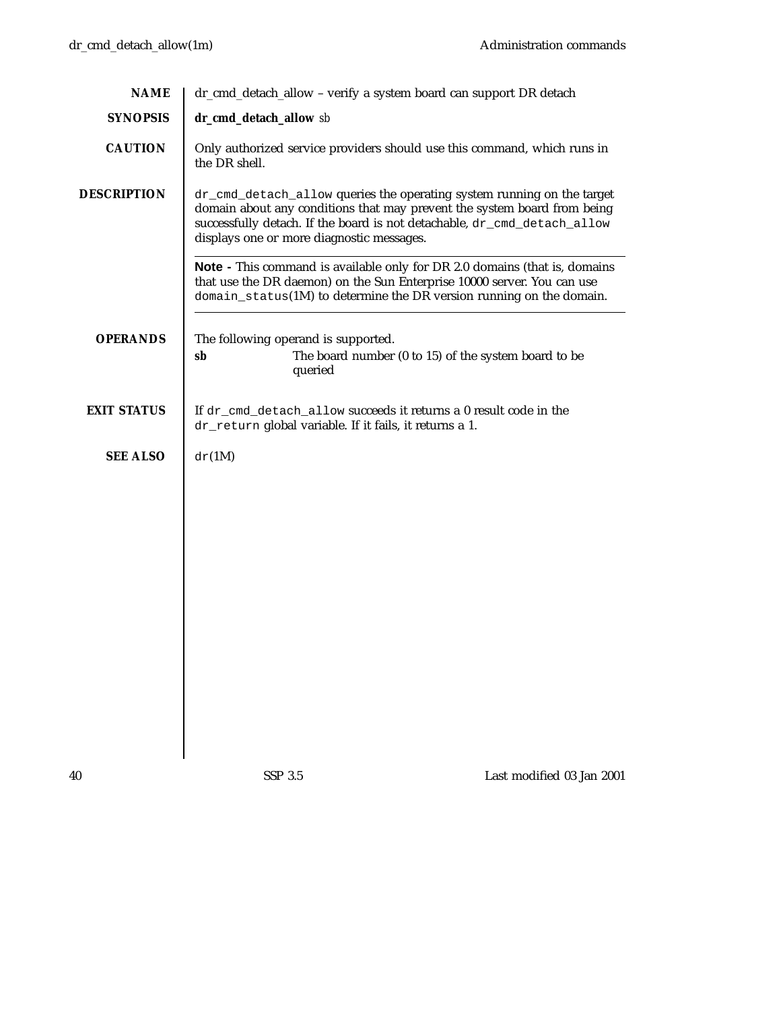| <b>NAME</b>        | dr_cmd_detach_allow - verify a system board can support DR detach                                                                                                                                                                                                           |  |
|--------------------|-----------------------------------------------------------------------------------------------------------------------------------------------------------------------------------------------------------------------------------------------------------------------------|--|
| <b>SYNOPSIS</b>    | dr_cmd_detach_allow sb                                                                                                                                                                                                                                                      |  |
| <b>CAUTION</b>     | Only authorized service providers should use this command, which runs in<br>the DR shell.                                                                                                                                                                                   |  |
| <b>DESCRIPTION</b> | dr_cmd_detach_allow queries the operating system running on the target<br>domain about any conditions that may prevent the system board from being<br>successfully detach. If the board is not detachable, dr_cmd_detach_allow<br>displays one or more diagnostic messages. |  |
|                    | <b>Note -</b> This command is available only for DR 2.0 domains (that is, domains<br>that use the DR daemon) on the Sun Enterprise 10000 server. You can use<br>domain_status(1M) to determine the DR version running on the domain.                                        |  |
| <b>OPERANDS</b>    | The following operand is supported.<br>sb<br>The board number (0 to 15) of the system board to be<br>queried                                                                                                                                                                |  |
| <b>EXIT STATUS</b> | If dr_cmd_detach_allow succeeds it returns a 0 result code in the<br>dr_return global variable. If it fails, it returns a 1.                                                                                                                                                |  |
| <b>SEE ALSO</b>    | dr(1M)                                                                                                                                                                                                                                                                      |  |
|                    |                                                                                                                                                                                                                                                                             |  |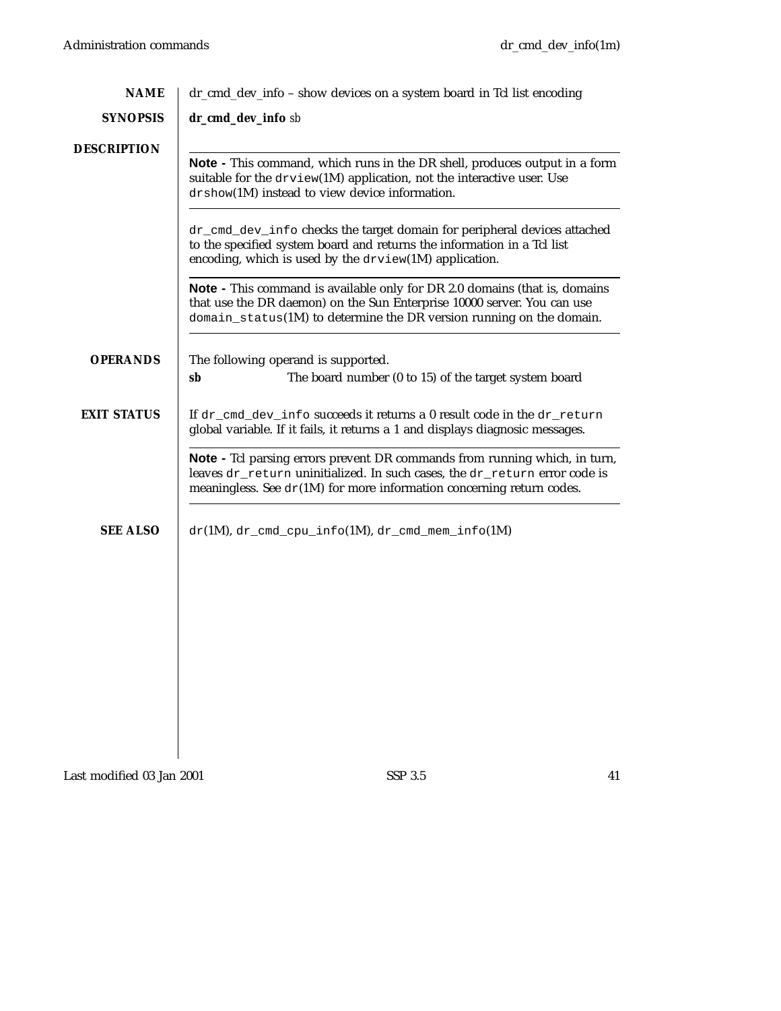| <b>NAME</b>        | dr_cmd_dev_info - show devices on a system board in Tcl list encoding                                                                                                                                                                      |
|--------------------|--------------------------------------------------------------------------------------------------------------------------------------------------------------------------------------------------------------------------------------------|
| <b>SYNOPSIS</b>    | dr_cmd_dev_info sb                                                                                                                                                                                                                         |
| <b>DESCRIPTION</b> |                                                                                                                                                                                                                                            |
|                    | Note - This command, which runs in the DR shell, produces output in a form<br>suitable for the drview(1M) application, not the interactive user. Use<br>$dr$ show $(1M)$ instead to view device information.                               |
|                    | dr_cmd_dev_info checks the target domain for peripheral devices attached<br>to the specified system board and returns the information in a Tcl list<br>encoding, which is used by the drview(1M) application.                              |
|                    | <b>Note -</b> This command is available only for DR 2.0 domains (that is, domains<br>that use the DR daemon) on the Sun Enterprise 10000 server. You can use<br>domain_status(1M) to determine the DR version running on the domain.       |
| <b>OPERANDS</b>    | The following operand is supported.<br>The board number (0 to 15) of the target system board<br>sb                                                                                                                                         |
| <b>EXIT STATUS</b> | If dr_cmd_dev_info succeeds it returns a 0 result code in the dr_return<br>global variable. If it fails, it returns a 1 and displays diagnosic messages.                                                                                   |
|                    | <b>Note -</b> Tcl parsing errors prevent DR commands from running which, in turn,<br>leaves dr_return uninitialized. In such cases, the dr_return error code is<br>meaningless. See $dr(1M)$ for more information concerning return codes. |
| <b>SEE ALSO</b>    | $dr(1M)$ , $dr\_cmd\_cpu\_info(1M)$ , $dr\_cmd\_mem\_info(1M)$                                                                                                                                                                             |
|                    |                                                                                                                                                                                                                                            |
|                    |                                                                                                                                                                                                                                            |
|                    |                                                                                                                                                                                                                                            |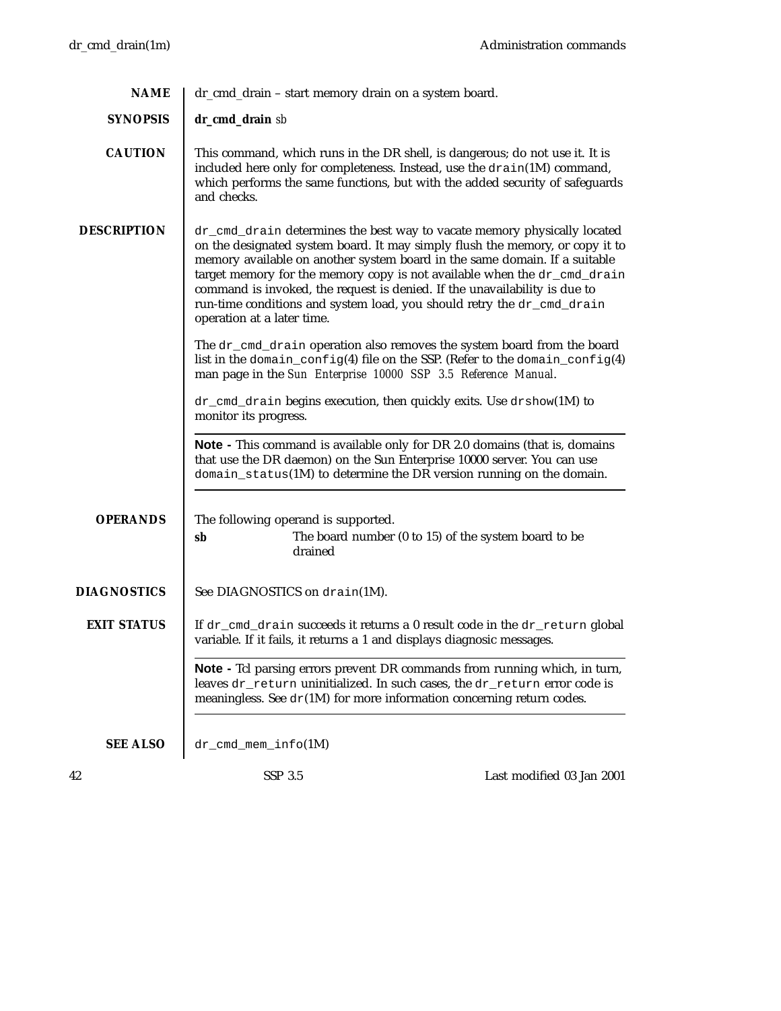| <b>NAME</b>        | dr_cmd_drain - start memory drain on a system board.                                                                                                                                                                                                                                                                                                                                                                                                                                                      |                                                                                                                                                                                                                                            |  |
|--------------------|-----------------------------------------------------------------------------------------------------------------------------------------------------------------------------------------------------------------------------------------------------------------------------------------------------------------------------------------------------------------------------------------------------------------------------------------------------------------------------------------------------------|--------------------------------------------------------------------------------------------------------------------------------------------------------------------------------------------------------------------------------------------|--|
| <b>SYNOPSIS</b>    | dr_cmd_drain sb                                                                                                                                                                                                                                                                                                                                                                                                                                                                                           |                                                                                                                                                                                                                                            |  |
| <b>CAUTION</b>     | This command, which runs in the DR shell, is dangerous; do not use it. It is<br>included here only for completeness. Instead, use the drain(1M) command,<br>which performs the same functions, but with the added security of safeguards<br>and checks.                                                                                                                                                                                                                                                   |                                                                                                                                                                                                                                            |  |
| <b>DESCRIPTION</b> | dr_cmd_drain determines the best way to vacate memory physically located<br>on the designated system board. It may simply flush the memory, or copy it to<br>memory available on another system board in the same domain. If a suitable<br>target memory for the memory copy is not available when the dr_cmd_drain<br>command is invoked, the request is denied. If the unavailability is due to<br>run-time conditions and system load, you should retry the dr_cmd_drain<br>operation at a later time. |                                                                                                                                                                                                                                            |  |
|                    | man page in the Sun Enterprise 10000 SSP 3.5 Reference Manual.                                                                                                                                                                                                                                                                                                                                                                                                                                            | The dr_cmd_drain operation also removes the system board from the board<br>list in the domain_config(4) file on the SSP. (Refer to the domain_config(4)                                                                                    |  |
|                    | monitor its progress.                                                                                                                                                                                                                                                                                                                                                                                                                                                                                     | dr_cmd_drain begins execution, then quickly exits. Use drshow(1M) to                                                                                                                                                                       |  |
|                    |                                                                                                                                                                                                                                                                                                                                                                                                                                                                                                           | Note - This command is available only for DR 2.0 domains (that is, domains<br>that use the DR daemon) on the Sun Enterprise 10000 server. You can use<br>domain_status(1M) to determine the DR version running on the domain.              |  |
| <b>OPERANDS</b>    | The following operand is supported.<br>sb<br>drained                                                                                                                                                                                                                                                                                                                                                                                                                                                      | The board number (0 to 15) of the system board to be                                                                                                                                                                                       |  |
| <b>DIAGNOSTICS</b> | See DIAGNOSTICS on drain(1M).                                                                                                                                                                                                                                                                                                                                                                                                                                                                             |                                                                                                                                                                                                                                            |  |
| <b>EXIT STATUS</b> | If dr_cmd_drain succeeds it returns a 0 result code in the dr_return global<br>variable. If it fails, it returns a 1 and displays diagnosic messages.                                                                                                                                                                                                                                                                                                                                                     |                                                                                                                                                                                                                                            |  |
|                    |                                                                                                                                                                                                                                                                                                                                                                                                                                                                                                           | <b>Note -</b> Tcl parsing errors prevent DR commands from running which, in turn,<br>leaves dr_return uninitialized. In such cases, the dr_return error code is<br>meaningless. See $dr(1M)$ for more information concerning return codes. |  |
| <b>SEE ALSO</b>    | $dr\_cmd\_mem\_info(1M)$                                                                                                                                                                                                                                                                                                                                                                                                                                                                                  |                                                                                                                                                                                                                                            |  |
| 42                 | SSP 3.5                                                                                                                                                                                                                                                                                                                                                                                                                                                                                                   | Last modified 03 Jan 2001                                                                                                                                                                                                                  |  |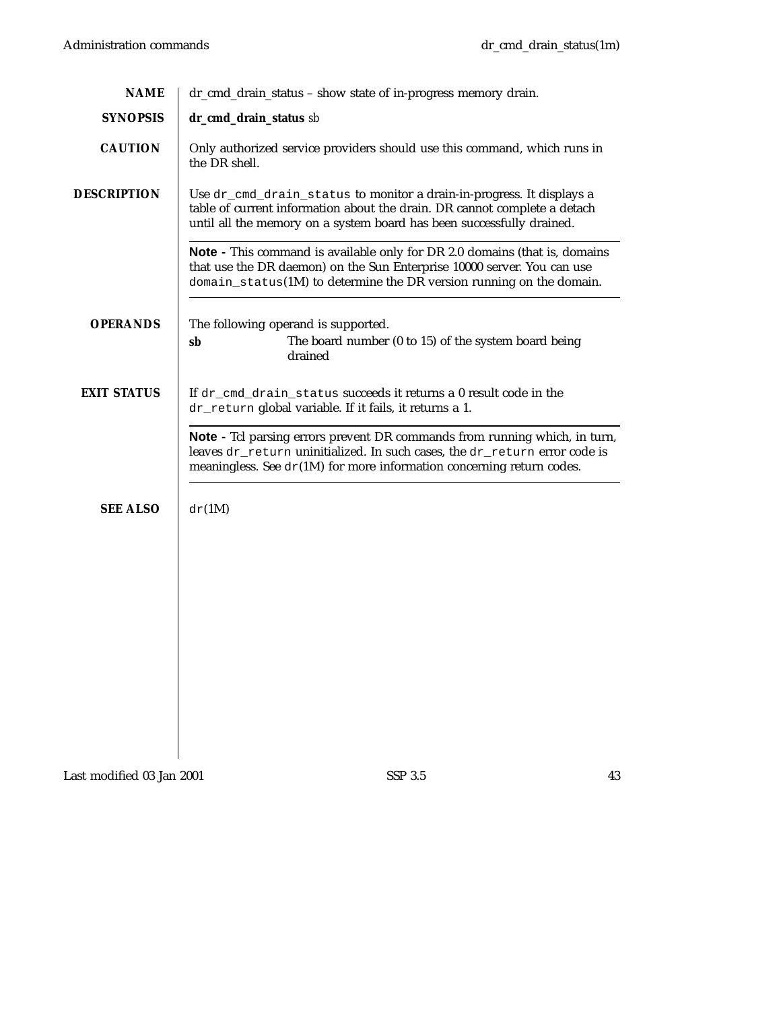| <b>NAME</b>        | dr_cmd_drain_status - show state of in-progress memory drain.                                                                                                                                                                              |
|--------------------|--------------------------------------------------------------------------------------------------------------------------------------------------------------------------------------------------------------------------------------------|
| <b>SYNOPSIS</b>    | dr_cmd_drain_status sb                                                                                                                                                                                                                     |
| <b>CAUTION</b>     | Only authorized service providers should use this command, which runs in<br>the DR shell.                                                                                                                                                  |
| <b>DESCRIPTION</b> | Use dr_cmd_drain_status to monitor a drain-in-progress. It displays a<br>table of current information about the drain. DR cannot complete a detach<br>until all the memory on a system board has been successfully drained.                |
|                    | Note - This command is available only for DR 2.0 domains (that is, domains<br>that use the DR daemon) on the Sun Enterprise 10000 server. You can use<br>domain_status(1M) to determine the DR version running on the domain.              |
| <b>OPERANDS</b>    | The following operand is supported.<br>sb<br>The board number (0 to 15) of the system board being<br>drained                                                                                                                               |
| <b>EXIT STATUS</b> | If dr_cmd_drain_status succeeds it returns a 0 result code in the<br>dr_return global variable. If it fails, it returns a 1.                                                                                                               |
|                    | <b>Note -</b> Tcl parsing errors prevent DR commands from running which, in turn,<br>leaves dr_return uninitialized. In such cases, the dr_return error code is<br>meaningless. See $dr(1M)$ for more information concerning return codes. |
| <b>SEE ALSO</b>    | dr(1M)                                                                                                                                                                                                                                     |
|                    |                                                                                                                                                                                                                                            |
|                    |                                                                                                                                                                                                                                            |
|                    |                                                                                                                                                                                                                                            |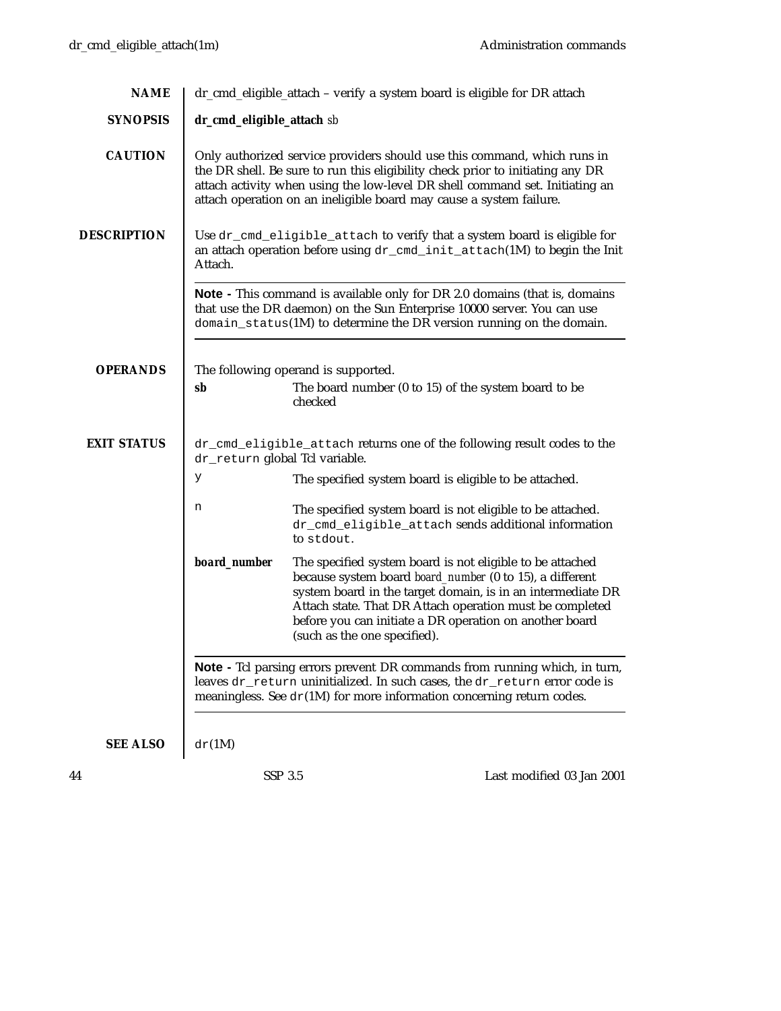| <b>NAME</b>        | dr_cmd_eligible_attach - verify a system board is eligible for DR attach                                                                                                                                                                                                                                          |                                                                                                                                                                                                                                                                                                                                             |
|--------------------|-------------------------------------------------------------------------------------------------------------------------------------------------------------------------------------------------------------------------------------------------------------------------------------------------------------------|---------------------------------------------------------------------------------------------------------------------------------------------------------------------------------------------------------------------------------------------------------------------------------------------------------------------------------------------|
| <b>SYNOPSIS</b>    | dr_cmd_eligible_attach sb                                                                                                                                                                                                                                                                                         |                                                                                                                                                                                                                                                                                                                                             |
| <b>CAUTION</b>     | Only authorized service providers should use this command, which runs in<br>the DR shell. Be sure to run this eligibility check prior to initiating any DR<br>attach activity when using the low-level DR shell command set. Initiating an<br>attach operation on an ineligible board may cause a system failure. |                                                                                                                                                                                                                                                                                                                                             |
| <b>DESCRIPTION</b> | Use dr_cmd_eligible_attach to verify that a system board is eligible for<br>an attach operation before using dr_cmd_init_attach(1M) to begin the Init<br>Attach.                                                                                                                                                  |                                                                                                                                                                                                                                                                                                                                             |
|                    |                                                                                                                                                                                                                                                                                                                   | <b>Note -</b> This command is available only for DR 2.0 domains (that is, domains<br>that use the DR daemon) on the Sun Enterprise 10000 server. You can use<br>domain_status(1M) to determine the DR version running on the domain.                                                                                                        |
| <b>OPERANDS</b>    | sb                                                                                                                                                                                                                                                                                                                | The following operand is supported.<br>The board number (0 to 15) of the system board to be<br>checked                                                                                                                                                                                                                                      |
| <b>EXIT STATUS</b> | dr_cmd_eligible_attach returns one of the following result codes to the<br>dr_return global Tcl variable.                                                                                                                                                                                                         |                                                                                                                                                                                                                                                                                                                                             |
|                    | У                                                                                                                                                                                                                                                                                                                 | The specified system board is eligible to be attached.                                                                                                                                                                                                                                                                                      |
|                    | n                                                                                                                                                                                                                                                                                                                 | The specified system board is not eligible to be attached.<br>dr_cmd_eligible_attach sends additional information<br>to stdout.                                                                                                                                                                                                             |
|                    | board_number                                                                                                                                                                                                                                                                                                      | The specified system board is not eligible to be attached<br>because system board board_number (0 to 15), a different<br>system board in the target domain, is in an intermediate DR<br>Attach state. That DR Attach operation must be completed<br>before you can initiate a DR operation on another board<br>(such as the one specified). |
|                    |                                                                                                                                                                                                                                                                                                                   | <b>Note -</b> Tel parsing errors prevent DR commands from running which, in turn,<br>leaves dr_return uninitialized. In such cases, the dr_return error code is<br>meaningless. See $dr(1M)$ for more information concerning return codes.                                                                                                  |
| <b>SEE ALSO</b>    | dr(1M)                                                                                                                                                                                                                                                                                                            |                                                                                                                                                                                                                                                                                                                                             |
| 44                 | SSP 3.5                                                                                                                                                                                                                                                                                                           | Last modified 03 Jan 2001                                                                                                                                                                                                                                                                                                                   |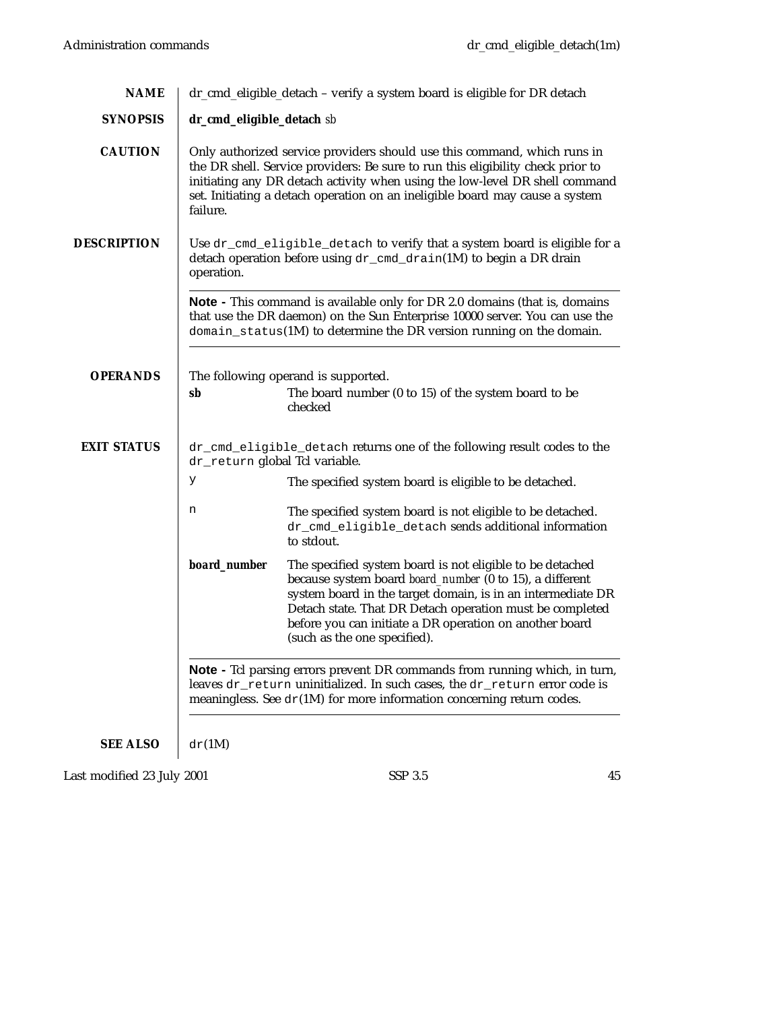| <b>NAME</b>                | dr_cmd_eligible_detach - verify a system board is eligible for DR detach                                                                                                                                                                                                                                                               |                                                                                                                                                                                                                                                                                                                                             |  |
|----------------------------|----------------------------------------------------------------------------------------------------------------------------------------------------------------------------------------------------------------------------------------------------------------------------------------------------------------------------------------|---------------------------------------------------------------------------------------------------------------------------------------------------------------------------------------------------------------------------------------------------------------------------------------------------------------------------------------------|--|
| <b>SYNOPSIS</b>            | dr_cmd_eligible_detach sb                                                                                                                                                                                                                                                                                                              |                                                                                                                                                                                                                                                                                                                                             |  |
| <b>CAUTION</b>             | Only authorized service providers should use this command, which runs in<br>the DR shell. Service providers: Be sure to run this eligibility check prior to<br>initiating any DR detach activity when using the low-level DR shell command<br>set. Initiating a detach operation on an ineligible board may cause a system<br>failure. |                                                                                                                                                                                                                                                                                                                                             |  |
| <b>DESCRIPTION</b>         | Use dr_cmd_eligible_detach to verify that a system board is eligible for a<br>detach operation before using dr_cmd_drain(1M) to begin a DR drain<br>operation.                                                                                                                                                                         |                                                                                                                                                                                                                                                                                                                                             |  |
|                            | <b>Note -</b> This command is available only for DR 2.0 domains (that is, domains<br>that use the DR daemon) on the Sun Enterprise 10000 server. You can use the<br>domain_status(1M) to determine the DR version running on the domain.                                                                                               |                                                                                                                                                                                                                                                                                                                                             |  |
| <b>OPERANDS</b>            |                                                                                                                                                                                                                                                                                                                                        | The following operand is supported.                                                                                                                                                                                                                                                                                                         |  |
|                            | sb                                                                                                                                                                                                                                                                                                                                     | The board number (0 to 15) of the system board to be<br>checked                                                                                                                                                                                                                                                                             |  |
| <b>EXIT STATUS</b>         | dr_cmd_eligible_detach returns one of the following result codes to the<br>dr_return global Tcl variable.                                                                                                                                                                                                                              |                                                                                                                                                                                                                                                                                                                                             |  |
|                            | У                                                                                                                                                                                                                                                                                                                                      | The specified system board is eligible to be detached.                                                                                                                                                                                                                                                                                      |  |
|                            | n                                                                                                                                                                                                                                                                                                                                      | The specified system board is not eligible to be detached.<br>dr_cmd_eligible_detach sends additional information<br>to stdout.                                                                                                                                                                                                             |  |
|                            | board_number                                                                                                                                                                                                                                                                                                                           | The specified system board is not eligible to be detached<br>because system board board_number (0 to 15), a different<br>system board in the target domain, is in an intermediate DR<br>Detach state. That DR Detach operation must be completed<br>before you can initiate a DR operation on another board<br>(such as the one specified). |  |
|                            |                                                                                                                                                                                                                                                                                                                                        | <b>Note -</b> Tcl parsing errors prevent DR commands from running which, in turn,<br>leaves dr_return uninitialized. In such cases, the dr_return error code is<br>meaningless. See $dr(1M)$ for more information concerning return codes.                                                                                                  |  |
| <b>SEE ALSO</b>            | dr(1M)                                                                                                                                                                                                                                                                                                                                 |                                                                                                                                                                                                                                                                                                                                             |  |
| Last modified 23 July 2001 |                                                                                                                                                                                                                                                                                                                                        | SSP 3.5<br>45                                                                                                                                                                                                                                                                                                                               |  |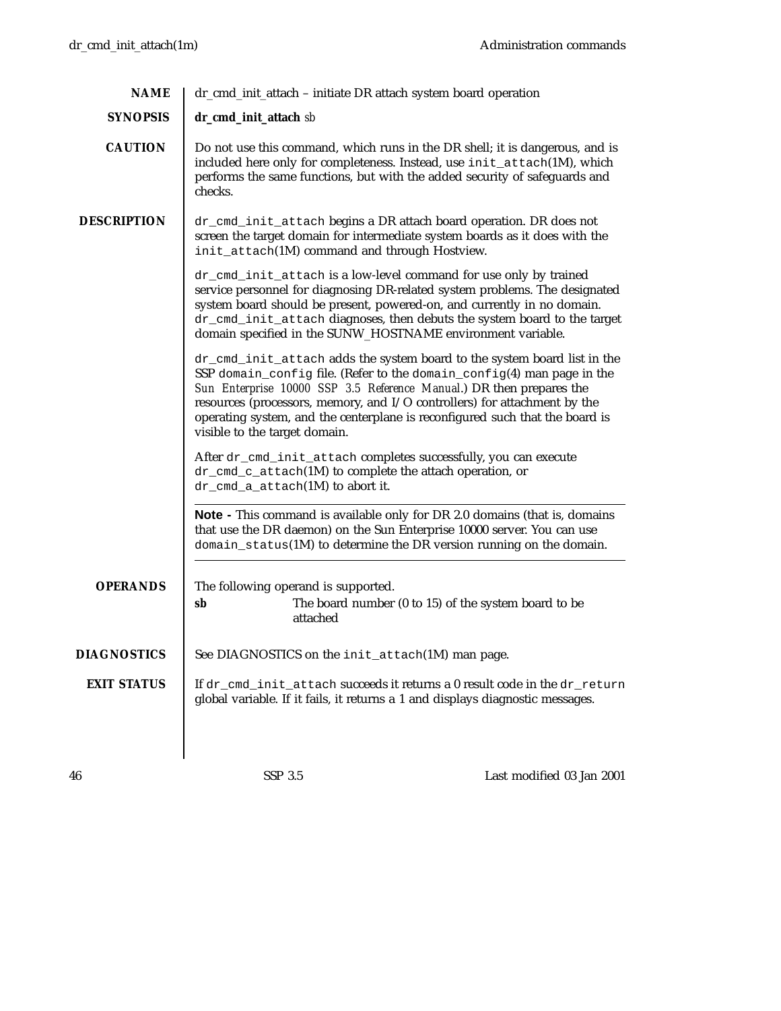| <b>NAME</b>        | dr_cmd_init_attach - initiate DR attach system board operation                                                                                                                                                                                                                                                                                                                                                           |  |
|--------------------|--------------------------------------------------------------------------------------------------------------------------------------------------------------------------------------------------------------------------------------------------------------------------------------------------------------------------------------------------------------------------------------------------------------------------|--|
| <b>SYNOPSIS</b>    | dr_cmd_init_attach sb                                                                                                                                                                                                                                                                                                                                                                                                    |  |
| <b>CAUTION</b>     | Do not use this command, which runs in the DR shell; it is dangerous, and is<br>included here only for completeness. Instead, use init_attach(1M), which<br>performs the same functions, but with the added security of safeguards and<br>checks.                                                                                                                                                                        |  |
| <b>DESCRIPTION</b> | dr_cmd_init_attach begins a DR attach board operation. DR does not<br>screen the target domain for intermediate system boards as it does with the<br>init_attach(1M) command and through Hostview.                                                                                                                                                                                                                       |  |
|                    | dr_cmd_init_attach is a low-level command for use only by trained<br>service personnel for diagnosing DR-related system problems. The designated<br>system board should be present, powered-on, and currently in no domain.<br>dr_cmd_init_attach diagnoses, then debuts the system board to the target<br>domain specified in the SUNW_HOSTNAME environment variable.                                                   |  |
|                    | dr_cmd_init_attach adds the system board to the system board list in the<br>SSP domain_config file. (Refer to the domain_config(4) man page in the<br>Sun Enterprise 10000 SSP 3.5 Reference Manual.) DR then prepares the<br>resources (processors, memory, and I/O controllers) for attachment by the<br>operating system, and the centerplane is reconfigured such that the board is<br>visible to the target domain. |  |
|                    | After dr_cmd_init_attach completes successfully, you can execute<br>dr_cmd_c_attach(1M) to complete the attach operation, or<br>dr_cmd_a_attach(1M) to abort it.                                                                                                                                                                                                                                                         |  |
|                    | <b>Note -</b> This command is available only for DR 2.0 domains (that is, domains<br>that use the DR daemon) on the Sun Enterprise 10000 server. You can use<br>domain_status(1M) to determine the DR version running on the domain.                                                                                                                                                                                     |  |
| <b>OPERANDS</b>    | The following operand is supported.<br>The board number (0 to 15) of the system board to be<br>sb<br>attached                                                                                                                                                                                                                                                                                                            |  |
| <b>DIAGNOSTICS</b> | See DIAGNOSTICS on the init_attach(1M) man page.                                                                                                                                                                                                                                                                                                                                                                         |  |
| <b>EXIT STATUS</b> | If dr_cmd_init_attach succeeds it returns a 0 result code in the dr_return<br>global variable. If it fails, it returns a 1 and displays diagnostic messages.                                                                                                                                                                                                                                                             |  |
|                    |                                                                                                                                                                                                                                                                                                                                                                                                                          |  |
| 46                 | SSP 3.5<br>Last modified 03 Jan 2001                                                                                                                                                                                                                                                                                                                                                                                     |  |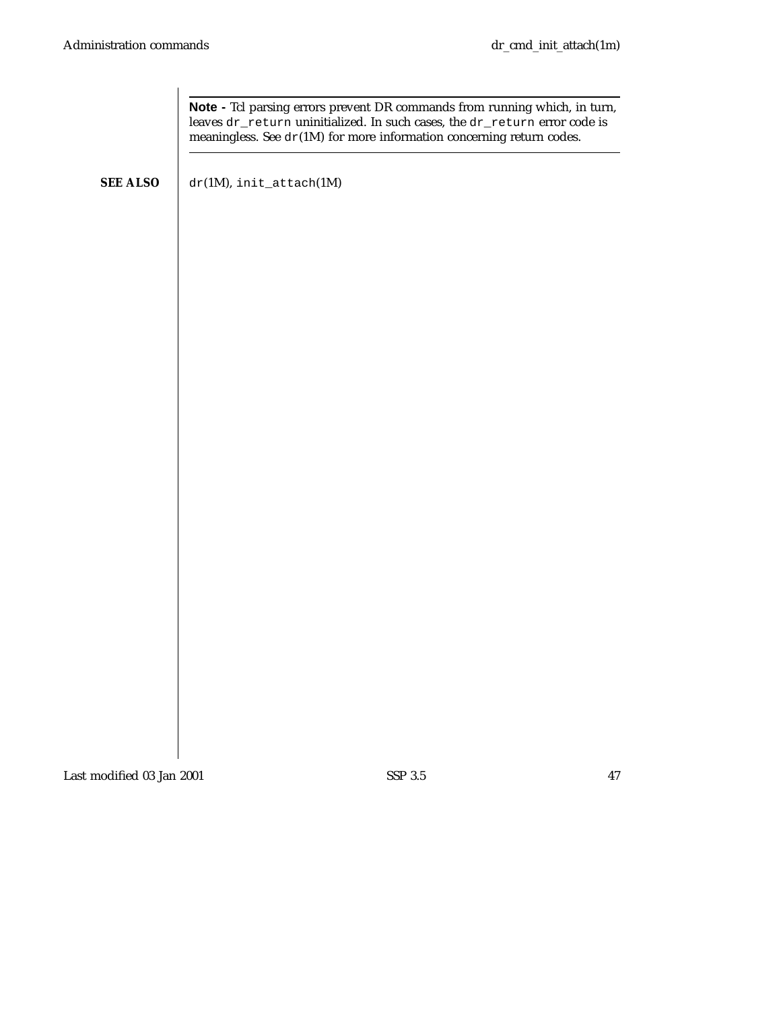**Note -** Tcl parsing errors prevent DR commands from running which, in turn, leaves dr\_return uninitialized. In such cases, the dr\_return error code is meaningless. See  $dr(1M)$  for more information concerning return codes.

**SEE ALSO**  $\det(M)$ , init\_attach(1M)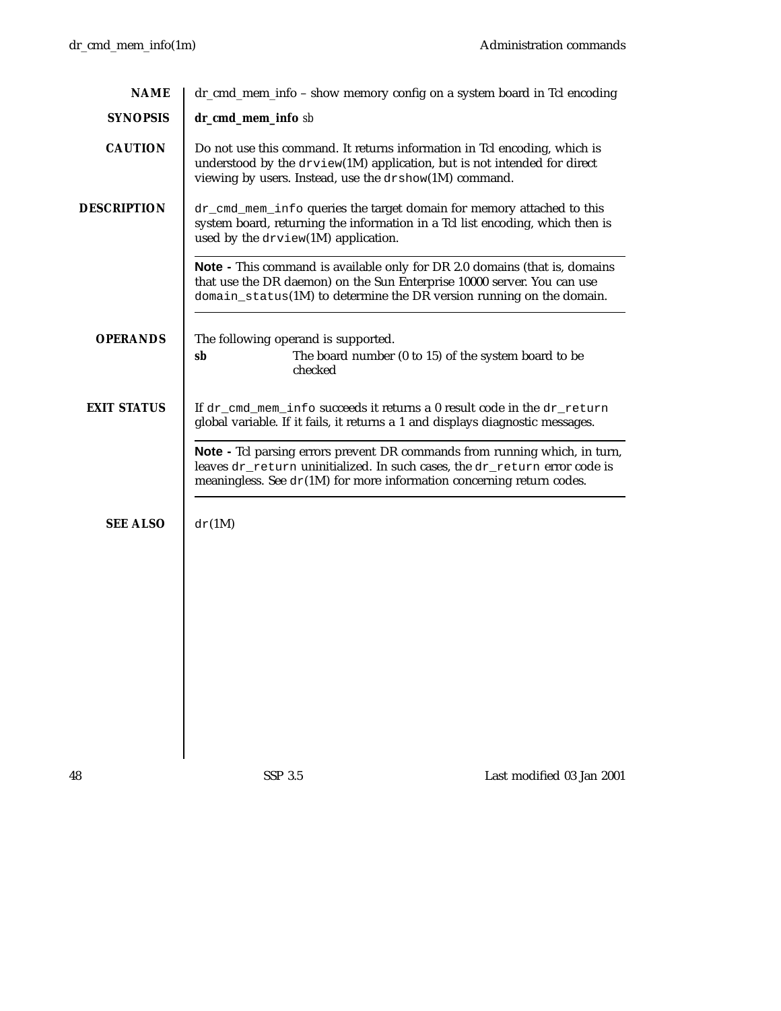| <b>NAME</b>        | dr_cmd_mem_info - show memory config on a system board in Tcl encoding                                                                                                                                                               |
|--------------------|--------------------------------------------------------------------------------------------------------------------------------------------------------------------------------------------------------------------------------------|
| <b>SYNOPSIS</b>    | dr_cmd_mem_info sb                                                                                                                                                                                                                   |
| <b>CAUTION</b>     | Do not use this command. It returns information in Tcl encoding, which is<br>understood by the drview(1M) application, but is not intended for direct<br>viewing by users. Instead, use the drshow(1M) command.                      |
| <b>DESCRIPTION</b> | dr_cmd_mem_info queries the target domain for memory attached to this<br>system board, returning the information in a Tcl list encoding, which then is<br>used by the drview(1M) application.                                        |
|                    | <b>Note -</b> This command is available only for DR 2.0 domains (that is, domains<br>that use the DR daemon) on the Sun Enterprise 10000 server. You can use<br>domain_status(1M) to determine the DR version running on the domain. |
| <b>OPERANDS</b>    | The following operand is supported.<br>The board number (0 to 15) of the system board to be<br>sb<br>checked                                                                                                                         |
| <b>EXIT STATUS</b> | If dr_cmd_mem_info succeeds it returns a 0 result code in the dr_return<br>global variable. If it fails, it returns a 1 and displays diagnostic messages.                                                                            |
|                    | Note - Tcl parsing errors prevent DR commands from running which, in turn,<br>leaves dr_return uninitialized. In such cases, the dr_return error code is<br>meaningless. See $dr(M)$ for more information concerning return codes.   |
| <b>SEE ALSO</b>    | dr(1M)                                                                                                                                                                                                                               |
|                    |                                                                                                                                                                                                                                      |
|                    |                                                                                                                                                                                                                                      |
|                    |                                                                                                                                                                                                                                      |
|                    |                                                                                                                                                                                                                                      |
|                    |                                                                                                                                                                                                                                      |
|                    |                                                                                                                                                                                                                                      |
|                    |                                                                                                                                                                                                                                      |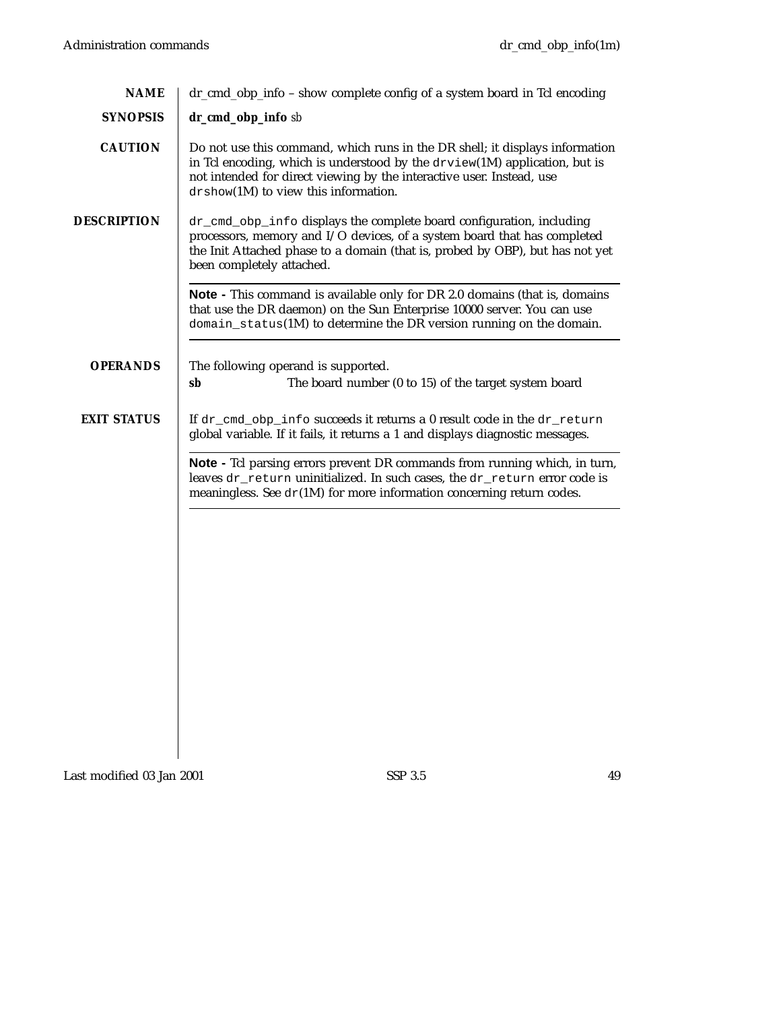| <b>NAME</b>        | dr_cmd_obp_info - show complete config of a system board in Tcl encoding                                                                                                                                                                                                          |
|--------------------|-----------------------------------------------------------------------------------------------------------------------------------------------------------------------------------------------------------------------------------------------------------------------------------|
| <b>SYNOPSIS</b>    | dr_cmd_obp_info sb                                                                                                                                                                                                                                                                |
| <b>CAUTION</b>     | Do not use this command, which runs in the DR shell; it displays information<br>in Tcl encoding, which is understood by the drview(1M) application, but is<br>not intended for direct viewing by the interactive user. Instead, use<br>$dr$ show $(1M)$ to view this information. |
| <b>DESCRIPTION</b> | dr_cmd_obp_info displays the complete board configuration, including<br>processors, memory and I/O devices, of a system board that has completed<br>the Init Attached phase to a domain (that is, probed by OBP), but has not yet<br>been completely attached.                    |
|                    | <b>Note -</b> This command is available only for DR 2.0 domains (that is, domains<br>that use the DR daemon) on the Sun Enterprise 10000 server. You can use<br>domain_status( $1M$ ) to determine the DR version running on the domain.                                          |
| <b>OPERANDS</b>    | The following operand is supported.<br>The board number (0 to 15) of the target system board<br>sb                                                                                                                                                                                |
| <b>EXIT STATUS</b> | If dr_cmd_obp_info succeeds it returns a 0 result code in the dr_return<br>global variable. If it fails, it returns a 1 and displays diagnostic messages.                                                                                                                         |
|                    | Note - Tcl parsing errors prevent DR commands from running which, in turn,<br>leaves dr_return uninitialized. In such cases, the dr_return error code is<br>meaningless. See $dr(1M)$ for more information concerning return codes.                                               |
|                    |                                                                                                                                                                                                                                                                                   |
|                    |                                                                                                                                                                                                                                                                                   |
|                    |                                                                                                                                                                                                                                                                                   |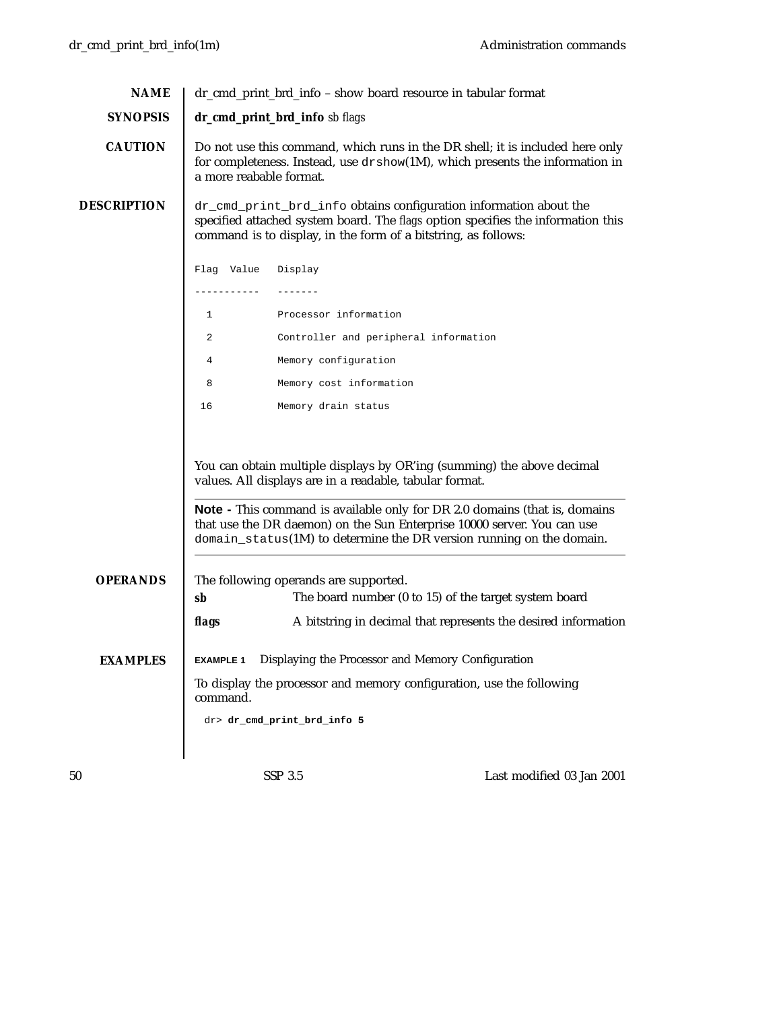| <b>NAME</b>        | dr_cmd_print_brd_info - show board resource in tabular format                                                                                                                                                                                                                                                                                                             |  |  |
|--------------------|---------------------------------------------------------------------------------------------------------------------------------------------------------------------------------------------------------------------------------------------------------------------------------------------------------------------------------------------------------------------------|--|--|
| <b>SYNOPSIS</b>    | dr_cmd_print_brd_info sb flags                                                                                                                                                                                                                                                                                                                                            |  |  |
| <b>CAUTION</b>     | Do not use this command, which runs in the DR shell; it is included here only<br>for completeness. Instead, use $d_{\text{rshow}}(1M)$ , which presents the information in<br>a more reabable format.                                                                                                                                                                     |  |  |
| <b>DESCRIPTION</b> | dr_cmd_print_brd_info obtains configuration information about the<br>specified attached system board. The flags option specifies the information this<br>command is to display, in the form of a bitstring, as follows:                                                                                                                                                   |  |  |
|                    | Flag Value Display                                                                                                                                                                                                                                                                                                                                                        |  |  |
|                    |                                                                                                                                                                                                                                                                                                                                                                           |  |  |
|                    | $\mathbf{1}$<br>Processor information                                                                                                                                                                                                                                                                                                                                     |  |  |
|                    | 2<br>Controller and peripheral information                                                                                                                                                                                                                                                                                                                                |  |  |
|                    | Memory configuration<br>4                                                                                                                                                                                                                                                                                                                                                 |  |  |
|                    | 8<br>Memory cost information                                                                                                                                                                                                                                                                                                                                              |  |  |
|                    | 16<br>Memory drain status                                                                                                                                                                                                                                                                                                                                                 |  |  |
|                    | You can obtain multiple displays by OR'ing (summing) the above decimal<br>values. All displays are in a readable, tabular format.<br><b>Note -</b> This command is available only for DR 2.0 domains (that is, domains<br>that use the DR daemon) on the Sun Enterprise 10000 server. You can use<br>domain_status(1M) to determine the DR version running on the domain. |  |  |
| <b>OPERANDS</b>    | The following operands are supported.                                                                                                                                                                                                                                                                                                                                     |  |  |
|                    | The board number (0 to 15) of the target system board<br>sb                                                                                                                                                                                                                                                                                                               |  |  |
|                    | A bitstring in decimal that represents the desired information<br>flags                                                                                                                                                                                                                                                                                                   |  |  |
| <b>EXAMPLES</b>    | Displaying the Processor and Memory Configuration<br><b>EXAMPLE 1</b>                                                                                                                                                                                                                                                                                                     |  |  |
|                    | To display the processor and memory configuration, use the following<br>command.                                                                                                                                                                                                                                                                                          |  |  |
|                    | dr> dr_cmd_print_brd_info 5                                                                                                                                                                                                                                                                                                                                               |  |  |
|                    |                                                                                                                                                                                                                                                                                                                                                                           |  |  |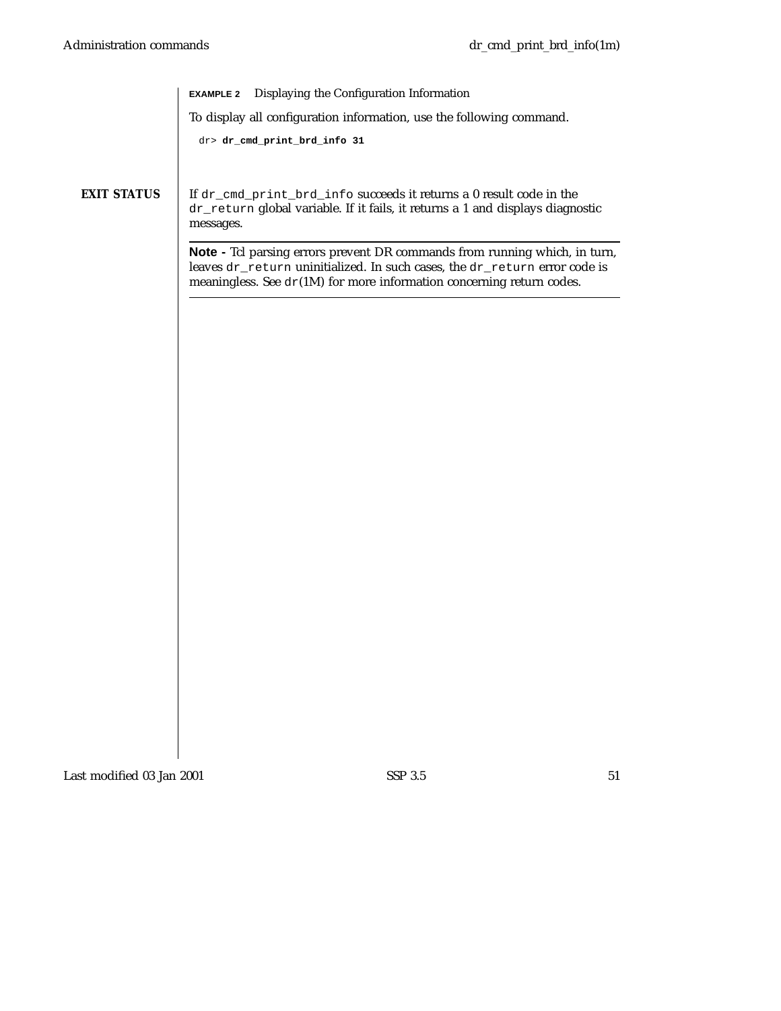**EXAMPLE 2** Displaying the Configuration Information To display all configuration information, use the following command. dr> **dr\_cmd\_print\_brd\_info 31**

**EXIT STATUS** If dr\_cmd\_print\_brd\_info succeeds it returns a 0 result code in the dr\_return global variable. If it fails, it returns a 1 and displays diagnostic messages.

> **Note -** Tcl parsing errors prevent DR commands from running which, in turn, leaves dr\_return uninitialized. In such cases, the dr\_return error code is meaningless. See  $dr(1M)$  for more information concerning return codes.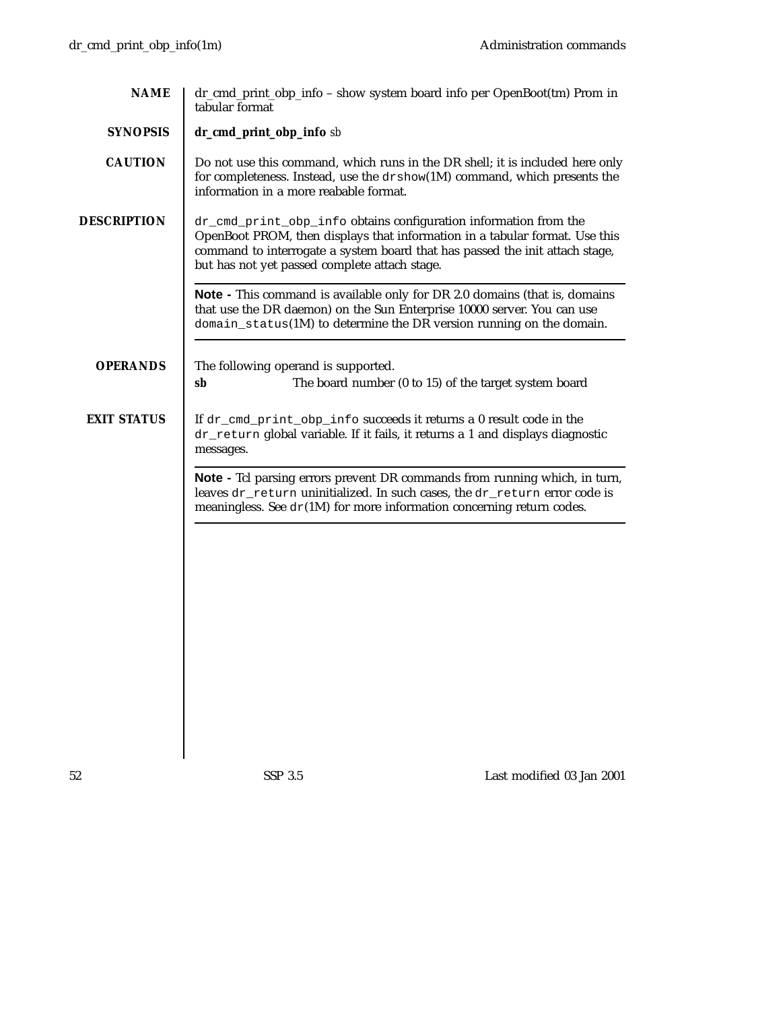| <b>NAME</b>        | dr_cmd_print_obp_info - show system board info per OpenBoot(tm) Prom in<br>tabular format                                                                                                                                                                                        |
|--------------------|----------------------------------------------------------------------------------------------------------------------------------------------------------------------------------------------------------------------------------------------------------------------------------|
| <b>SYNOPSIS</b>    | dr_cmd_print_obp_info sb                                                                                                                                                                                                                                                         |
| <b>CAUTION</b>     | Do not use this command, which runs in the DR shell; it is included here only<br>for completeness. Instead, use the drshow(1M) command, which presents the<br>information in a more reabable format.                                                                             |
| <b>DESCRIPTION</b> | dr_cmd_print_obp_info obtains configuration information from the<br>OpenBoot PROM, then displays that information in a tabular format. Use this<br>command to interrogate a system board that has passed the init attach stage,<br>but has not yet passed complete attach stage. |
|                    | Note - This command is available only for DR 2.0 domains (that is, domains<br>that use the DR daemon) on the Sun Enterprise 10000 server. You can use<br>domain_status(1M) to determine the DR version running on the domain.                                                    |
| <b>OPERANDS</b>    | The following operand is supported.<br>The board number (0 to 15) of the target system board<br>sb                                                                                                                                                                               |
| <b>EXIT STATUS</b> | If dr_cmd_print_obp_info succeeds it returns a 0 result code in the<br>dr_return global variable. If it fails, it returns a 1 and displays diagnostic<br>messages.                                                                                                               |
|                    | Note - Tcl parsing errors prevent DR commands from running which, in turn,<br>leaves dr_return uninitialized. In such cases, the dr_return error code is<br>meaningless. See $dr(1M)$ for more information concerning return codes.                                              |
|                    |                                                                                                                                                                                                                                                                                  |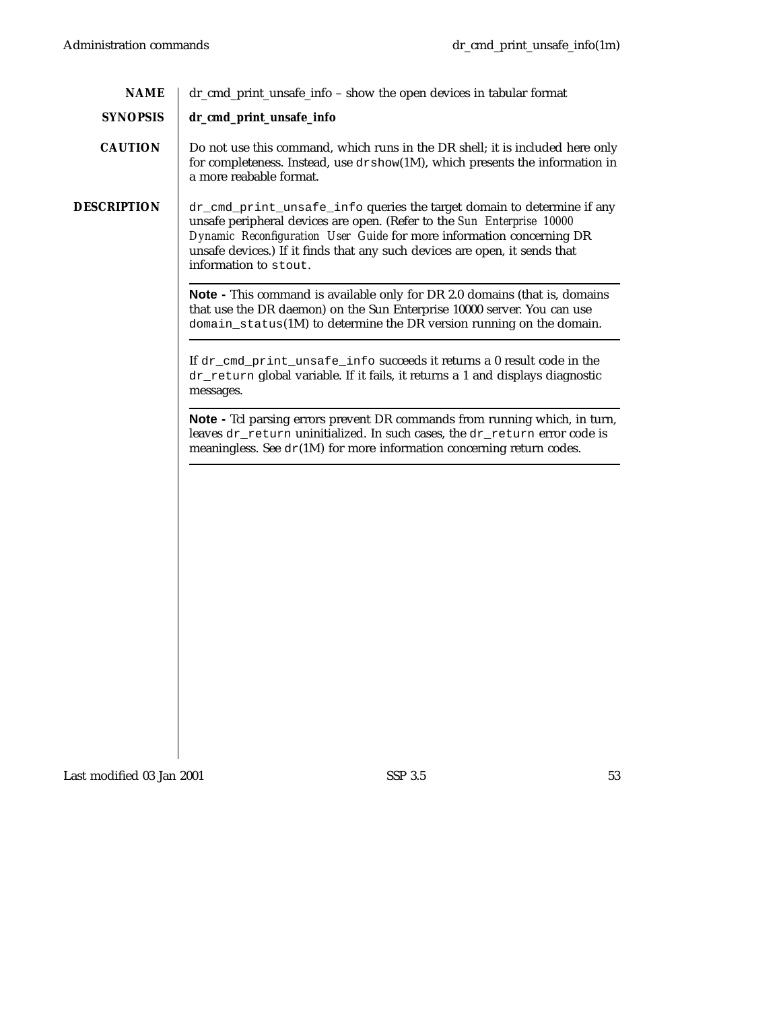**NAME** dr\_cmd\_print\_unsafe\_info – show the open devices in tabular format

## **SYNOPSIS dr\_cmd\_print\_unsafe\_info**

**CAUTION** Do not use this command, which runs in the DR shell; it is included here only for completeness. Instead, use drshow(1M), which presents the information in a more reabable format.

**DESCRIPTION** dr\_cmd\_print\_unsafe\_info queries the target domain to determine if any unsafe peripheral devices are open. (Refer to the *Sun Enterprise 10000 Dynamic Reconfiguration User Guide* for more information concerning DR unsafe devices.) If it finds that any such devices are open, it sends that information to stout.

> **Note -** This command is available only for DR 2.0 domains (that is, domains that use the DR daemon) on the Sun Enterprise 10000 server. You can use domain\_status(1M) to determine the DR version running on the domain.

If dr\_cmd\_print\_unsafe\_info succeeds it returns a 0 result code in the dr\_return global variable. If it fails, it returns a 1 and displays diagnostic messages.

**Note -** Tcl parsing errors prevent DR commands from running which, in turn, leaves dr\_return uninitialized. In such cases, the dr\_return error code is meaningless. See  $dr(1M)$  for more information concerning return codes.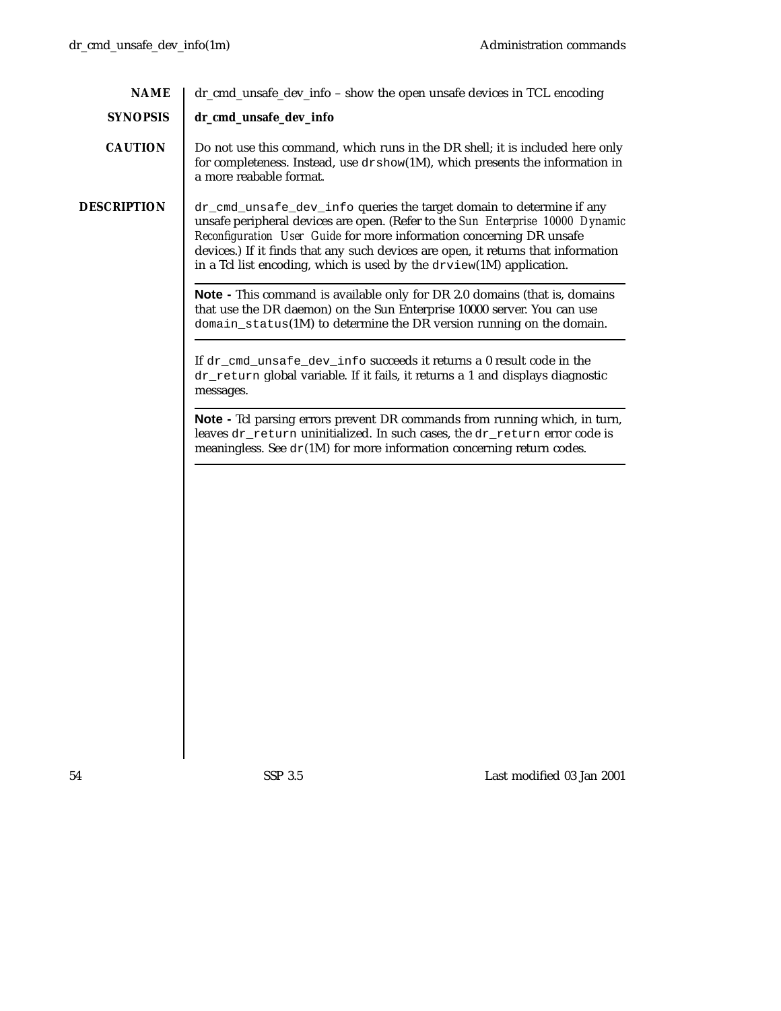| <b>NAME</b>        | dr_cmd_unsafe_dev_info - show the open unsafe devices in TCL encoding                                                                                                                                                                                                                                                                                                                       |
|--------------------|---------------------------------------------------------------------------------------------------------------------------------------------------------------------------------------------------------------------------------------------------------------------------------------------------------------------------------------------------------------------------------------------|
| <b>SYNOPSIS</b>    | dr_cmd_unsafe_dev_info                                                                                                                                                                                                                                                                                                                                                                      |
| <b>CAUTION</b>     | Do not use this command, which runs in the DR shell; it is included here only<br>for completeness. Instead, use $d$ rshow(1M), which presents the information in<br>a more reabable format.                                                                                                                                                                                                 |
| <b>DESCRIPTION</b> | dr_cmd_unsafe_dev_info queries the target domain to determine if any<br>unsafe peripheral devices are open. (Refer to the Sun Enterprise 10000 Dynamic<br>Reconfiguration User Guide for more information concerning DR unsafe<br>devices.) If it finds that any such devices are open, it returns that information<br>in a Tcl list encoding, which is used by the drview(1M) application. |
|                    | <b>Note -</b> This command is available only for DR 2.0 domains (that is, domains<br>that use the DR daemon) on the Sun Enterprise 10000 server. You can use<br>domain_status(1M) to determine the DR version running on the domain.                                                                                                                                                        |
|                    | If dr_cmd_unsafe_dev_info succeeds it returns a 0 result code in the<br>dr_return global variable. If it fails, it returns a 1 and displays diagnostic<br>messages.                                                                                                                                                                                                                         |
|                    | Note - Tcl parsing errors prevent DR commands from running which, in turn,<br>leaves dr_return uninitialized. In such cases, the dr_return error code is<br>meaningless. See $dr(1M)$ for more information concerning return codes.                                                                                                                                                         |
|                    |                                                                                                                                                                                                                                                                                                                                                                                             |
|                    |                                                                                                                                                                                                                                                                                                                                                                                             |
|                    |                                                                                                                                                                                                                                                                                                                                                                                             |
|                    |                                                                                                                                                                                                                                                                                                                                                                                             |
|                    |                                                                                                                                                                                                                                                                                                                                                                                             |
|                    |                                                                                                                                                                                                                                                                                                                                                                                             |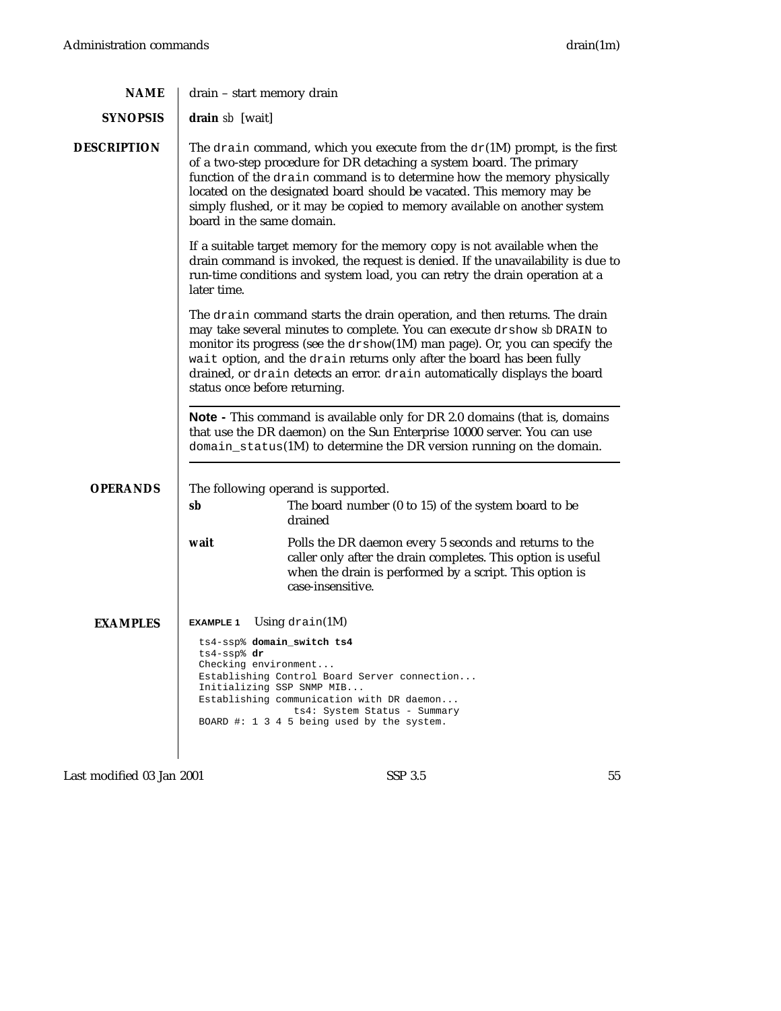| <b>NAME</b>        | drain - start memory drain                                                                                                                                                                                                                                                                                                                                                                                                    |                                                                                                                                                                                                                                      |  |  |
|--------------------|-------------------------------------------------------------------------------------------------------------------------------------------------------------------------------------------------------------------------------------------------------------------------------------------------------------------------------------------------------------------------------------------------------------------------------|--------------------------------------------------------------------------------------------------------------------------------------------------------------------------------------------------------------------------------------|--|--|
| <b>SYNOPSIS</b>    | drain sb [wait]                                                                                                                                                                                                                                                                                                                                                                                                               |                                                                                                                                                                                                                                      |  |  |
| <b>DESCRIPTION</b> | The drain command, which you execute from the $dr(1M)$ prompt, is the first<br>of a two-step procedure for DR detaching a system board. The primary<br>function of the drain command is to determine how the memory physically<br>located on the designated board should be vacated. This memory may be<br>simply flushed, or it may be copied to memory available on another system<br>board in the same domain.             |                                                                                                                                                                                                                                      |  |  |
|                    | If a suitable target memory for the memory copy is not available when the<br>drain command is invoked, the request is denied. If the unavailability is due to<br>run-time conditions and system load, you can retry the drain operation at a<br>later time.                                                                                                                                                                   |                                                                                                                                                                                                                                      |  |  |
|                    | The drain command starts the drain operation, and then returns. The drain<br>may take several minutes to complete. You can execute drshow sb DRAIN to<br>monitor its progress (see the drshow(1M) man page). Or, you can specify the<br>wait option, and the drain returns only after the board has been fully<br>drained, or drain detects an error. drain automatically displays the board<br>status once before returning. |                                                                                                                                                                                                                                      |  |  |
|                    |                                                                                                                                                                                                                                                                                                                                                                                                                               | <b>Note -</b> This command is available only for DR 2.0 domains (that is, domains<br>that use the DR daemon) on the Sun Enterprise 10000 server. You can use<br>domain_status(1M) to determine the DR version running on the domain. |  |  |
| <b>OPERANDS</b>    |                                                                                                                                                                                                                                                                                                                                                                                                                               | The following operand is supported.                                                                                                                                                                                                  |  |  |
|                    | sb                                                                                                                                                                                                                                                                                                                                                                                                                            | The board number (0 to 15) of the system board to be<br>drained                                                                                                                                                                      |  |  |
|                    | wait                                                                                                                                                                                                                                                                                                                                                                                                                          | Polls the DR daemon every 5 seconds and returns to the<br>caller only after the drain completes. This option is useful<br>when the drain is performed by a script. This option is<br>case-insensitive.                               |  |  |
| <b>EXAMPLES</b>    | <b>EXAMPLE 1</b>                                                                                                                                                                                                                                                                                                                                                                                                              | Using drain $(1M)$                                                                                                                                                                                                                   |  |  |
|                    | $ts4-ssp$ dr<br>Checking environment                                                                                                                                                                                                                                                                                                                                                                                          | ts4-ssp% domain_switch ts4<br>Establishing Control Board Server connection<br>Initializing SSP SNMP MIB<br>Establishing communication with DR daemon<br>ts4: System Status - Summary<br>BOARD #: 1 3 4 5 being used by the system.   |  |  |
|                    |                                                                                                                                                                                                                                                                                                                                                                                                                               |                                                                                                                                                                                                                                      |  |  |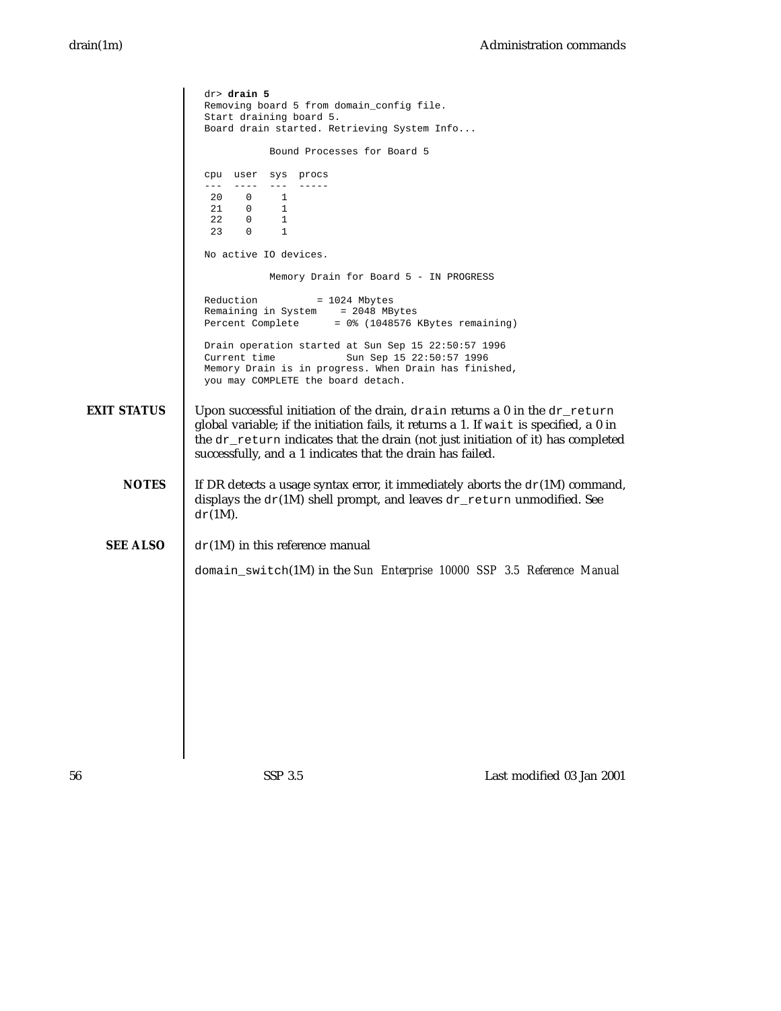```
dr> drain 5
                    Removing board 5 from domain_config file.
                    Start draining board 5.
                    Board drain started. Retrieving System Info...
                                Bound Processes for Board 5
                    cpu user sys procs
                     --- ---- --- -----<br>20 0 1
                     \begin{array}{cccc} 20 & & 0 & & 1 \\ 21 & & 0 & & 1 \end{array}2122 0 1
                     23 0 1
                    No active IO devices.
                                Memory Drain for Board 5 - IN PROGRESS
                    Reduction = 1024 Mbytes
                    Remaining in System = 2048 MBytes
                    Percent Complete = 0% (1048576 KBytes remaining)
                    Drain operation started at Sun Sep 15 22:50:57 1996
                    Current time Sun Sep 15 22:50:57 1996
                    Memory Drain is in progress. When Drain has finished,
                    you may COMPLETE the board detach.
EXIT STATUS Upon successful initiation of the drain, drain returns a 0 in the dr_return
                   global variable; if the initiation fails, it returns a 1. If wait is specified, a 0 in
                   the dr_return indicates that the drain (not just initiation of it) has completed
                   successfully, and a 1 indicates that the drain has failed.
      NOTES If DR detects a usage syntax error, it immediately aborts the d\mathbf{r}(\mathbf{1}M) command,
                   displays the dr(1M) shell prompt, and leaves dr\_return unmodified. See
                   dr(1M).
   SEE ALSO \det(M) in this reference manual
                   domain_switch(1M) in the Sun Enterprise 10000 SSP 3.5 Reference Manual
```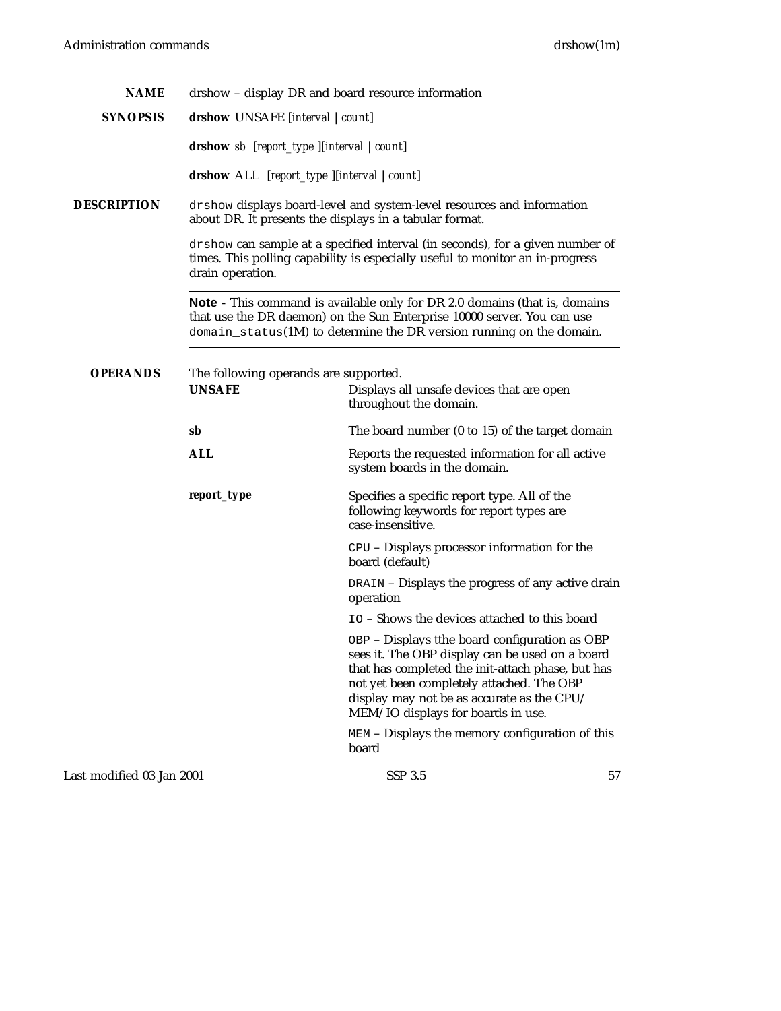| <b>NAME</b>        | drshow - display DR and board resource information      |                                                                                                                                                                                                                                                                                         |  |
|--------------------|---------------------------------------------------------|-----------------------------------------------------------------------------------------------------------------------------------------------------------------------------------------------------------------------------------------------------------------------------------------|--|
| <b>SYNOPSIS</b>    | drshow UNSAFE [interval   count]                        |                                                                                                                                                                                                                                                                                         |  |
|                    | drshow sb [report_type ][interval   count]              |                                                                                                                                                                                                                                                                                         |  |
|                    | drshow ALL [report_type ][interval   count]             |                                                                                                                                                                                                                                                                                         |  |
| <b>DESCRIPTION</b> | about DR. It presents the displays in a tabular format. | drshow displays board-level and system-level resources and information                                                                                                                                                                                                                  |  |
|                    | drain operation.                                        | drshow can sample at a specified interval (in seconds), for a given number of<br>times. This polling capability is especially useful to monitor an in-progress                                                                                                                          |  |
|                    |                                                         | <b>Note -</b> This command is available only for DR 2.0 domains (that is, domains<br>that use the DR daemon) on the Sun Enterprise 10000 server. You can use<br>domain_status(1M) to determine the DR version running on the domain.                                                    |  |
| <b>OPERANDS</b>    | The following operands are supported.<br><b>UNSAFE</b>  | Displays all unsafe devices that are open<br>throughout the domain.                                                                                                                                                                                                                     |  |
|                    | sb                                                      | The board number (0 to 15) of the target domain                                                                                                                                                                                                                                         |  |
|                    | <b>ALL</b>                                              | Reports the requested information for all active<br>system boards in the domain.                                                                                                                                                                                                        |  |
|                    | report_type                                             | Specifies a specific report type. All of the<br>following keywords for report types are<br>case-insensitive.                                                                                                                                                                            |  |
|                    |                                                         | CPU - Displays processor information for the<br>board (default)                                                                                                                                                                                                                         |  |
|                    |                                                         | DRAIN - Displays the progress of any active drain<br>operation                                                                                                                                                                                                                          |  |
|                    |                                                         | IO - Shows the devices attached to this board                                                                                                                                                                                                                                           |  |
|                    |                                                         | OBP - Displays tthe board configuration as OBP<br>sees it. The OBP display can be used on a board<br>that has completed the init-attach phase, but has<br>not yet been completely attached. The OBP<br>display may not be as accurate as the CPU/<br>MEM/IO displays for boards in use. |  |
|                    |                                                         | MEM - Displays the memory configuration of this<br>board                                                                                                                                                                                                                                |  |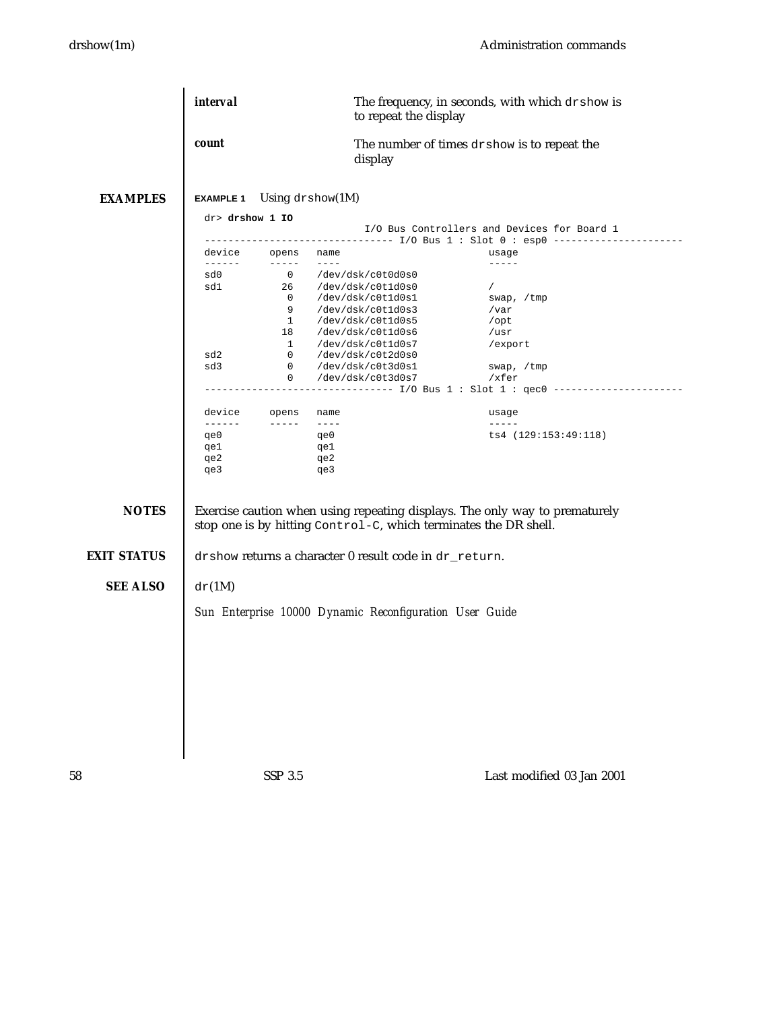|                    | interval                                                                                                                                                                                         |                                                                                                                                                                                                                                                                                                                                                                                                                                                                                                                                   | to repeat the display                                                                                                                                                                                                                                                                            | The frequency, in seconds, with which drshow is                                                                                                                                                                                                                                                                                                                                                                                                                                                                                                                                                                          |
|--------------------|--------------------------------------------------------------------------------------------------------------------------------------------------------------------------------------------------|-----------------------------------------------------------------------------------------------------------------------------------------------------------------------------------------------------------------------------------------------------------------------------------------------------------------------------------------------------------------------------------------------------------------------------------------------------------------------------------------------------------------------------------|--------------------------------------------------------------------------------------------------------------------------------------------------------------------------------------------------------------------------------------------------------------------------------------------------|--------------------------------------------------------------------------------------------------------------------------------------------------------------------------------------------------------------------------------------------------------------------------------------------------------------------------------------------------------------------------------------------------------------------------------------------------------------------------------------------------------------------------------------------------------------------------------------------------------------------------|
|                    | count                                                                                                                                                                                            |                                                                                                                                                                                                                                                                                                                                                                                                                                                                                                                                   | display                                                                                                                                                                                                                                                                                          | The number of times drshow is to repeat the                                                                                                                                                                                                                                                                                                                                                                                                                                                                                                                                                                              |
| <b>EXAMPLES</b>    | <b>EXAMPLE 1</b> Using drshow(1M)                                                                                                                                                                |                                                                                                                                                                                                                                                                                                                                                                                                                                                                                                                                   |                                                                                                                                                                                                                                                                                                  |                                                                                                                                                                                                                                                                                                                                                                                                                                                                                                                                                                                                                          |
|                    | $dr$ drshow 1 IO                                                                                                                                                                                 |                                                                                                                                                                                                                                                                                                                                                                                                                                                                                                                                   |                                                                                                                                                                                                                                                                                                  | I/O Bus Controllers and Devices for Board 1                                                                                                                                                                                                                                                                                                                                                                                                                                                                                                                                                                              |
|                    | device opens name<br>----- ----- ----                                                                                                                                                            |                                                                                                                                                                                                                                                                                                                                                                                                                                                                                                                                   |                                                                                                                                                                                                                                                                                                  | ------------------------------- I/O Bus 1 : Slot 0 : esp0 ----------------------<br>usage                                                                                                                                                                                                                                                                                                                                                                                                                                                                                                                                |
|                    | sd0<br>sd1 and the state of the state of the state of the state of the state of the state of the state of the state o<br>sd2<br>sd3<br>device opens name<br>--------<br>qe0<br>qe1<br>qe2<br>qe3 | 9<br>$\mathbf{1}$<br>18<br>$\mathbf{1}$<br>$\begin{array}{cccccccccc} \multicolumn{2}{c}{} & \multicolumn{2}{c}{} & \multicolumn{2}{c}{} & \multicolumn{2}{c}{} & \multicolumn{2}{c}{} & \multicolumn{2}{c}{} & \multicolumn{2}{c}{} & \multicolumn{2}{c}{} & \multicolumn{2}{c}{} & \multicolumn{2}{c}{} & \multicolumn{2}{c}{} & \multicolumn{2}{c}{} & \multicolumn{2}{c}{} & \multicolumn{2}{c}{} & \multicolumn{2}{c}{} & \multicolumn{2}{c}{} & \multicolumn{2}{c}{} & \multicolumn{2}{c}{} & \multicolumn{2}{c}{} & \mult$ | $0$ /dev/dsk/c0t0d0s0<br>26 /dev/dsk/c0t1d0s0<br>$0$ /dev/dsk/c0t1d0s1<br>/dev/dsk/c0t1d0s3<br>/dev/dsk/c0t1d0s5<br>/dev/dsk/c0t1d0s6<br>/dev/dsk/c0t1d0s7<br>$0$ /dev/dsk/c0t2d0s0<br>$0$ /dev/dsk/c0t3d0s1<br>$0$ /dev/dsk/c0t3d0s7<br>$\sim$ $\sim$ $\sim$ $\sim$<br>qe0<br>qe1<br>qe2<br>qe3 | $\frac{1}{2} \frac{1}{2} \frac{1}{2} \frac{1}{2} \frac{1}{2} \frac{1}{2} \frac{1}{2} \frac{1}{2} \frac{1}{2} \frac{1}{2} \frac{1}{2} \frac{1}{2} \frac{1}{2} \frac{1}{2} \frac{1}{2} \frac{1}{2} \frac{1}{2} \frac{1}{2} \frac{1}{2} \frac{1}{2} \frac{1}{2} \frac{1}{2} \frac{1}{2} \frac{1}{2} \frac{1}{2} \frac{1}{2} \frac{1}{2} \frac{1}{2} \frac{1}{2} \frac{1}{2} \frac{1}{2} \frac{$<br>$\sqrt{2}$<br>swap, /tmp<br>/var<br>/opt<br>/usr<br>/export<br>swap, /tmp<br>/xfer<br>------------------------------- I/O Bus 1 : Slot 1 : qec0 ----------------------<br>usage<br>$- - - - - -$<br>ts4 (129:153:49:118) |
| <b>NOTES</b>       |                                                                                                                                                                                                  |                                                                                                                                                                                                                                                                                                                                                                                                                                                                                                                                   | stop one is by hitting Control-C, which terminates the DR shell.                                                                                                                                                                                                                                 | Exercise caution when using repeating displays. The only way to prematurely                                                                                                                                                                                                                                                                                                                                                                                                                                                                                                                                              |
| <b>EXIT STATUS</b> |                                                                                                                                                                                                  |                                                                                                                                                                                                                                                                                                                                                                                                                                                                                                                                   | drshow returns a character 0 result code in dr_return.                                                                                                                                                                                                                                           |                                                                                                                                                                                                                                                                                                                                                                                                                                                                                                                                                                                                                          |
| <b>SEE ALSO</b>    | dr(1M)                                                                                                                                                                                           |                                                                                                                                                                                                                                                                                                                                                                                                                                                                                                                                   | Sun Enterprise 10000 Dynamic Reconfiguration User Guide                                                                                                                                                                                                                                          |                                                                                                                                                                                                                                                                                                                                                                                                                                                                                                                                                                                                                          |
|                    |                                                                                                                                                                                                  |                                                                                                                                                                                                                                                                                                                                                                                                                                                                                                                                   |                                                                                                                                                                                                                                                                                                  |                                                                                                                                                                                                                                                                                                                                                                                                                                                                                                                                                                                                                          |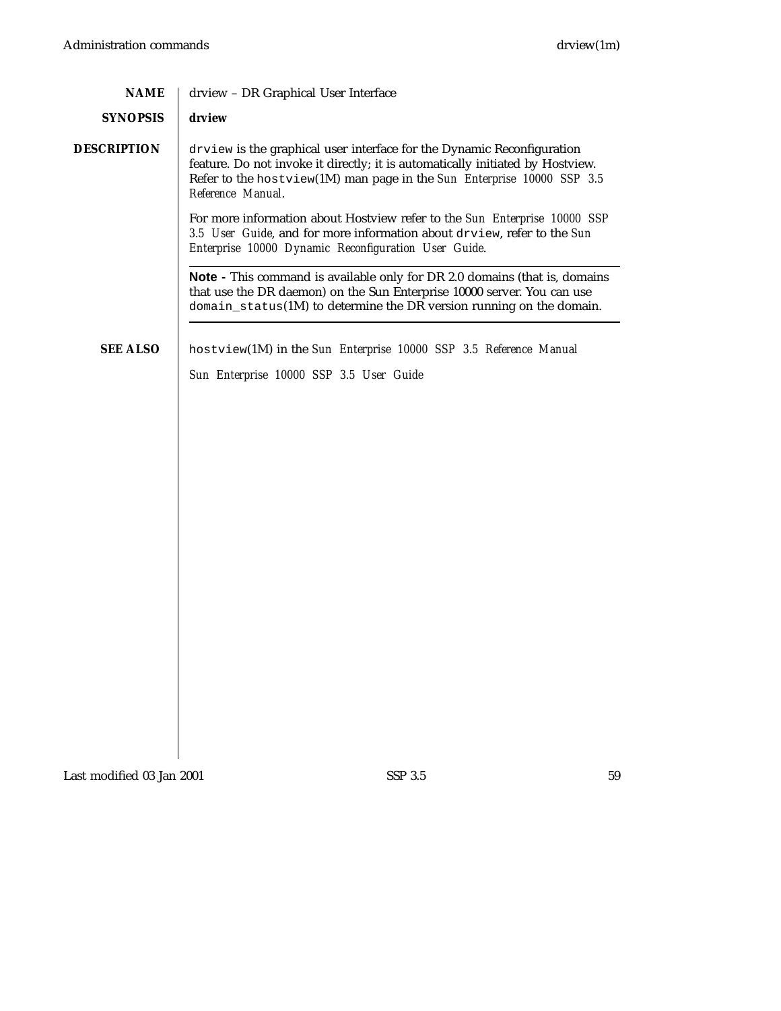| <b>NAME</b>        | drview - DR Graphical User Interface                                                                                                                                                                                                                    |
|--------------------|---------------------------------------------------------------------------------------------------------------------------------------------------------------------------------------------------------------------------------------------------------|
| <b>SYNOPSIS</b>    | drview                                                                                                                                                                                                                                                  |
| <b>DESCRIPTION</b> | drview is the graphical user interface for the Dynamic Reconfiguration<br>feature. Do not invoke it directly; it is automatically initiated by Hostview.<br>Refer to the hostview(1M) man page in the Sun Enterprise 10000 SSP 3.5<br>Reference Manual. |
|                    | For more information about Hostview refer to the Sun Enterprise 10000 SSP<br>3.5 User Guide, and for more information about dryiew, refer to the Sun<br>Enterprise 10000 Dynamic Reconfiguration User Guide.                                            |
|                    | Note - This command is available only for DR 2.0 domains (that is, domains<br>that use the DR daemon) on the Sun Enterprise 10000 server. You can use<br>domain_status(1M) to determine the DR version running on the domain.                           |
| <b>SEE ALSO</b>    | hostview(1M) in the Sun Enterprise 10000 SSP 3.5 Reference Manual<br>Sun Enterprise 10000 SSP 3.5 User Guide                                                                                                                                            |

 $\begin{tabular}{c} Last modified 03 Jan 2001 \end{tabular} \begin{tabular}{c} \hspace{1.2cm} SSP 3.5 \end{tabular} \end{tabular} \begin{tabular}{c} \hspace{1.2cm} $59$ \end{tabular}$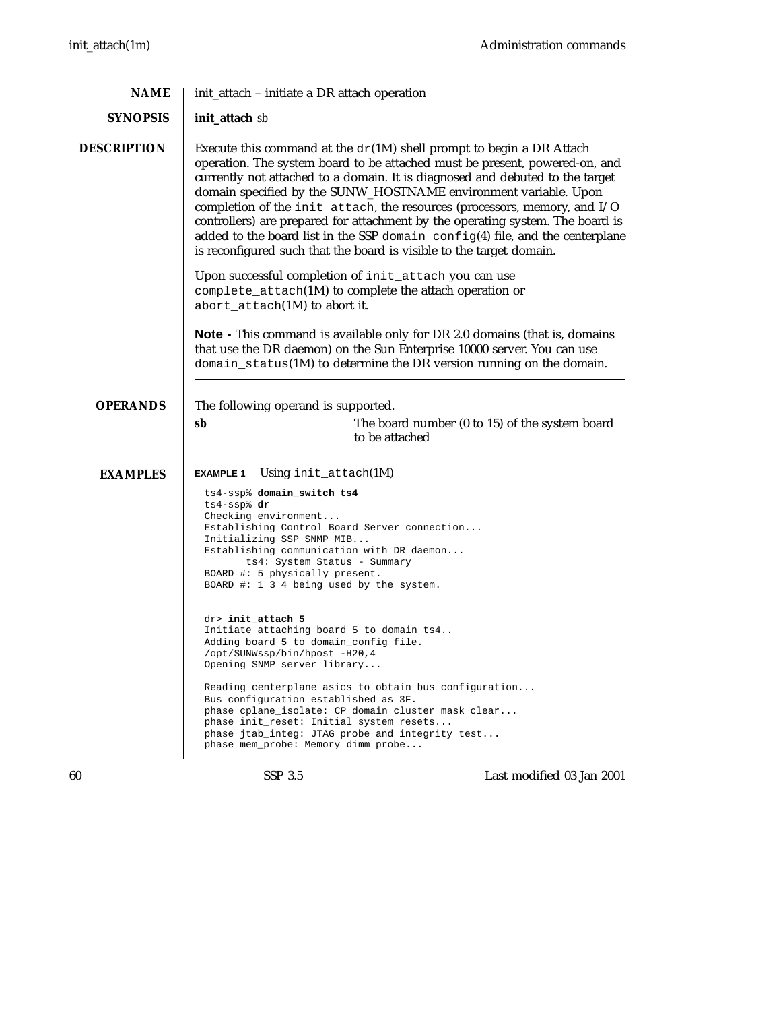| <b>NAME</b>        | init_attach - initiate a DR attach operation                                                                                                                                                                                                                                                                                                                                                                                                                                                                                                                                                                                       |  |  |  |
|--------------------|------------------------------------------------------------------------------------------------------------------------------------------------------------------------------------------------------------------------------------------------------------------------------------------------------------------------------------------------------------------------------------------------------------------------------------------------------------------------------------------------------------------------------------------------------------------------------------------------------------------------------------|--|--|--|
| <b>SYNOPSIS</b>    | init_attach sb                                                                                                                                                                                                                                                                                                                                                                                                                                                                                                                                                                                                                     |  |  |  |
| <b>DESCRIPTION</b> | Execute this command at the $dr(1M)$ shell prompt to begin a DR Attach<br>operation. The system board to be attached must be present, powered-on, and<br>currently not attached to a domain. It is diagnosed and debuted to the target<br>domain specified by the SUNW_HOSTNAME environment variable. Upon<br>completion of the init_attach, the resources (processors, memory, and I/O<br>controllers) are prepared for attachment by the operating system. The board is<br>added to the board list in the SSP domain_config(4) file, and the centerplane<br>is reconfigured such that the board is visible to the target domain. |  |  |  |
|                    | Upon successful completion of init_attach you can use<br>complete_attach(1M) to complete the attach operation or<br>abort_attach(1M) to abort it.                                                                                                                                                                                                                                                                                                                                                                                                                                                                                  |  |  |  |
|                    | <b>Note -</b> This command is available only for DR 2.0 domains (that is, domains<br>that use the DR daemon) on the Sun Enterprise 10000 server. You can use<br>domain_status(1M) to determine the DR version running on the domain.                                                                                                                                                                                                                                                                                                                                                                                               |  |  |  |
| <b>OPERANDS</b>    | The following operand is supported.<br>sb<br>The board number (0 to 15) of the system board<br>to be attached                                                                                                                                                                                                                                                                                                                                                                                                                                                                                                                      |  |  |  |
| <b>EXAMPLES</b>    | Using init_attach(1M)<br><b>EXAMPLE 1</b>                                                                                                                                                                                                                                                                                                                                                                                                                                                                                                                                                                                          |  |  |  |
|                    | ts4-ssp% domain_switch ts4<br>$ts4-ssp$ dr<br>Checking environment<br>Establishing Control Board Server connection<br>Initializing SSP SNMP MIB<br>Establishing communication with DR daemon<br>ts4: System Status - Summary<br>BOARD #: 5 physically present.<br>BOARD #: 1 3 4 being used by the system.                                                                                                                                                                                                                                                                                                                         |  |  |  |
|                    | dr> init_attach 5<br>Initiate attaching board 5 to domain ts4<br>Adding board 5 to domain_config file.<br>/opt/SUNWssp/bin/hpost -H20,4<br>Opening SNMP server library<br>Reading centerplane asics to obtain bus configuration<br>Bus configuration established as 3F.<br>phase cplane_isolate: CP domain cluster mask clear<br>phase init_reset: Initial system resets<br>phase jtab_integ: JTAG probe and integrity test<br>phase mem probe: Memory dimm probe                                                                                                                                                                  |  |  |  |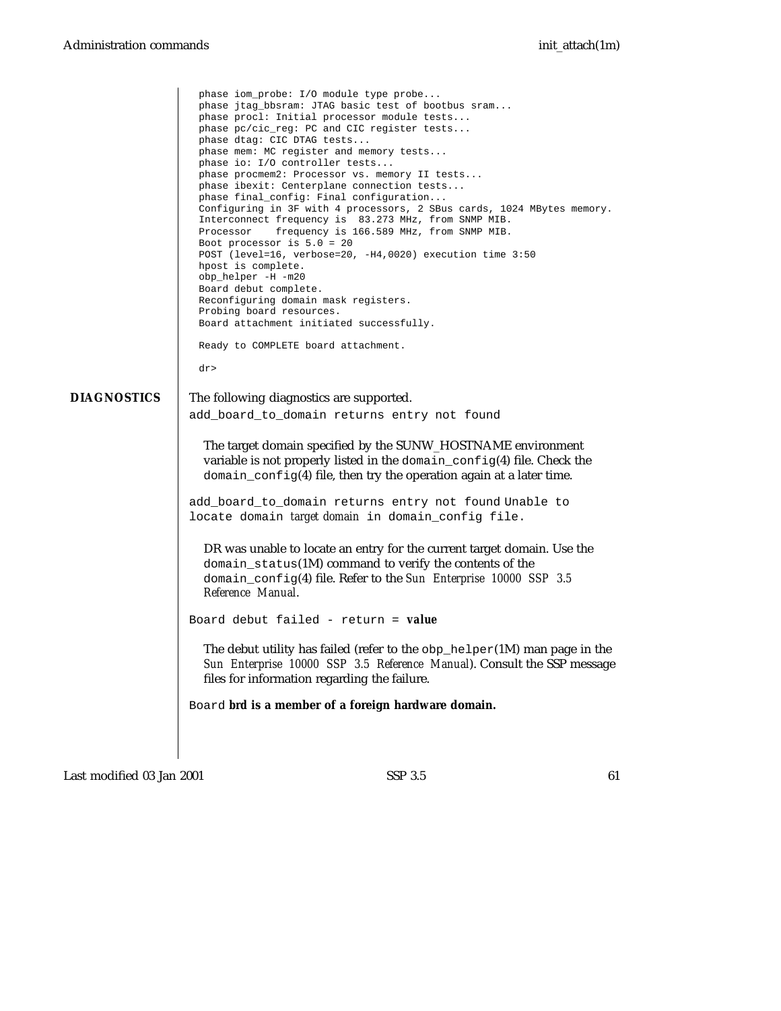phase iom\_probe: I/O module type probe... phase jtag\_bbsram: JTAG basic test of bootbus sram... phase procl: Initial processor module tests... phase pc/cic\_reg: PC and CIC register tests... phase dtag: CIC DTAG tests... phase mem: MC register and memory tests... phase io: I/O controller tests... phase procmem2: Processor vs. memory II tests... phase ibexit: Centerplane connection tests... phase final\_config: Final configuration... Configuring in 3F with 4 processors, 2 SBus cards, 1024 MBytes memory. Interconnect frequency is 83.273 MHz, from SNMP MIB. Processor frequency is 166.589 MHz, from SNMP MIB. Boot processor is 5.0 = 20 POST (level=16, verbose=20, -H4,0020) execution time 3:50 hpost is complete. obp\_helper -H -m20 Board debut complete. Reconfiguring domain mask registers. Probing board resources. Board attachment initiated successfully. Ready to COMPLETE board attachment. dr> **DIAGNOSTICS** The following diagnostics are supported. add\_board\_to\_domain returns entry not found The target domain specified by the SUNW\_HOSTNAME environment variable is not properly listed in the domain\_config(4) file. Check the domain\_config(4) file, then try the operation again at a later time. add\_board\_to\_domain returns entry not found Unable to locate domain *target domain* in domain\_config file. DR was unable to locate an entry for the current target domain. Use the domain\_status(1M) command to verify the contents of the domain\_config(4) file. Refer to the *Sun Enterprise 10000 SSP 3.5 Reference Manual*. Board debut failed - return = *value* The debut utility has failed (refer to the  $op{\rm beleper}(1M)$  man page in the *Sun Enterprise 10000 SSP 3.5 Reference Manual*). Consult the SSP message files for information regarding the failure. Board *brd* **is a member of a foreign hardware domain.**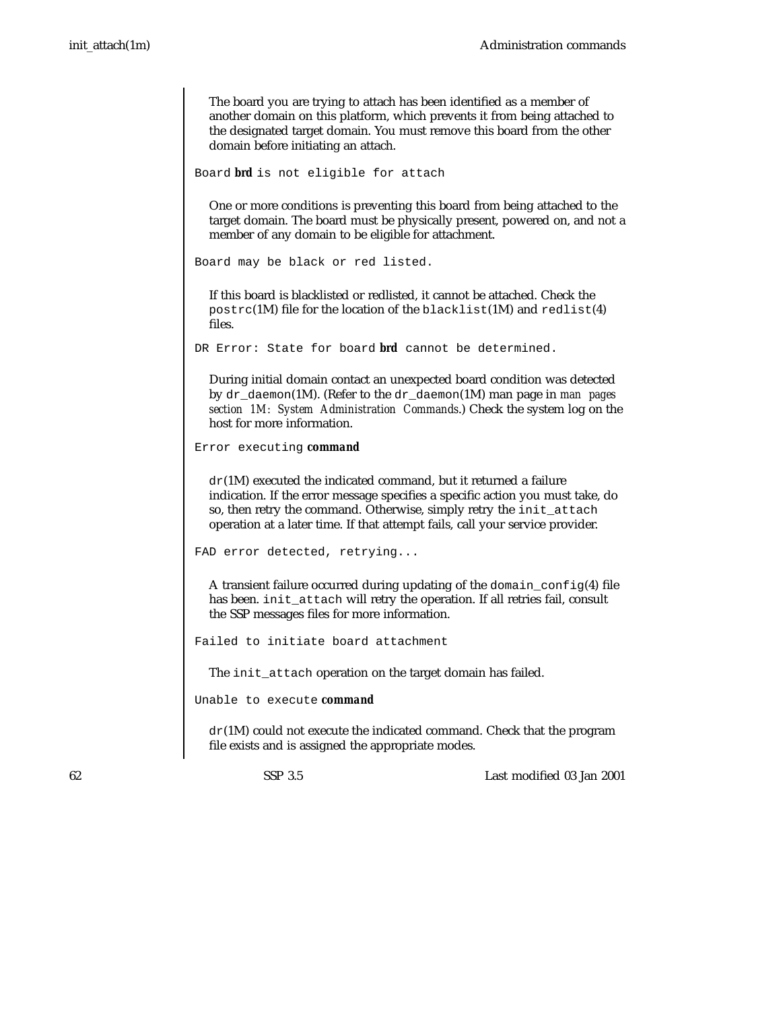The board you are trying to attach has been identified as a member of another domain on this platform, which prevents it from being attached to the designated target domain. You must remove this board from the other domain before initiating an attach.

Board *brd* is not eligible for attach

One or more conditions is preventing this board from being attached to the target domain. The board must be physically present, powered on, and not a member of any domain to be eligible for attachment.

Board may be black or red listed.

If this board is blacklisted or redlisted, it cannot be attached. Check the postrc(1M) file for the location of the blacklist(1M) and redlist(4) files.

DR Error: State for board *brd* cannot be determined.

During initial domain contact an unexpected board condition was detected by dr\_daemon(1M). (Refer to the dr\_daemon(1M) man page in *man pages section 1M: System Administration Commands*.) Check the system log on the host for more information.

Error executing *command*

 $d(x)$  executed the indicated command, but it returned a failure indication. If the error message specifies a specific action you must take, do so, then retry the command. Otherwise, simply retry the init\_attach operation at a later time. If that attempt fails, call your service provider.

FAD error detected, retrying...

A transient failure occurred during updating of the domain config(4) file has been. init attach will retry the operation. If all retries fail, consult the SSP messages files for more information.

Failed to initiate board attachment

The init\_attach operation on the target domain has failed.

Unable to execute *command*

 $dr(1M)$  could not execute the indicated command. Check that the program file exists and is assigned the appropriate modes.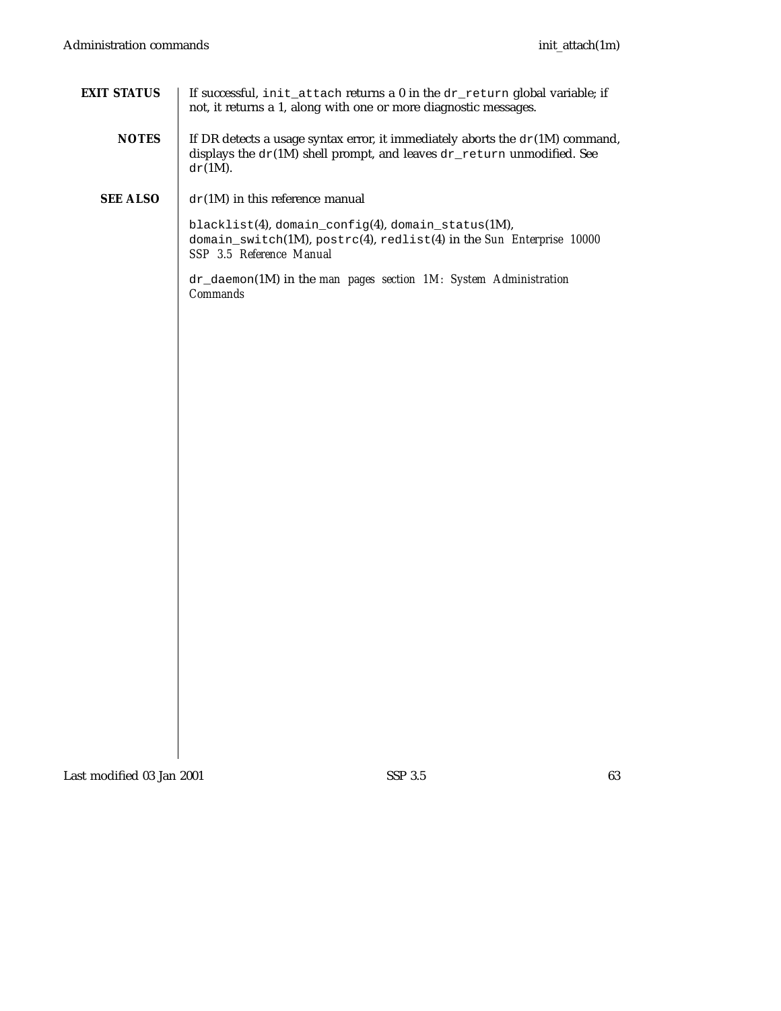| <b>EXIT STATUS</b> | If successful, init_attach returns a 0 in the dr_return global variable; if<br>not, it returns a 1, along with one or more diagnostic messages.                      |
|--------------------|----------------------------------------------------------------------------------------------------------------------------------------------------------------------|
| <b>NOTES</b>       | If DR detects a usage syntax error, it immediately aborts the $dr(1M)$ command,<br>displays the dr(1M) shell prompt, and leaves dr_return unmodified. See<br>dr(1M). |
| <b>SEE ALSO</b>    | $dr(1M)$ in this reference manual                                                                                                                                    |
|                    | blacklist(4), domain_config(4), domain_status(1M),<br>domain_switch(1M), postrc(4), redlist(4) in the Sun Enterprise 10000<br>SSP 3.5 Reference Manual               |
|                    | dr_daemon(1M) in the man pages section 1M: System Administration<br>Commands                                                                                         |
|                    |                                                                                                                                                                      |
|                    |                                                                                                                                                                      |
|                    |                                                                                                                                                                      |
|                    |                                                                                                                                                                      |
|                    |                                                                                                                                                                      |
|                    |                                                                                                                                                                      |
|                    |                                                                                                                                                                      |
|                    |                                                                                                                                                                      |
|                    |                                                                                                                                                                      |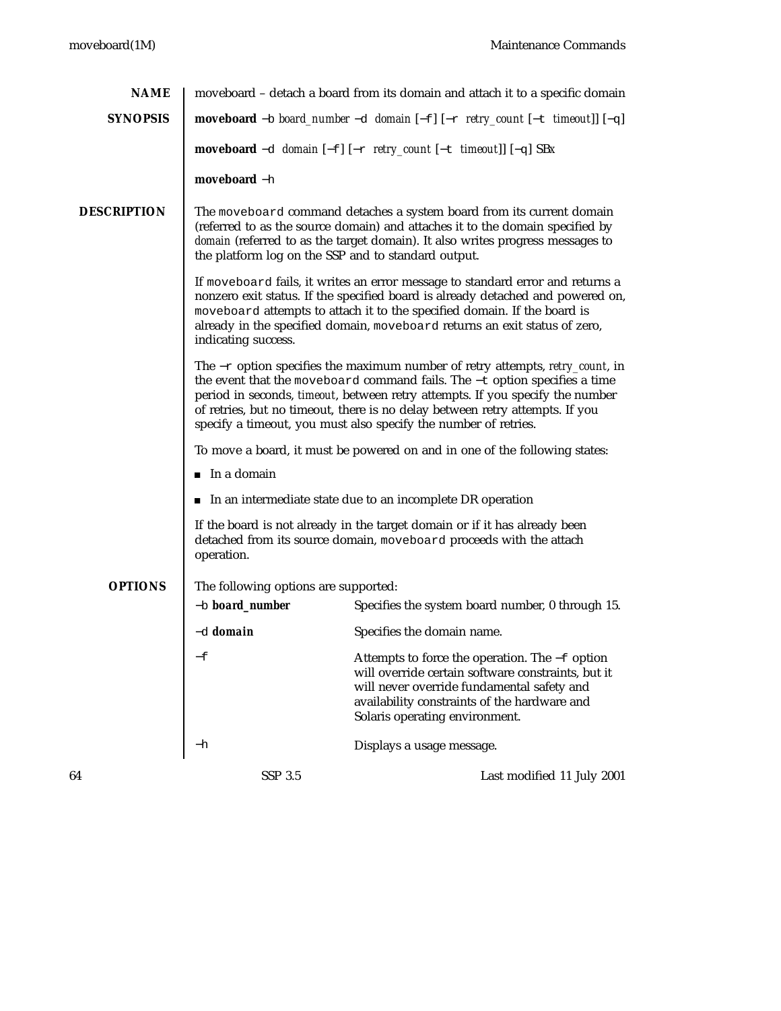| <b>NAME</b>        |                                                                                             | moveboard – detach a board from its domain and attach it to a specific domain                                                                                                                                                                                                                                                                                                                     |  |
|--------------------|---------------------------------------------------------------------------------------------|---------------------------------------------------------------------------------------------------------------------------------------------------------------------------------------------------------------------------------------------------------------------------------------------------------------------------------------------------------------------------------------------------|--|
| <b>SYNOPSIS</b>    | <b>moveboard</b> -b board_number -d domain $[-f]$ $[-r$ retry_count $[-t]$ timeout]] $[-q]$ |                                                                                                                                                                                                                                                                                                                                                                                                   |  |
|                    |                                                                                             | moveboard $-d$ domain $[-f]$ $[-r$ retry_count $[-t]$ timeout]] $[-q]$ SBx                                                                                                                                                                                                                                                                                                                        |  |
|                    | moveboard -h                                                                                |                                                                                                                                                                                                                                                                                                                                                                                                   |  |
| <b>DESCRIPTION</b> | the platform log on the SSP and to standard output.                                         | The moveboard command detaches a system board from its current domain<br>(referred to as the source domain) and attaches it to the domain specified by<br>domain (referred to as the target domain). It also writes progress messages to                                                                                                                                                          |  |
|                    | indicating success.                                                                         | If moveboard fails, it writes an error message to standard error and returns a<br>nonzero exit status. If the specified board is already detached and powered on,<br>moveboard attempts to attach it to the specified domain. If the board is<br>already in the specified domain, moveboard returns an exit status of zero,                                                                       |  |
|                    |                                                                                             | The $-r$ option specifies the maximum number of retry attempts, retry_count, in<br>the event that the moveboard command fails. The -t option specifies a time<br>period in seconds, timeout, between retry attempts. If you specify the number<br>of retries, but no timeout, there is no delay between retry attempts. If you<br>specify a timeout, you must also specify the number of retries. |  |
|                    |                                                                                             | To move a board, it must be powered on and in one of the following states:                                                                                                                                                                                                                                                                                                                        |  |
|                    | $\blacksquare$ In a domain                                                                  |                                                                                                                                                                                                                                                                                                                                                                                                   |  |
|                    |                                                                                             | In an intermediate state due to an incomplete DR operation                                                                                                                                                                                                                                                                                                                                        |  |
|                    | operation.                                                                                  | If the board is not already in the target domain or if it has already been<br>detached from its source domain, moveboard proceeds with the attach                                                                                                                                                                                                                                                 |  |
| <b>OPTIONS</b>     | The following options are supported:                                                        |                                                                                                                                                                                                                                                                                                                                                                                                   |  |
|                    | -b board_number                                                                             | Specifies the system board number, 0 through 15.                                                                                                                                                                                                                                                                                                                                                  |  |
|                    | -d domain                                                                                   | Specifies the domain name.                                                                                                                                                                                                                                                                                                                                                                        |  |
|                    | -f                                                                                          | Attempts to force the operation. The $-f$ option<br>will override certain software constraints, but it<br>will never override fundamental safety and<br>availability constraints of the hardware and<br>Solaris operating environment.                                                                                                                                                            |  |
|                    | -h                                                                                          | Displays a usage message.                                                                                                                                                                                                                                                                                                                                                                         |  |
| 64                 | SSP 3.5                                                                                     | Last modified 11 July 2001                                                                                                                                                                                                                                                                                                                                                                        |  |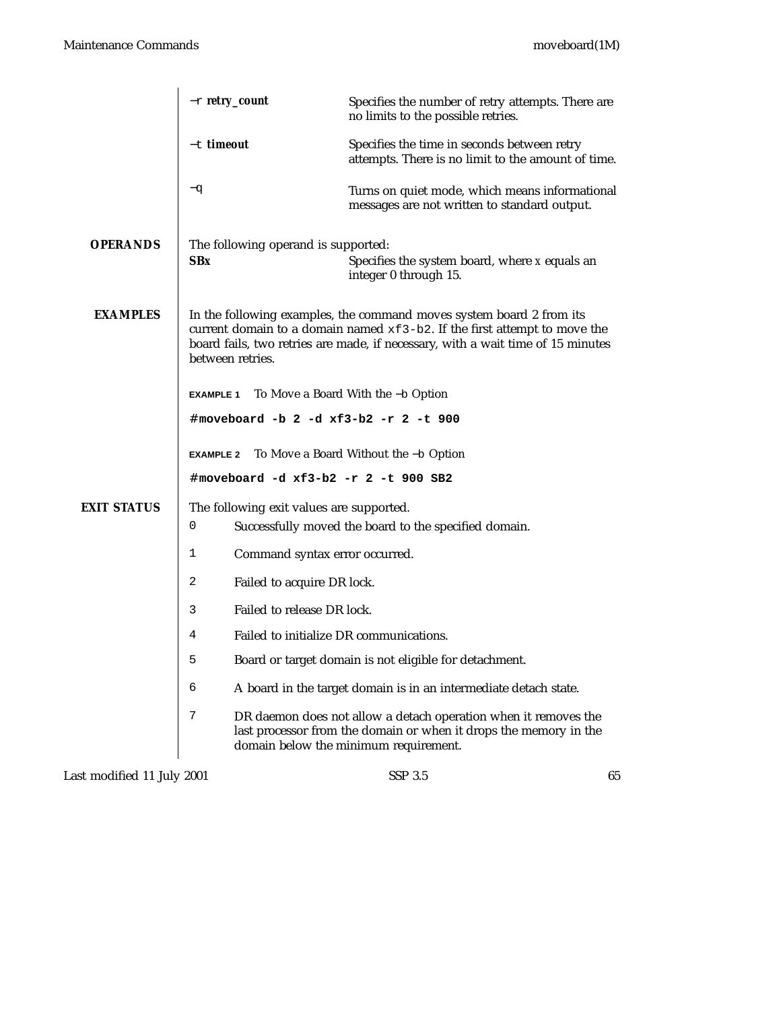|                 | $-r$ retry_count                                                                                                                                                                                                                                            | Specifies the number of retry attempts. There are<br>no limits to the possible retries.                                                                                       |
|-----------------|-------------------------------------------------------------------------------------------------------------------------------------------------------------------------------------------------------------------------------------------------------------|-------------------------------------------------------------------------------------------------------------------------------------------------------------------------------|
|                 | $-t$ timeout                                                                                                                                                                                                                                                | Specifies the time in seconds between retry<br>attempts. There is no limit to the amount of time.                                                                             |
|                 | -q                                                                                                                                                                                                                                                          | Turns on quiet mode, which means informational<br>messages are not written to standard output.                                                                                |
| <b>OPERANDS</b> | The following operand is supported:<br>SBX                                                                                                                                                                                                                  | Specifies the system board, where x equals an<br>integer 0 through 15.                                                                                                        |
| <b>EXAMPLES</b> | In the following examples, the command moves system board 2 from its<br>current domain to a domain named $xf3-b2$ . If the first attempt to move the<br>board fails, two retries are made, if necessary, with a wait time of 15 minutes<br>between retries. |                                                                                                                                                                               |
|                 | <b>EXAMPLE 1</b>                                                                                                                                                                                                                                            | To Move a Board With the -b Option                                                                                                                                            |
|                 | # moveboard -b 2 -d xf3-b2 -r 2 -t 900                                                                                                                                                                                                                      |                                                                                                                                                                               |
|                 | <b>EXAMPLE 2</b>                                                                                                                                                                                                                                            | To Move a Board Without the -b Option                                                                                                                                         |
|                 | # moveboard -d xf3-b2 -r 2 -t 900 SB2                                                                                                                                                                                                                       |                                                                                                                                                                               |
| EXIT STATUS     | The following exit values are supported.<br>0                                                                                                                                                                                                               | Successfully moved the board to the specified domain.                                                                                                                         |
|                 | 1<br>Command syntax error occurred.                                                                                                                                                                                                                         |                                                                                                                                                                               |
|                 | 2<br>Failed to acquire DR lock.                                                                                                                                                                                                                             |                                                                                                                                                                               |
|                 | 3<br>Failed to release DR lock.                                                                                                                                                                                                                             |                                                                                                                                                                               |
|                 | 4                                                                                                                                                                                                                                                           | Failed to initialize DR communications.                                                                                                                                       |
|                 | 5                                                                                                                                                                                                                                                           | Board or target domain is not eligible for detachment.                                                                                                                        |
|                 | 6                                                                                                                                                                                                                                                           | A board in the target domain is in an intermediate detach state.                                                                                                              |
|                 | 7                                                                                                                                                                                                                                                           | DR daemon does not allow a detach operation when it removes the<br>last processor from the domain or when it drops the memory in the<br>domain below the minimum requirement. |

Last modified 11 July 2001 SSP 3.5 65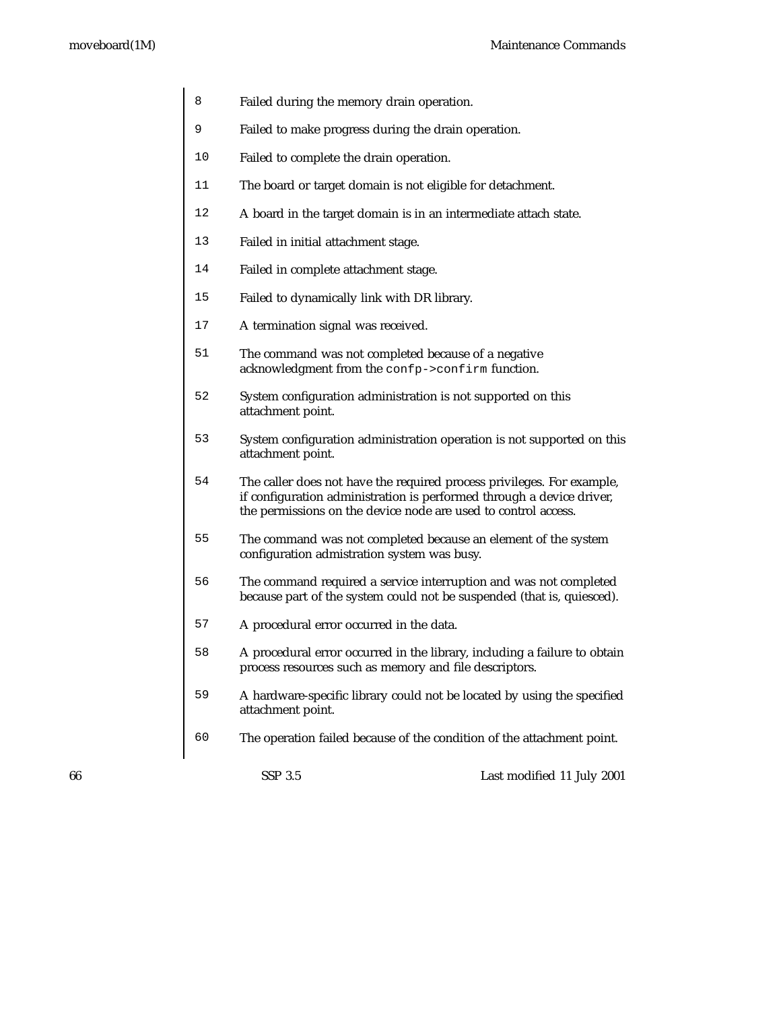- Failed during the memory drain operation.
- Failed to make progress during the drain operation.
- Failed to complete the drain operation.
- The board or target domain is not eligible for detachment.
- A board in the target domain is in an intermediate attach state.
- Failed in initial attachment stage.
- Failed in complete attachment stage.
- Failed to dynamically link with DR library.
- A termination signal was received.
- The command was not completed because of a negative acknowledgment from the confp->confirm function.
- System configuration administration is not supported on this attachment point.
- System configuration administration operation is not supported on this attachment point.
- The caller does not have the required process privileges. For example, if configuration administration is performed through a device driver, the permissions on the device node are used to control access.
- The command was not completed because an element of the system configuration admistration system was busy.
- The command required a service interruption and was not completed because part of the system could not be suspended (that is, quiesced).
- A procedural error occurred in the data.
- A procedural error occurred in the library, including a failure to obtain process resources such as memory and file descriptors.
- A hardware-specific library could not be located by using the specified attachment point.
- The operation failed because of the condition of the attachment point.

66 SSP 3.5 Last modified 11 July 2001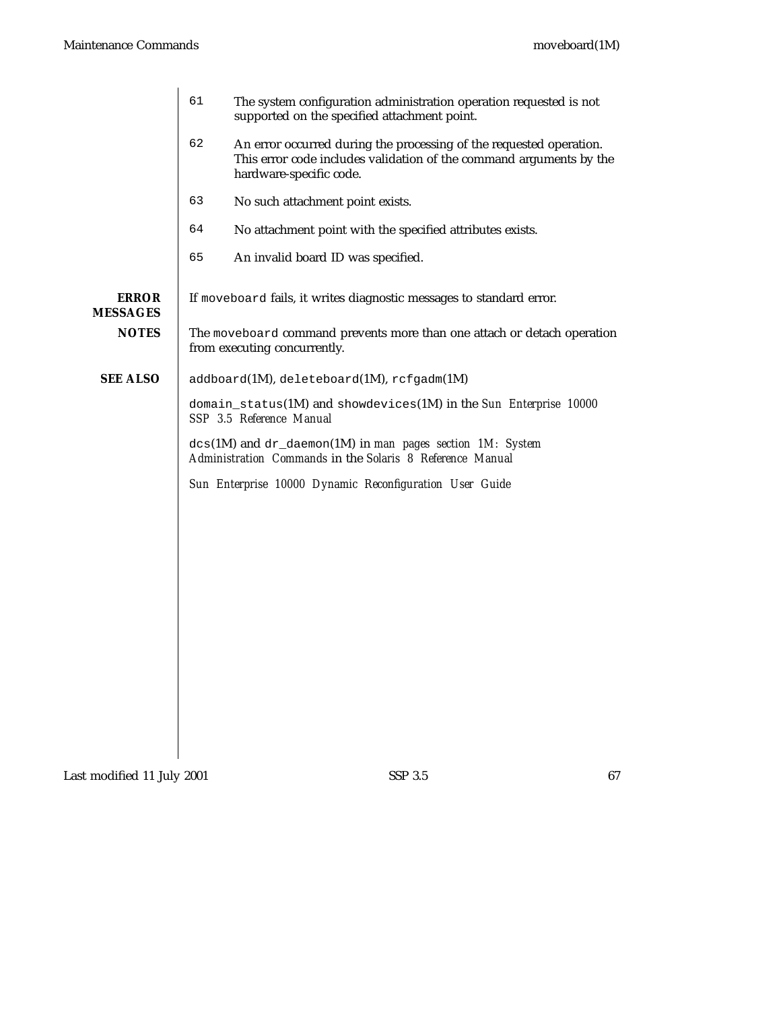## Maintenance Commands moveboard(1M)

|                                 | 61<br>The system configuration administration operation requested is not<br>supported on the specified attachment point.                                                    |  |  |  |
|---------------------------------|-----------------------------------------------------------------------------------------------------------------------------------------------------------------------------|--|--|--|
|                                 | 62<br>An error occurred during the processing of the requested operation.<br>This error code includes validation of the command arguments by the<br>hardware-specific code. |  |  |  |
|                                 | 63<br>No such attachment point exists.                                                                                                                                      |  |  |  |
|                                 | 64<br>No attachment point with the specified attributes exists.                                                                                                             |  |  |  |
|                                 | 65<br>An invalid board ID was specified.                                                                                                                                    |  |  |  |
| <b>ERROR</b><br><b>MESSAGES</b> | If moveboard fails, it writes diagnostic messages to standard error.                                                                                                        |  |  |  |
| <b>NOTES</b>                    | The moveboard command prevents more than one attach or detach operation<br>from executing concurrently.                                                                     |  |  |  |
| <b>SEE ALSO</b>                 | addboard(1M), deleteboard(1M), rcfgadm(1M)                                                                                                                                  |  |  |  |
|                                 | domain_status(1M) and showdevices(1M) in the Sun Enterprise 10000<br>SSP 3.5 Reference Manual                                                                               |  |  |  |
|                                 | dcs(1M) and dr_daemon(1M) in man pages section 1M: System<br>Administration Commands in the Solaris 8 Reference Manual                                                      |  |  |  |
|                                 | Sun Enterprise 10000 Dynamic Reconfiguration User Guide                                                                                                                     |  |  |  |
|                                 |                                                                                                                                                                             |  |  |  |
|                                 |                                                                                                                                                                             |  |  |  |
|                                 |                                                                                                                                                                             |  |  |  |
|                                 |                                                                                                                                                                             |  |  |  |
|                                 |                                                                                                                                                                             |  |  |  |
|                                 |                                                                                                                                                                             |  |  |  |
|                                 |                                                                                                                                                                             |  |  |  |
|                                 |                                                                                                                                                                             |  |  |  |

Last modified 11 July 2001 SSP 3.5 67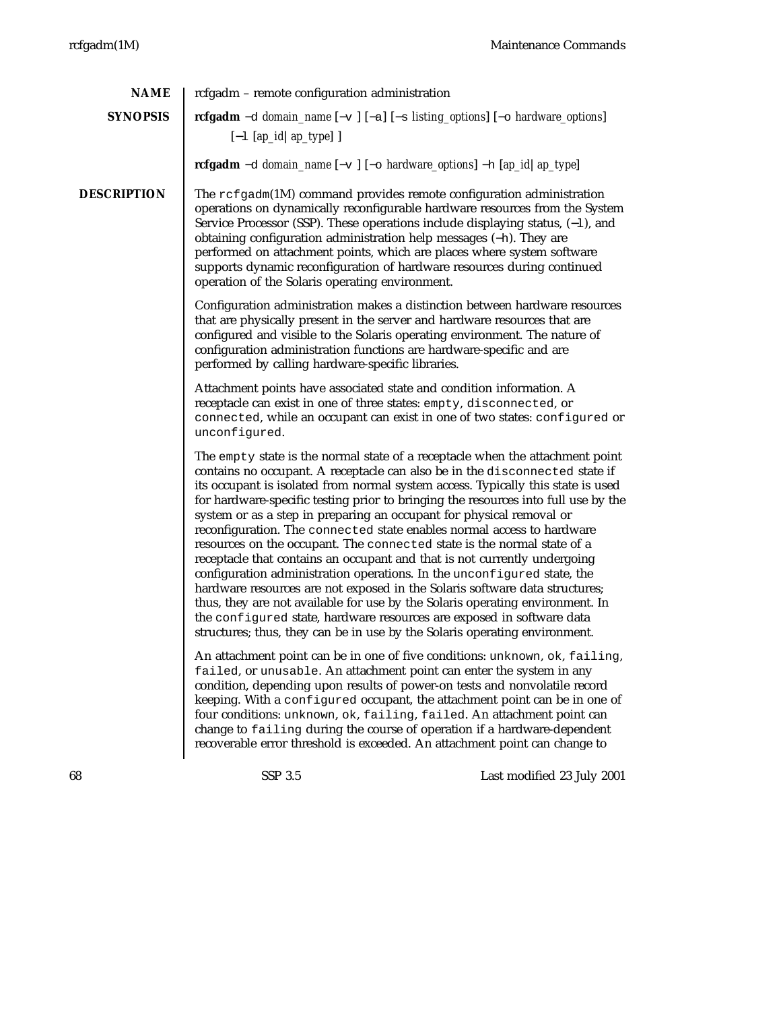| <b>NAME</b>        | rcfgadm - remote configuration administration                                                                                                                                                                                                                                                                                                                                                                                                                                                                                                                                                                                                                                                                                                                                                                                                                                                                                                                                                                                                                                                                                                                                                                                                                                                                                                                                                                                                                                                                                                                                                                                                                                                                                                                                                                                                                                                                                                                                                                                                                                                                                                                                                                                   |                                                                                                                                                                                                                                                                                                                                                                                                                                                                                                                      |  |
|--------------------|---------------------------------------------------------------------------------------------------------------------------------------------------------------------------------------------------------------------------------------------------------------------------------------------------------------------------------------------------------------------------------------------------------------------------------------------------------------------------------------------------------------------------------------------------------------------------------------------------------------------------------------------------------------------------------------------------------------------------------------------------------------------------------------------------------------------------------------------------------------------------------------------------------------------------------------------------------------------------------------------------------------------------------------------------------------------------------------------------------------------------------------------------------------------------------------------------------------------------------------------------------------------------------------------------------------------------------------------------------------------------------------------------------------------------------------------------------------------------------------------------------------------------------------------------------------------------------------------------------------------------------------------------------------------------------------------------------------------------------------------------------------------------------------------------------------------------------------------------------------------------------------------------------------------------------------------------------------------------------------------------------------------------------------------------------------------------------------------------------------------------------------------------------------------------------------------------------------------------------|----------------------------------------------------------------------------------------------------------------------------------------------------------------------------------------------------------------------------------------------------------------------------------------------------------------------------------------------------------------------------------------------------------------------------------------------------------------------------------------------------------------------|--|
| <b>SYNOPSIS</b>    | rcfgadm -d domain_name [-v ] [-a] [-s listing_options] [-o hardware_options]<br>$[-1 [ap_id] ap_type]$                                                                                                                                                                                                                                                                                                                                                                                                                                                                                                                                                                                                                                                                                                                                                                                                                                                                                                                                                                                                                                                                                                                                                                                                                                                                                                                                                                                                                                                                                                                                                                                                                                                                                                                                                                                                                                                                                                                                                                                                                                                                                                                          |                                                                                                                                                                                                                                                                                                                                                                                                                                                                                                                      |  |
|                    |                                                                                                                                                                                                                                                                                                                                                                                                                                                                                                                                                                                                                                                                                                                                                                                                                                                                                                                                                                                                                                                                                                                                                                                                                                                                                                                                                                                                                                                                                                                                                                                                                                                                                                                                                                                                                                                                                                                                                                                                                                                                                                                                                                                                                                 |                                                                                                                                                                                                                                                                                                                                                                                                                                                                                                                      |  |
|                    |                                                                                                                                                                                                                                                                                                                                                                                                                                                                                                                                                                                                                                                                                                                                                                                                                                                                                                                                                                                                                                                                                                                                                                                                                                                                                                                                                                                                                                                                                                                                                                                                                                                                                                                                                                                                                                                                                                                                                                                                                                                                                                                                                                                                                                 | rcfgadm -d domain_name [-v ] [-o hardware_options] -h [ap_id  ap_type]                                                                                                                                                                                                                                                                                                                                                                                                                                               |  |
| <b>DESCRIPTION</b> |                                                                                                                                                                                                                                                                                                                                                                                                                                                                                                                                                                                                                                                                                                                                                                                                                                                                                                                                                                                                                                                                                                                                                                                                                                                                                                                                                                                                                                                                                                                                                                                                                                                                                                                                                                                                                                                                                                                                                                                                                                                                                                                                                                                                                                 | The rcfgadm(1M) command provides remote configuration administration<br>operations on dynamically reconfigurable hardware resources from the System<br>Service Processor (SSP). These operations include displaying status, (-1), and<br>obtaining configuration administration help messages (-h). They are<br>performed on attachment points, which are places where system software<br>supports dynamic reconfiguration of hardware resources during continued<br>operation of the Solaris operating environment. |  |
|                    | Configuration administration makes a distinction between hardware resources<br>that are physically present in the server and hardware resources that are<br>configured and visible to the Solaris operating environment. The nature of<br>configuration administration functions are hardware-specific and are<br>performed by calling hardware-specific libraries.<br>Attachment points have associated state and condition information. A<br>receptacle can exist in one of three states: empty, disconnected, or<br>connected, while an occupant can exist in one of two states: configured or<br>unconfigured.<br>The empty state is the normal state of a receptacle when the attachment point<br>contains no occupant. A receptacle can also be in the disconnected state if<br>its occupant is isolated from normal system access. Typically this state is used<br>for hardware-specific testing prior to bringing the resources into full use by the<br>system or as a step in preparing an occupant for physical removal or<br>reconfiguration. The connected state enables normal access to hardware<br>resources on the occupant. The connected state is the normal state of a<br>receptacle that contains an occupant and that is not currently undergoing<br>configuration administration operations. In the unconfigured state, the<br>hardware resources are not exposed in the Solaris software data structures;<br>thus, they are not available for use by the Solaris operating environment. In<br>the configured state, hardware resources are exposed in software data<br>structures; thus, they can be in use by the Solaris operating environment.<br>An attachment point can be in one of five conditions: unknown, ok, failing,<br>failed, or unusable. An attachment point can enter the system in any<br>condition, depending upon results of power-on tests and nonvolatile record<br>keeping. With a configured occupant, the attachment point can be in one of<br>four conditions: unknown, ok, failing, failed. An attachment point can<br>change to failing during the course of operation if a hardware-dependent<br>recoverable error threshold is exceeded. An attachment point can change to |                                                                                                                                                                                                                                                                                                                                                                                                                                                                                                                      |  |
|                    |                                                                                                                                                                                                                                                                                                                                                                                                                                                                                                                                                                                                                                                                                                                                                                                                                                                                                                                                                                                                                                                                                                                                                                                                                                                                                                                                                                                                                                                                                                                                                                                                                                                                                                                                                                                                                                                                                                                                                                                                                                                                                                                                                                                                                                 |                                                                                                                                                                                                                                                                                                                                                                                                                                                                                                                      |  |
|                    |                                                                                                                                                                                                                                                                                                                                                                                                                                                                                                                                                                                                                                                                                                                                                                                                                                                                                                                                                                                                                                                                                                                                                                                                                                                                                                                                                                                                                                                                                                                                                                                                                                                                                                                                                                                                                                                                                                                                                                                                                                                                                                                                                                                                                                 |                                                                                                                                                                                                                                                                                                                                                                                                                                                                                                                      |  |
|                    |                                                                                                                                                                                                                                                                                                                                                                                                                                                                                                                                                                                                                                                                                                                                                                                                                                                                                                                                                                                                                                                                                                                                                                                                                                                                                                                                                                                                                                                                                                                                                                                                                                                                                                                                                                                                                                                                                                                                                                                                                                                                                                                                                                                                                                 |                                                                                                                                                                                                                                                                                                                                                                                                                                                                                                                      |  |
| 68                 | SSP 3.5                                                                                                                                                                                                                                                                                                                                                                                                                                                                                                                                                                                                                                                                                                                                                                                                                                                                                                                                                                                                                                                                                                                                                                                                                                                                                                                                                                                                                                                                                                                                                                                                                                                                                                                                                                                                                                                                                                                                                                                                                                                                                                                                                                                                                         | Last modified 23 July 2001                                                                                                                                                                                                                                                                                                                                                                                                                                                                                           |  |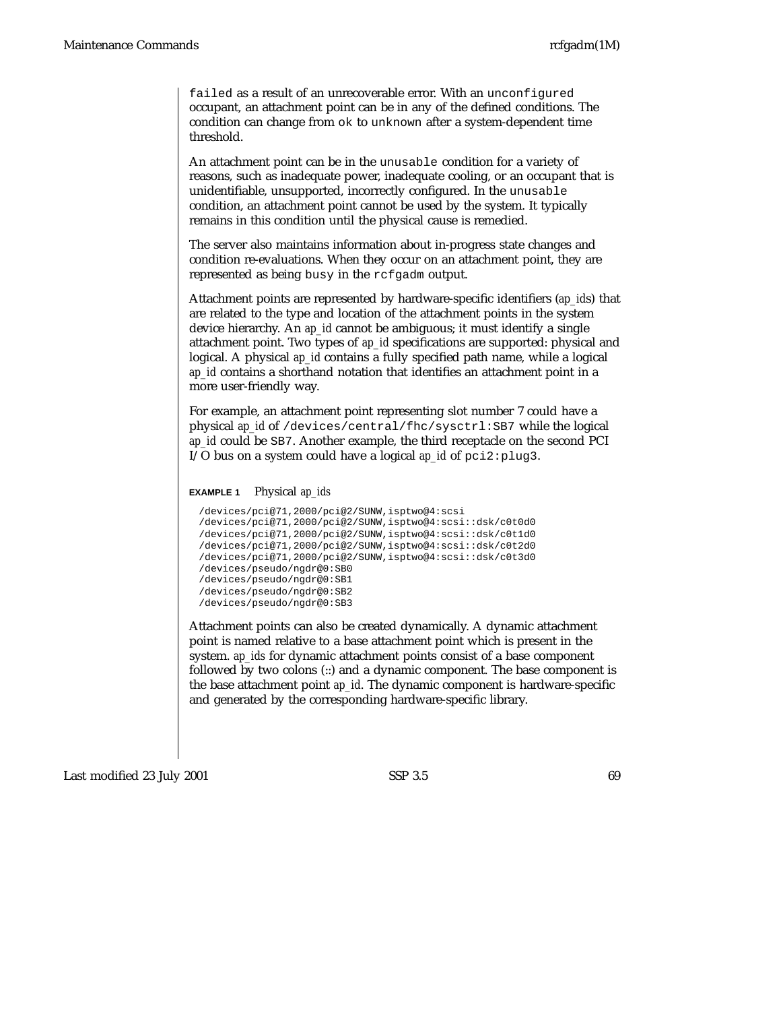failed as a result of an unrecoverable error. With an unconfigured occupant, an attachment point can be in any of the defined conditions. The condition can change from ok to unknown after a system-dependent time threshold.

An attachment point can be in the unusable condition for a variety of reasons, such as inadequate power, inadequate cooling, or an occupant that is unidentifiable, unsupported, incorrectly configured. In the unusable condition, an attachment point cannot be used by the system. It typically remains in this condition until the physical cause is remedied.

The server also maintains information about in-progress state changes and condition re-evaluations. When they occur on an attachment point, they are represented as being busy in the rcfgadm output.

Attachment points are represented by hardware-specific identifiers (*ap\_id*s) that are related to the type and location of the attachment points in the system device hierarchy. An *ap\_id* cannot be ambiguous; it must identify a single attachment point. Two types of *ap\_id* specifications are supported: physical and logical. A physical *ap\_id* contains a fully specified path name, while a logical *ap\_id* contains a shorthand notation that identifies an attachment point in a more user-friendly way.

For example, an attachment point representing slot number 7 could have a physical *ap\_id* of /devices/central/fhc/sysctrl:SB7 while the logical *ap\_id* could be SB7. Another example, the third receptacle on the second PCI I/O bus on a system could have a logical *ap\_id* of pci2:plug3.

## **EXAMPLE 1** Physical *ap\_ids*

```
/devices/pci@71,2000/pci@2/SUNW,isptwo@4:scsi
/devices/pci@71,2000/pci@2/SUNW,isptwo@4:scsi::dsk/c0t0d0
/devices/pci@71,2000/pci@2/SUNW,isptwo@4:scsi::dsk/c0t1d0
/devices/pci@71,2000/pci@2/SUNW,isptwo@4:scsi::dsk/c0t2d0
/devices/pci@71,2000/pci@2/SUNW,isptwo@4:scsi::dsk/c0t3d0
/devices/pseudo/ngdr@0:SB0
/devices/pseudo/ngdr@0:SB1
/devices/pseudo/ngdr@0:SB2
/devices/pseudo/ngdr@0:SB3
```
Attachment points can also be created dynamically. A dynamic attachment point is named relative to a base attachment point which is present in the system. *ap\_ids* for dynamic attachment points consist of a base component followed by two colons (::) and a dynamic component. The base component is the base attachment point *ap\_id*. The dynamic component is hardware-specific and generated by the corresponding hardware-specific library.

Last modified 23 July 2001 SSP 3.5 69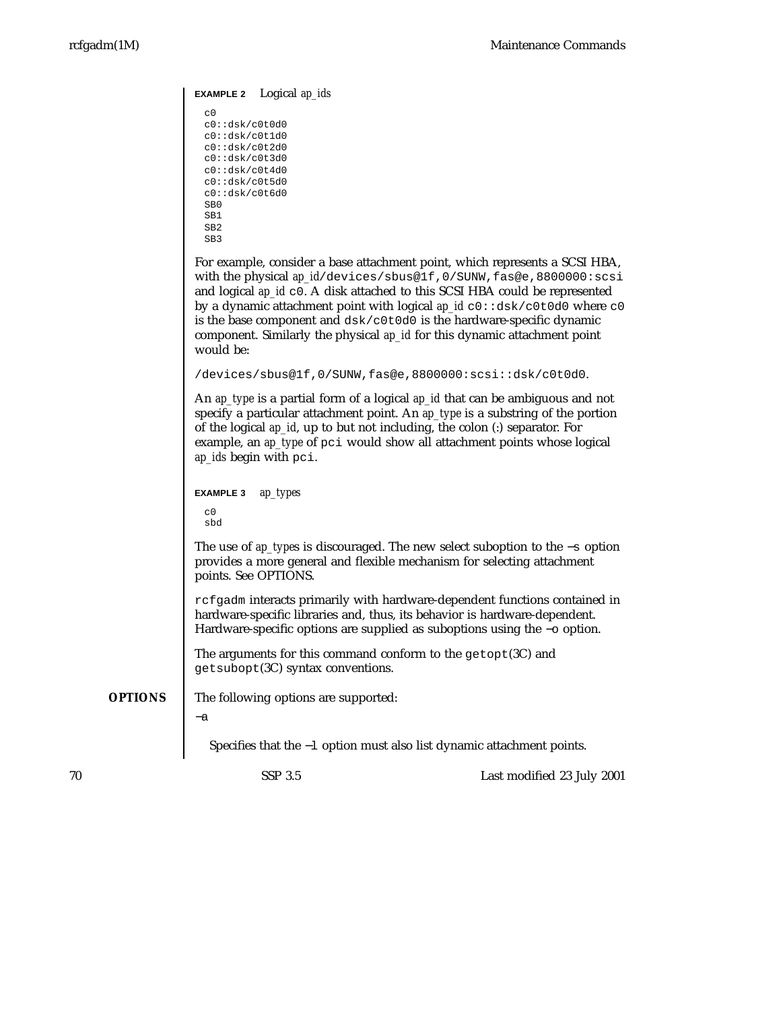```
EXAMPLE 2 Logical ap_ids
 \capc0::dsk/c0t0d0
 c0::dsk/c0t1d0
 c0::dsk/c0t2d0
 c0::dsk/c0t3d0
 c0::dsk/c0t4d0
 c0::dsk/c0t5d0
 c0::dsk/c0t6d0
 SB0
 SB1
 SB2
 SB3
```
For example, consider a base attachment point, which represents a SCSI HBA, with the physical *ap\_id*/devices/sbus@1f,0/SUNW,fas@e,8800000:scsi and logical *ap\_id* c0. A disk attached to this SCSI HBA could be represented by a dynamic attachment point with logical *ap\_id* c0::dsk/c0t0d0 where c0 is the base component and dsk/c0t0d0 is the hardware-specific dynamic component. Similarly the physical *ap\_id* for this dynamic attachment point would be:

```
/devices/sbus@1f,0/SUNW,fas@e,8800000:scsi::dsk/c0t0d0.
```
An *ap\_type* is a partial form of a logical *ap\_id* that can be ambiguous and not specify a particular attachment point. An *ap\_type* is a substring of the portion of the logical *ap\_id*, up to but not including, the colon (:) separator. For example, an *ap\_type* of pci would show all attachment points whose logical *ap\_ids* begin with pci.

```
EXAMPLE 3 ap_types
```
c0 sbd

The use of *ap\_type*s is discouraged. The new select suboption to the −s option provides a more general and flexible mechanism for selecting attachment points. See OPTIONS.

rcfgadm interacts primarily with hardware-dependent functions contained in hardware-specific libraries and, thus, its behavior is hardware-dependent. Hardware-specific options are supplied as suboptions using the −o option.

The arguments for this command conform to the getopt(3C) and getsubopt(3C) syntax conventions.

**OPTIONS** The following options are supported:

−a

Specifies that the −l option must also list dynamic attachment points.

70 SSP 3.5 Last modified 23 July 2001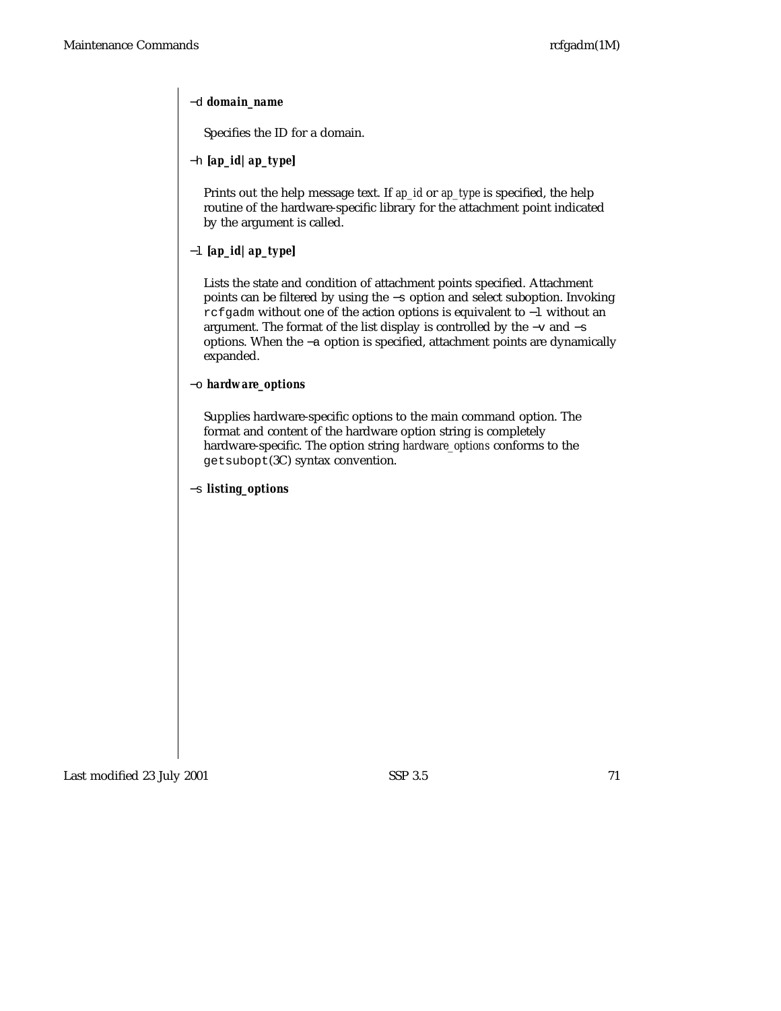−d *domain\_name*

Specifies the ID for a domain.

−h **[***ap\_id***|***ap\_type***]**

Prints out the help message text. If *ap\_id* or *ap\_type* is specified, the help routine of the hardware-specific library for the attachment point indicated by the argument is called.

−l **[***ap\_id***|***ap\_type***]**

Lists the state and condition of attachment points specified. Attachment points can be filtered by using the −s option and select suboption. Invoking rcfgadm without one of the action options is equivalent to −l without an argument. The format of the list display is controlled by the −v and −s options. When the −a option is specified, attachment points are dynamically expanded.

−o *hardware\_options*

Supplies hardware-specific options to the main command option. The format and content of the hardware option string is completely hardware-specific. The option string *hardware\_options* conforms to the getsubopt(3C) syntax convention.

−s *listing\_options*

Last modified 23 July 2001 SSP 3.5 71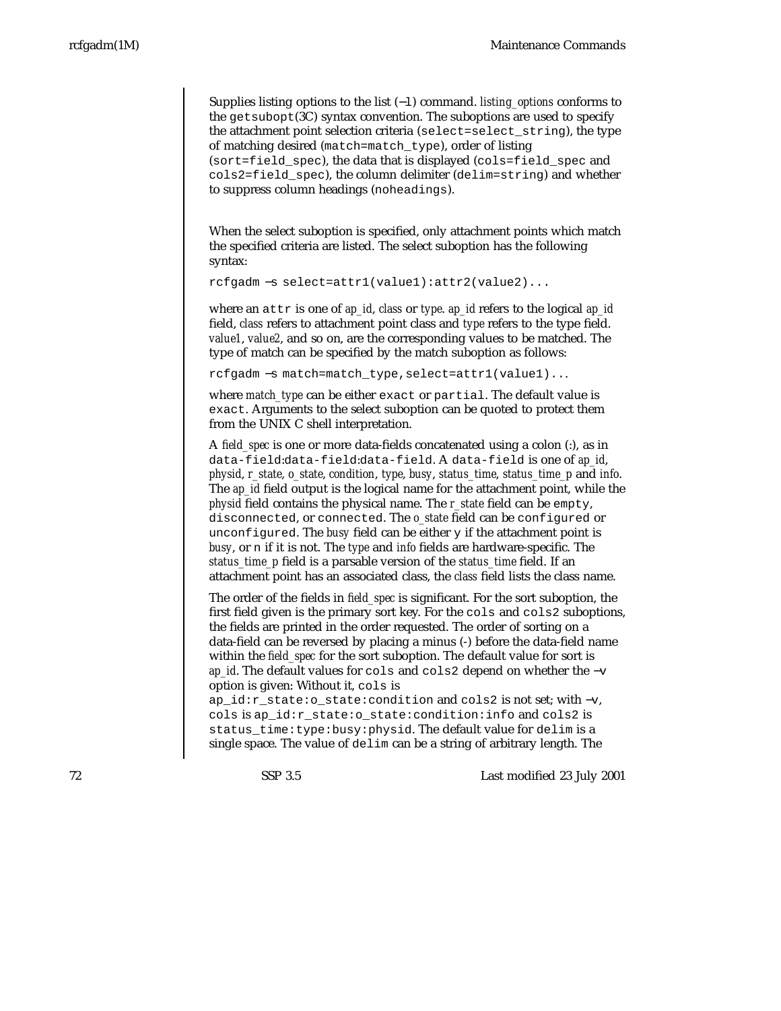Supplies listing options to the list (−l) command. *listing\_options* conforms to the getsubopt(3C) syntax convention. The suboptions are used to specify the attachment point selection criteria (select=select\_string), the type of matching desired (match=match\_type), order of listing (sort=field\_spec), the data that is displayed (cols=field\_spec and cols2=field\_spec), the column delimiter (delim=string) and whether to suppress column headings (noheadings).

When the select suboption is specified, only attachment points which match the specified criteria are listed. The select suboption has the following syntax:

rcfgadm −s select=attr1(value1):attr2(value2)...

where an attr is one of *ap\_id*, *class* or *type*. *ap\_id* refers to the logical *ap\_id* field, *class* refers to attachment point class and *type* refers to the type field. *value1*, *value2*, and so on, are the corresponding values to be matched. The type of match can be specified by the match suboption as follows:

rcfgadm −s match=match\_type,select=attr1(value1)...

where *match\_type* can be either exact or partial. The default value is exact. Arguments to the select suboption can be quoted to protect them from the UNIX C shell interpretation.

A *field\_spec* is one or more data-fields concatenated using a colon (:), as in data-field:data-field:data-field. A data-field is one of *ap\_id*, *physid*, *r\_state*, *o\_state*, *condition*, *type*, *busy*, *status\_time*, *status\_time\_p* and *info*. The *ap\_id* field output is the logical name for the attachment point, while the *physid* field contains the physical name. The *r\_state* field can be empty, disconnected, or connected. The *o\_state* field can be configured or unconfigured. The *busy* field can be either y if the attachment point is *busy*, or n if it is not. The *type* and *info* fields are hardware-specific. The *status\_time\_p* field is a parsable version of the *status\_time* field. If an attachment point has an associated class, the *class* field lists the class name.

The order of the fields in *field\_spec* is significant. For the sort suboption, the first field given is the primary sort key. For the cols and cols2 suboptions, the fields are printed in the order requested. The order of sorting on a data-field can be reversed by placing a minus (-) before the data-field name within the *field\_spec* for the sort suboption. The default value for sort is *ap\_id*. The default values for cols and cols2 depend on whether the -v option is given: Without it, cols is

ap\_id:r\_state:o\_state:condition and cols2 is not set; with −v, cols is ap\_id:r\_state:o\_state:condition:info and cols2 is status\_time:type:busy:physid. The default value for delim is a single space. The value of delim can be a string of arbitrary length. The

72 SSP 3.5 Last modified 23 July 2001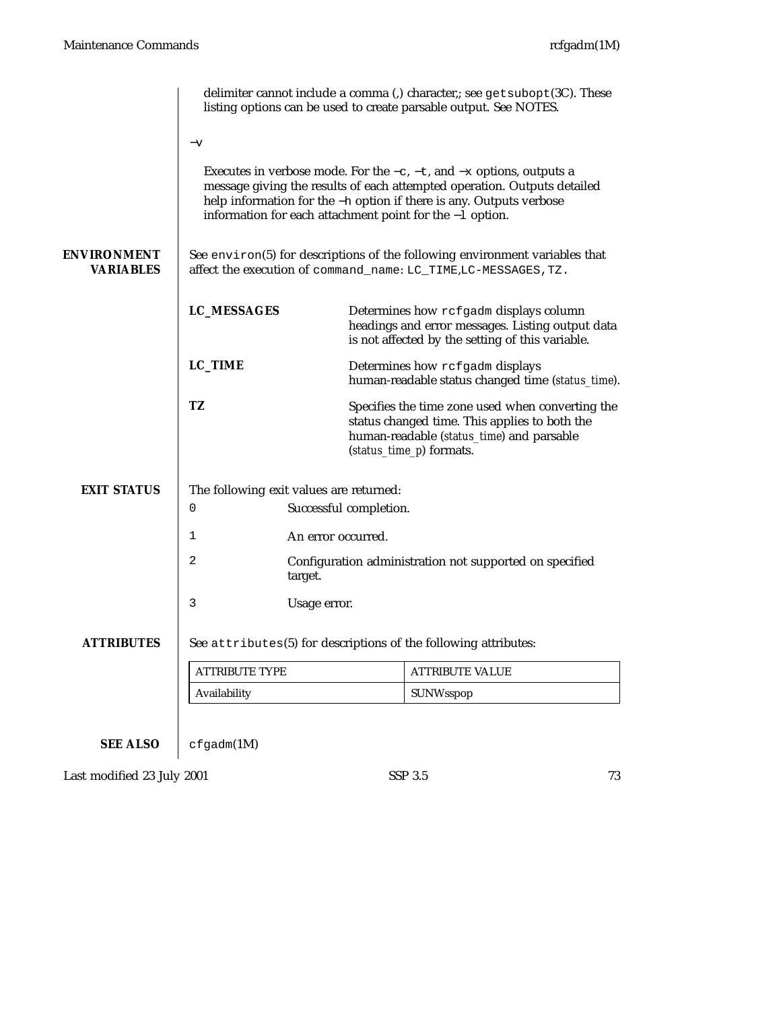|                                        |                                                                                                                                                                                                                                                                                              | delimiter cannot include a comma (,) character,; see getsubopt(3C). These<br>listing options can be used to create parsable output. See NOTES. |                                                                                                                                                                            |  |
|----------------------------------------|----------------------------------------------------------------------------------------------------------------------------------------------------------------------------------------------------------------------------------------------------------------------------------------------|------------------------------------------------------------------------------------------------------------------------------------------------|----------------------------------------------------------------------------------------------------------------------------------------------------------------------------|--|
|                                        | -v                                                                                                                                                                                                                                                                                           |                                                                                                                                                |                                                                                                                                                                            |  |
|                                        | Executes in verbose mode. For the $-c$ , $-t$ , and $-x$ options, outputs a<br>message giving the results of each attempted operation. Outputs detailed<br>help information for the -h option if there is any. Outputs verbose<br>information for each attachment point for the $-1$ option. |                                                                                                                                                |                                                                                                                                                                            |  |
| <b>ENVIRONMENT</b><br><b>VARIABLES</b> | See environ(5) for descriptions of the following environment variables that<br>affect the execution of command_name: LC_TIME,LC-MESSAGES, TZ.                                                                                                                                                |                                                                                                                                                |                                                                                                                                                                            |  |
|                                        | <b>LC_MESSAGES</b>                                                                                                                                                                                                                                                                           |                                                                                                                                                | Determines how refgadm displays column<br>headings and error messages. Listing output data<br>is not affected by the setting of this variable.                             |  |
|                                        | LC_TIME                                                                                                                                                                                                                                                                                      |                                                                                                                                                | Determines how refgadm displays<br>human-readable status changed time (status_time).                                                                                       |  |
|                                        | TZ                                                                                                                                                                                                                                                                                           |                                                                                                                                                | Specifies the time zone used when converting the<br>status changed time. This applies to both the<br>human-readable (status_time) and parsable<br>(status_time_p) formats. |  |
| <b>EXIT STATUS</b>                     | The following exit values are returned:                                                                                                                                                                                                                                                      |                                                                                                                                                |                                                                                                                                                                            |  |
|                                        | 0                                                                                                                                                                                                                                                                                            | Successful completion.                                                                                                                         |                                                                                                                                                                            |  |
|                                        | 1                                                                                                                                                                                                                                                                                            | An error occurred.                                                                                                                             |                                                                                                                                                                            |  |
|                                        | 2                                                                                                                                                                                                                                                                                            | Configuration administration not supported on specified<br>target.                                                                             |                                                                                                                                                                            |  |
|                                        | 3                                                                                                                                                                                                                                                                                            | Usage error.                                                                                                                                   |                                                                                                                                                                            |  |
| <b>ATTRIBUTES</b>                      | See attributes(5) for descriptions of the following attributes:                                                                                                                                                                                                                              |                                                                                                                                                |                                                                                                                                                                            |  |
|                                        | <b>ATTRIBUTE TYPE</b>                                                                                                                                                                                                                                                                        |                                                                                                                                                | <b>ATTRIBUTE VALUE</b>                                                                                                                                                     |  |
|                                        | Availability                                                                                                                                                                                                                                                                                 |                                                                                                                                                | <b>SUNWsspop</b>                                                                                                                                                           |  |
|                                        |                                                                                                                                                                                                                                                                                              |                                                                                                                                                |                                                                                                                                                                            |  |
| <b>SEE ALSO</b>                        | $cf$ qadm $(1M)$                                                                                                                                                                                                                                                                             |                                                                                                                                                |                                                                                                                                                                            |  |

Last modified 23 July 2001 SSP 3.5 73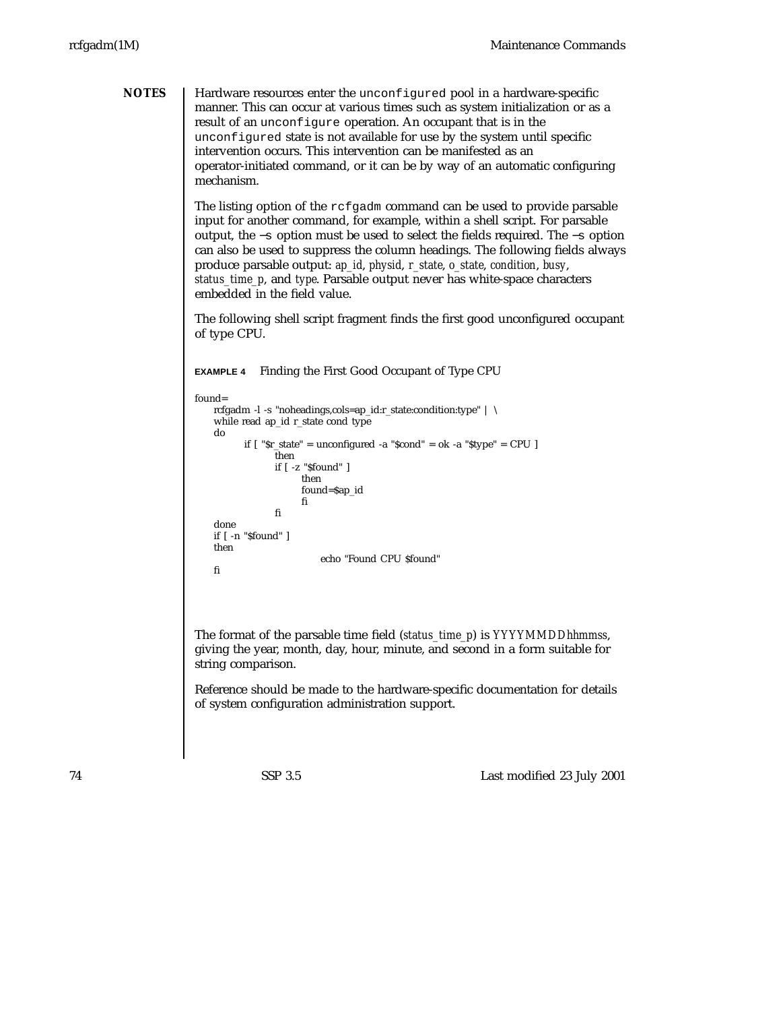## **NOTES** Hardware resources enter the unconfigured pool in a hardware-specific manner. This can occur at various times such as system initialization or as a result of an unconfigure operation. An occupant that is in the unconfigured state is not available for use by the system until specific intervention occurs. This intervention can be manifested as an operator-initiated command, or it can be by way of an automatic configuring mechanism.

The listing option of the rcfgadm command can be used to provide parsable input for another command, for example, within a shell script. For parsable output, the −s option must be used to select the fields required. The −s option can also be used to suppress the column headings. The following fields always produce parsable output: *ap\_id*, *physid*, *r\_state*, *o\_state*, *condition*, *busy*, *status\_time\_p*, and *type*. Parsable output never has white-space characters embedded in the field value.

The following shell script fragment finds the first good unconfigured occupant of type CPU.

**EXAMPLE 4** Finding the First Good Occupant of Type CPU

```
found=
rcfgadm -l -s "noheadings,cols=ap_id:r_state:condition:type" | \,\backslash\,while read ap_id r_state cond type
do
       if \int "$r_state" = unconfigured -a "$cond" = ok -a "$type" = CPU ]
              then
              if [ -z "$found" ]
                     then
                     found=$ap_id
                     fi
              fi
done
if [ -n "$found" ]
then
                         echo "Found CPU $found"
fi
```
The format of the parsable time field (*status\_time\_p*) is *YYYYMMDDhhmmss*, giving the year, month, day, hour, minute, and second in a form suitable for string comparison.

Reference should be made to the hardware-specific documentation for details of system configuration administration support.

74 SSP 3.5 Last modified 23 July 2001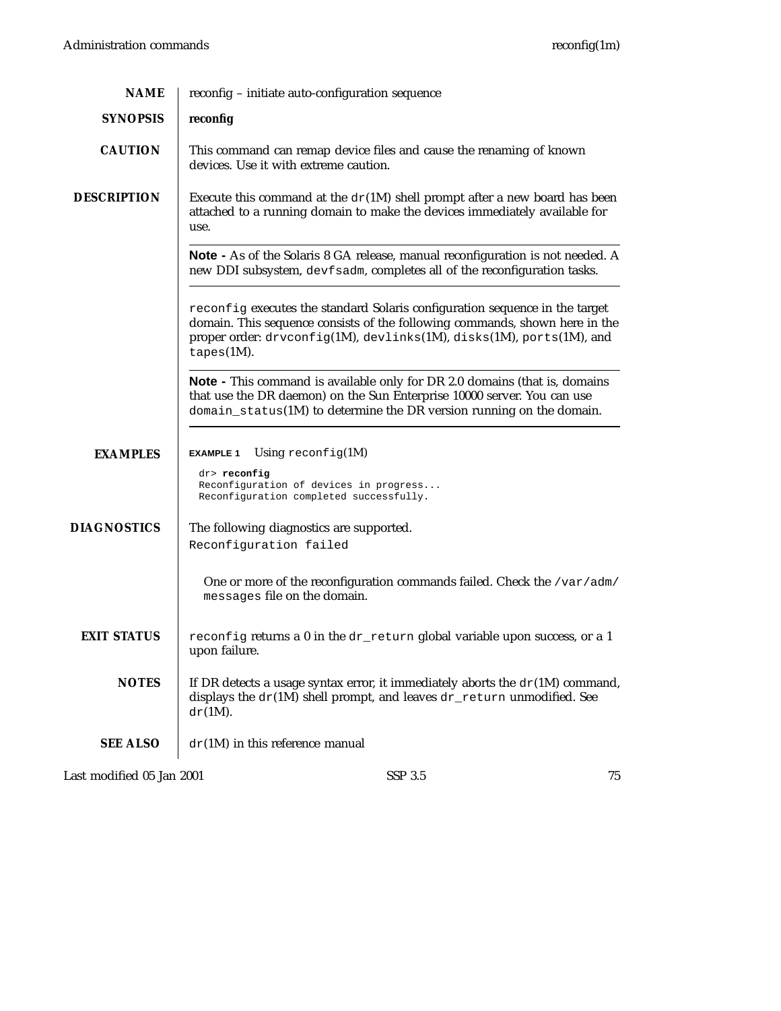| <b>NAME</b>               | reconfig - initiate auto-configuration sequence                                                                                                                                                                                                  |  |  |
|---------------------------|--------------------------------------------------------------------------------------------------------------------------------------------------------------------------------------------------------------------------------------------------|--|--|
| <b>SYNOPSIS</b>           | reconfig                                                                                                                                                                                                                                         |  |  |
| <b>CAUTION</b>            | This command can remap device files and cause the renaming of known<br>devices. Use it with extreme caution.                                                                                                                                     |  |  |
| <b>DESCRIPTION</b>        | Execute this command at the $d(x)$ shell prompt after a new board has been<br>attached to a running domain to make the devices immediately available for<br>use.                                                                                 |  |  |
|                           | Note - As of the Solaris 8 GA release, manual reconfiguration is not needed. A<br>new DDI subsystem, devfsadm, completes all of the reconfiguration tasks.                                                                                       |  |  |
|                           | reconfig executes the standard Solaris configuration sequence in the target<br>domain. This sequence consists of the following commands, shown here in the<br>proper order: drvconfig(1M), devlinks(1M), disks(1M), ports(1M), and<br>tapes(1M). |  |  |
|                           | Note - This command is available only for DR 2.0 domains (that is, domains<br>that use the DR daemon) on the Sun Enterprise 10000 server. You can use<br>domain_status(1M) to determine the DR version running on the domain.                    |  |  |
| <b>EXAMPLES</b>           | Using $reconfig(1M)$<br><b>EXAMPLE 1</b>                                                                                                                                                                                                         |  |  |
|                           | $dr$ reconfig<br>Reconfiguration of devices in progress<br>Reconfiguration completed successfully.                                                                                                                                               |  |  |
| <b>DIAGNOSTICS</b>        | The following diagnostics are supported.                                                                                                                                                                                                         |  |  |
|                           | Reconfiguration failed                                                                                                                                                                                                                           |  |  |
|                           | One or more of the reconfiguration commands failed. Check the /var/adm/<br>messages file on the domain.                                                                                                                                          |  |  |
| <b>EXIT STATUS</b>        | reconfig returns a 0 in the dr_return global variable upon success, or a 1<br>upon failure.                                                                                                                                                      |  |  |
| <b>NOTES</b>              | If DR detects a usage syntax error, it immediately aborts the $dr(1M)$ command,<br>displays the $dr(1M)$ shell prompt, and leaves $dr$ _return unmodified. See<br>$dr(1M)$ .                                                                     |  |  |
| <b>SEE ALSO</b>           | $dr(1M)$ in this reference manual                                                                                                                                                                                                                |  |  |
| Last modified 05 Jan 2001 | <b>SSP 3.5</b><br>75                                                                                                                                                                                                                             |  |  |